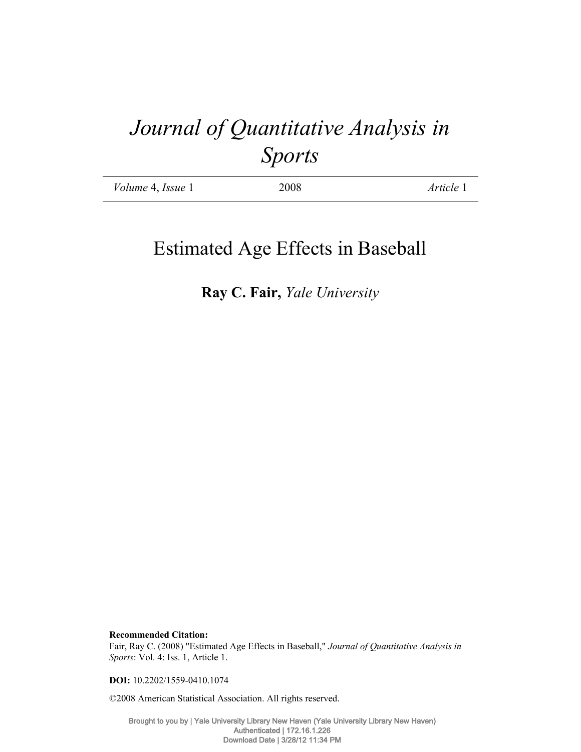# *Journal of Quantitative Analysis in Sports*

| <i>Volume</i> 4, <i>Issue</i> 1 | 2008 | Article <sup>'</sup> |
|---------------------------------|------|----------------------|
|                                 |      |                      |

## Estimated Age Effects in Baseball

**Ray C. Fair,** *Yale University*

**Recommended Citation:**

Fair, Ray C. (2008) "Estimated Age Effects in Baseball," *Journal of Quantitative Analysis in Sports*: Vol. 4: Iss. 1, Article 1.

**DOI:** 10.2202/1559-0410.1074

©2008 American Statistical Association. All rights reserved.

Brought to you by | Yale University Library New Haven (Yale University Library New Haven) Authenticated | 172.16.1.226 Download Date | 3/28/12 11:34 PM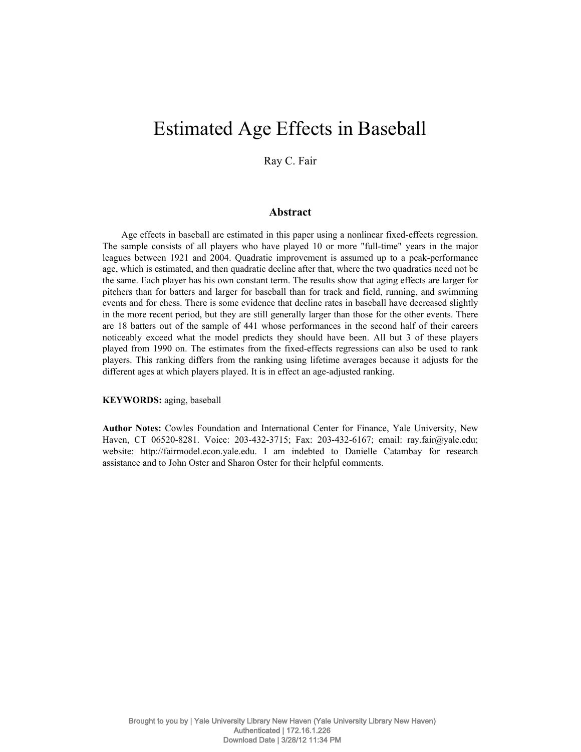## Estimated Age Effects in Baseball

#### Ray C. Fair

#### **Abstract**

Age effects in baseball are estimated in this paper using a nonlinear fixed-effects regression. The sample consists of all players who have played 10 or more "full-time" years in the major leagues between 1921 and 2004. Quadratic improvement is assumed up to a peak-performance age, which is estimated, and then quadratic decline after that, where the two quadratics need not be the same. Each player has his own constant term. The results show that aging effects are larger for pitchers than for batters and larger for baseball than for track and field, running, and swimming events and for chess. There is some evidence that decline rates in baseball have decreased slightly in the more recent period, but they are still generally larger than those for the other events. There are 18 batters out of the sample of 441 whose performances in the second half of their careers noticeably exceed what the model predicts they should have been. All but 3 of these players played from 1990 on. The estimates from the fixed-effects regressions can also be used to rank players. This ranking differs from the ranking using lifetime averages because it adjusts for the different ages at which players played. It is in effect an age-adjusted ranking.

#### **KEYWORDS:** aging, baseball

**Author Notes:** Cowles Foundation and International Center for Finance, Yale University, New Haven, CT 06520-8281. Voice: 203-432-3715; Fax: 203-432-6167; email: ray.fair@yale.edu; website: http://fairmodel.econ.yale.edu. I am indebted to Danielle Catambay for research assistance and to John Oster and Sharon Oster for their helpful comments.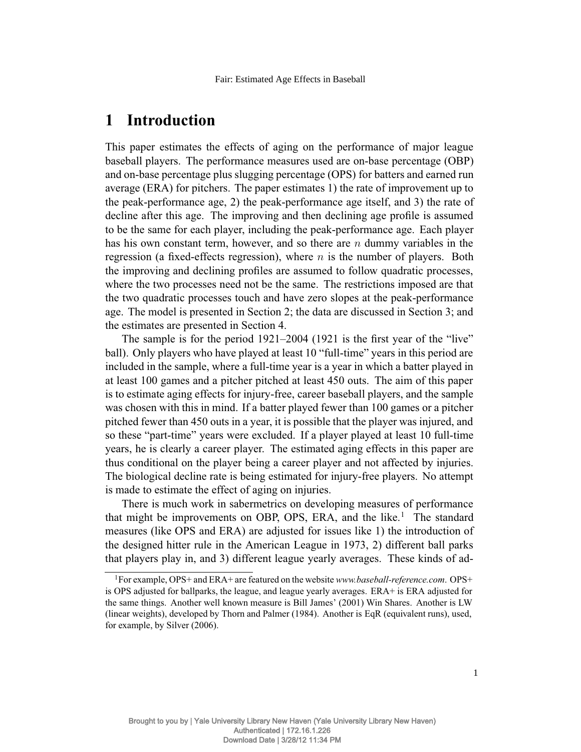### **1 Introduction**

This paper estimates the effects of aging on the performance of major league baseball players. The performance measures used are on-base percentage (OBP) and on-base percentage plus slugging percentage (OPS) for batters and earned run average (ERA) for pitchers. The paper estimates 1) the rate of improvement up to the peak-performance age, 2) the peak-performance age itself, and 3) the rate of decline after this age. The improving and then declining age profile is assumed to be the same for each player, including the peak-performance age. Each player has his own constant term, however, and so there are  $n$  dummy variables in the regression (a fixed-effects regression), where  $n$  is the number of players. Both the improving and declining profiles are assumed to follow quadratic processes, where the two processes need not be the same. The restrictions imposed are that the two quadratic processes touch and have zero slopes at the peak-performance age. The model is presented in Section 2; the data are discussed in Section 3; and the estimates are presented in Section 4.

The sample is for the period 1921–2004 (1921 is the first year of the "live" ball). Only players who have played at least 10 "full-time" years in this period are included in the sample, where a full-time year is a year in which a batter played in at least 100 games and a pitcher pitched at least 450 outs. The aim of this paper is to estimate aging effects for injury-free, career baseball players, and the sample was chosen with this in mind. If a batter played fewer than 100 games or a pitcher pitched fewer than 450 outs in a year, it is possible that the player was injured, and so these "part-time" years were excluded. If a player played at least 10 full-time years, he is clearly a career player. The estimated aging effects in this paper are thus conditional on the player being a career player and not affected by injuries. The biological decline rate is being estimated for injury-free players. No attempt is made to estimate the effect of aging on injuries.

There is much work in sabermetrics on developing measures of performance that might be improvements on OBP, OPS, ERA, and the like.<sup>1</sup> The standard measures (like OPS and ERA) are adjusted for issues like 1) the introduction of the designed hitter rule in the American League in 1973, 2) different ball parks that players play in, and 3) different league yearly averages. These kinds of ad-

<sup>1</sup>For example, OPS+ and ERA+ are featured on the website *www.baseball-reference.com*. OPS+ is OPS adjusted for ballparks, the league, and league yearly averages. ERA+ is ERA adjusted for the same things. Another well known measure is Bill James' (2001) Win Shares. Another is LW (linear weights), developed by Thorn and Palmer (1984). Another is EqR (equivalent runs), used, for example, by Silver (2006).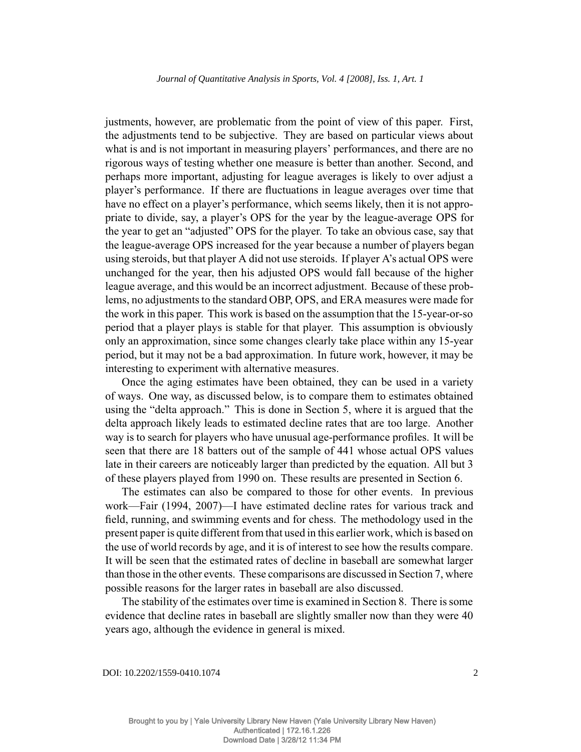justments, however, are problematic from the point of view of this paper. First, the adjustments tend to be subjective. They are based on particular views about what is and is not important in measuring players' performances, and there are no rigorous ways of testing whether one measure is better than another. Second, and perhaps more important, adjusting for league averages is likely to over adjust a player's performance. If there are fluctuations in league averages over time that have no effect on a player's performance, which seems likely, then it is not appropriate to divide, say, a player's OPS for the year by the league-average OPS for the year to get an "adjusted" OPS for the player. To take an obvious case, say that the league-average OPS increased for the year because a number of players began using steroids, but that player A did not use steroids. If player A's actual OPS were unchanged for the year, then his adjusted OPS would fall because of the higher league average, and this would be an incorrect adjustment. Because of these problems, no adjustments to the standard OBP, OPS, and ERA measures were made for the work in this paper. This work is based on the assumption that the 15-year-or-so period that a player plays is stable for that player. This assumption is obviously only an approximation, since some changes clearly take place within any 15-year period, but it may not be a bad approximation. In future work, however, it may be interesting to experiment with alternative measures.

Once the aging estimates have been obtained, they can be used in a variety of ways. One way, as discussed below, is to compare them to estimates obtained using the "delta approach." This is done in Section 5, where it is argued that the delta approach likely leads to estimated decline rates that are too large. Another way is to search for players who have unusual age-performance profiles. It will be seen that there are 18 batters out of the sample of 441 whose actual OPS values late in their careers are noticeably larger than predicted by the equation. All but 3 of these players played from 1990 on. These results are presented in Section 6.

The estimates can also be compared to those for other events. In previous work—Fair (1994, 2007)—I have estimated decline rates for various track and field, running, and swimming events and for chess. The methodology used in the present paper is quite different from that used in this earlier work, which is based on the use of world records by age, and it is of interest to see how the results compare. It will be seen that the estimated rates of decline in baseball are somewhat larger than those in the other events. These comparisons are discussed in Section 7, where possible reasons for the larger rates in baseball are also discussed.

The stability of the estimates over time is examined in Section 8. There is some evidence that decline rates in baseball are slightly smaller now than they were 40 years ago, although the evidence in general is mixed.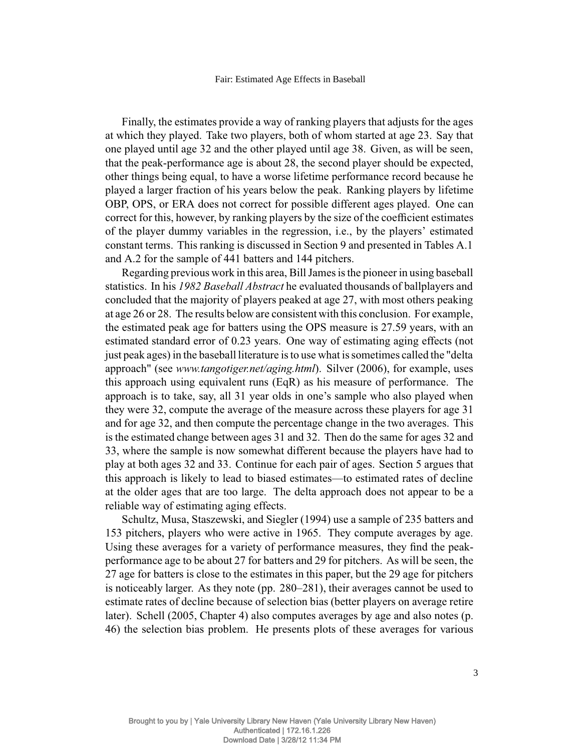Finally, the estimates provide a way of ranking players that adjusts for the ages at which they played. Take two players, both of whom started at age 23. Say that one played until age 32 and the other played until age 38. Given, as will be seen, that the peak-performance age is about 28, the second player should be expected, other things being equal, to have a worse lifetime performance record because he played a larger fraction of his years below the peak. Ranking players by lifetime OBP, OPS, or ERA does not correct for possible different ages played. One can correct for this, however, by ranking players by the size of the coefficient estimates of the player dummy variables in the regression, i.e., by the players' estimated constant terms. This ranking is discussed in Section 9 and presented in Tables A.1 and A.2 for the sample of 441 batters and 144 pitchers.

Regarding previous work in this area, Bill James is the pioneer in using baseball statistics. In his *1982 Baseball Abstract* he evaluated thousands of ballplayers and concluded that the majority of players peaked at age 27, with most others peaking at age 26 or 28. The results below are consistent with this conclusion. For example, the estimated peak age for batters using the OPS measure is 27.59 years, with an estimated standard error of 0.23 years. One way of estimating aging effects (not just peak ages) in the baseball literature is to use what is sometimes called the "delta" approach" (see *www.tangotiger.net/aging.html*). Silver (2006), for example, uses this approach using equivalent runs (EqR) as his measure of performance. The approach is to take, say, all 31 year olds in one's sample who also played when they were 32, compute the average of the measure across these players for age 31 and for age 32, and then compute the percentage change in the two averages. This is the estimated change between ages 31 and 32. Then do the same for ages 32 and 33, where the sample is now somewhat different because the players have had to play at both ages 32 and 33. Continue for each pair of ages. Section 5 argues that this approach is likely to lead to biased estimates—to estimated rates of decline at the older ages that are too large. The delta approach does not appear to be a reliable way of estimating aging effects.

Schultz, Musa, Staszewski, and Siegler (1994) use a sample of 235 batters and 153 pitchers, players who were active in 1965. They compute averages by age. Using these averages for a variety of performance measures, they find the peakperformance age to be about 27 for batters and 29 for pitchers. As will be seen, the 27 age for batters is close to the estimates in this paper, but the 29 age for pitchers is noticeably larger. As they note (pp. 280–281), their averages cannot be used to estimate rates of decline because of selection bias (better players on average retire later). Schell (2005, Chapter 4) also computes averages by age and also notes (p. 46) the selection bias problem. He presents plots of these averages for various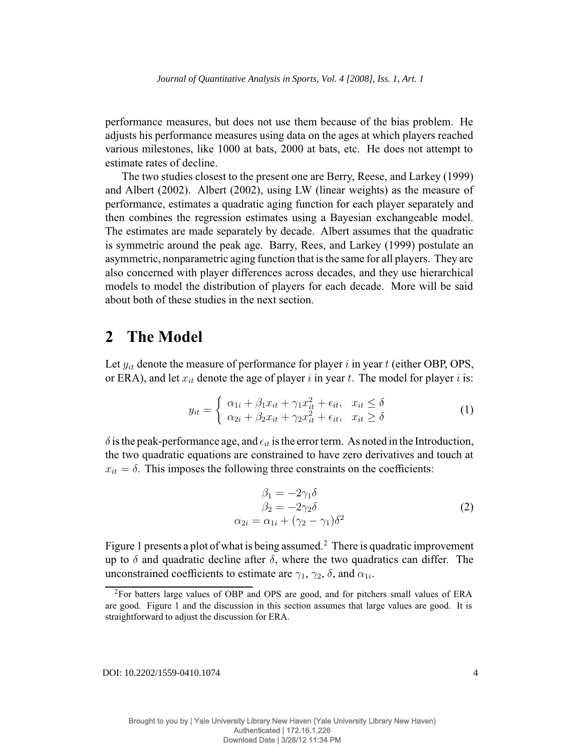performance measures, but does not use them because of the bias problem. He adjusts his performance measures using data on the ages at which players reached various milestones, like 1000 at bats, 2000 at bats, etc. He does not attempt to estimate rates of decline.

The two studies closest to the present one are Berry, Reese, and Larkey (1999) and Albert (2002). Albert (2002), using LW (linear weights) as the measure of performance, estimates a quadratic aging function for each player separately and then combines the regression estimates using a Bayesian exchangeable model. The estimates are made separately by decade. Albert assumes that the quadratic is symmetric around the peak age. Barry, Rees, and Larkey (1999) postulate an asymmetric, nonparametric aging function that isthe same for all players. They are also concerned with player differences across decades, and they use hierarchical models to model the distribution of players for each decade. More will be said about both of these studies in the next section.

### **2 The Model**

Let  $y_{it}$  denote the measure of performance for player i in year t (either OBP, OPS, or ERA), and let  $x_{it}$  denote the age of player i in year t. The model for player i is:

$$
y_{it} = \begin{cases} \alpha_{1i} + \beta_1 x_{it} + \gamma_1 x_{it}^2 + \epsilon_{it}, & x_{it} \le \delta \\ \alpha_{2i} + \beta_2 x_{it} + \gamma_2 x_{it}^2 + \epsilon_{it}, & x_{it} \ge \delta \end{cases}
$$
(1)

 $\delta$  is the peak-performance age, and  $\epsilon_{it}$  is the error term. As noted in the Introduction, the two quadratic equations are constrained to have zero derivatives and touch at  $x_{it} = \delta$ . This imposes the following three constraints on the coefficients:

$$
\begin{aligned}\n\beta_1 &= -2\gamma_1 \delta \\
\beta_2 &= -2\gamma_2 \delta \\
\alpha_{2i} &= \alpha_{1i} + (\gamma_2 - \gamma_1) \delta^2\n\end{aligned} \tag{2}
$$

Figure 1 presents a plot of what is being assumed.<sup>2</sup> There is quadratic improvement up to  $\delta$  and quadratic decline after  $\delta$ , where the two quadratics can differ. The unconstrained coefficients to estimate are  $\gamma_1$ ,  $\gamma_2$ ,  $\delta$ , and  $\alpha_{1i}$ .

<sup>2</sup>For batters large values of OBP and OPS are good, and for pitchers small values of ERA are good. Figure 1 and the discussion in this section assumes that large values are good. It is straightforward to adjust the discussion for ERA.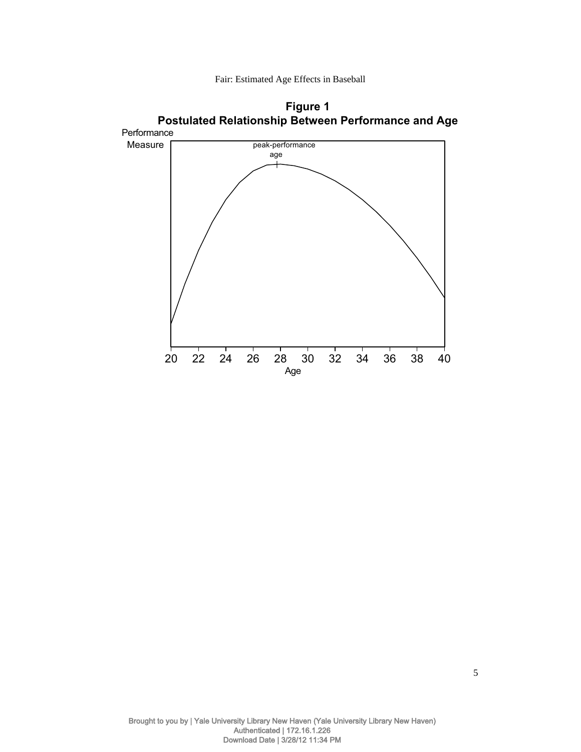Fair: Estimated Age Effects in Baseball



Brought to you by | Yale University Library New Haven (Yale University Library New Haven) Authenticated | 172.16.1.226 Download Date | 3/28/12 11:34 PM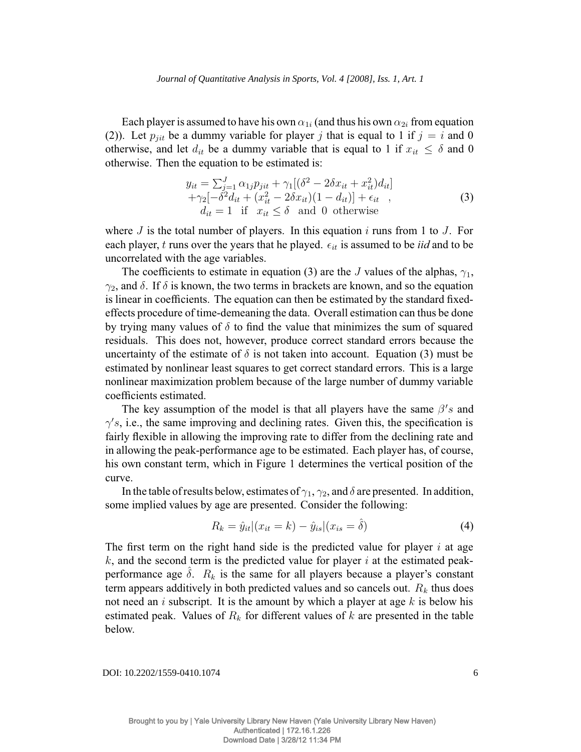Each player is assumed to have his own  $\alpha_{1i}$  (and thus his own  $\alpha_{2i}$  from equation (2)). Let  $p_{ijt}$  be a dummy variable for player j that is equal to 1 if  $j = i$  and 0 otherwise, and let  $d_{it}$  be a dummy variable that is equal to 1 if  $x_{it} \leq \delta$  and 0 otherwise. Then the equation to be estimated is:

$$
y_{it} = \sum_{j=1}^{J} \alpha_{1j} p_{jit} + \gamma_1 [(\delta^2 - 2\delta x_{it} + x_{it}^2) d_{it}]
$$
  
+
$$
\gamma_2 [-\delta^2 d_{it} + (x_{it}^2 - 2\delta x_{it})(1 - d_{it})] + \epsilon_{it} ,
$$
  

$$
d_{it} = 1 \text{ if } x_{it} \le \delta \text{ and 0 otherwise}
$$
 (3)

where J is the total number of players. In this equation i runs from 1 to J. For each player,  $t$  runs over the years that he played.  $\epsilon_{it}$  is assumed to be *iid* and to be uncorrelated with the age variables.

The coefficients to estimate in equation (3) are the J values of the alphas,  $\gamma_1$ ,  $\gamma_2$ , and  $\delta$ . If  $\delta$  is known, the two terms in brackets are known, and so the equation is linear in coefficients. The equation can then be estimated by the standard fixedeffects procedure of time-demeaning the data. Overall estimation can thus be done by trying many values of  $\delta$  to find the value that minimizes the sum of squared residuals. This does not, however, produce correct standard errors because the uncertainty of the estimate of  $\delta$  is not taken into account. Equation (3) must be estimated by nonlinear least squares to get correct standard errors. This is a large nonlinear maximization problem because of the large number of dummy variable coefficients estimated.

The key assumption of the model is that all players have the same  $\beta's$  and  $\gamma$ 's, i.e., the same improving and declining rates. Given this, the specification is fairly flexible in allowing the improving rate to differ from the declining rate and in allowing the peak-performance age to be estimated. Each player has, of course, his own constant term, which in Figure 1 determines the vertical position of the curve.

In the table of results below, estimates of  $\gamma_1$ ,  $\gamma_2$ , and  $\delta$  are presented. In addition, some implied values by age are presented. Consider the following:

$$
R_k = \hat{y}_{it} | (x_{it} = k) - \hat{y}_{is} | (x_{is} = \hat{\delta})
$$
\n(4)

The first term on the right hand side is the predicted value for player  $i$  at age  $k$ , and the second term is the predicted value for player i at the estimated peakperformance age  $\delta$ .  $R_k$  is the same for all players because a player's constant term appears additively in both predicted values and so cancels out.  $R_k$  thus does not need an i subscript. It is the amount by which a player at age k is below his estimated peak. Values of  $R_k$  for different values of k are presented in the table below.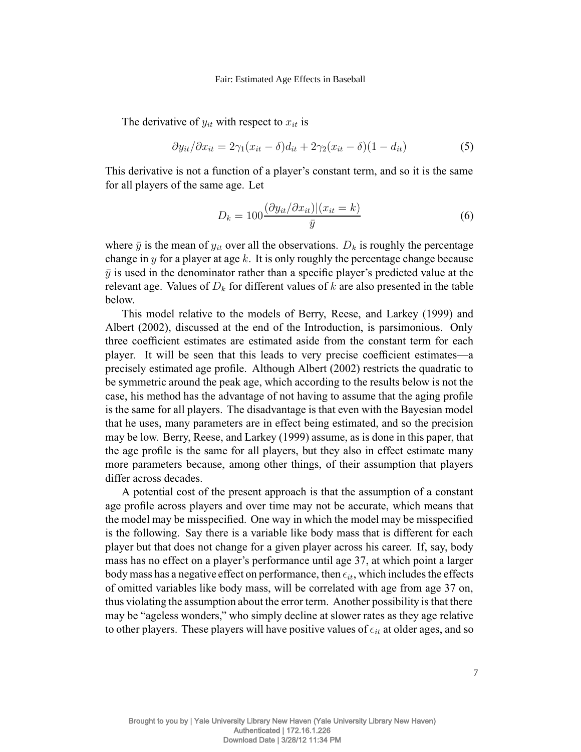The derivative of  $y_{it}$  with respect to  $x_{it}$  is

$$
\partial y_{it} / \partial x_{it} = 2\gamma_1 (x_{it} - \delta) d_{it} + 2\gamma_2 (x_{it} - \delta) (1 - d_{it}) \tag{5}
$$

This derivative is not a function of a player's constant term, and so it is the same for all players of the same age. Let

$$
D_k = 100 \frac{(\partial y_{it}/\partial x_{it})|(x_{it} = k)}{\bar{y}}
$$
\n(6)

where  $\bar{y}$  is the mean of  $y_{it}$  over all the observations.  $D_k$  is roughly the percentage change in y for a player at age  $k$ . It is only roughly the percentage change because  $\bar{y}$  is used in the denominator rather than a specific player's predicted value at the relevant age. Values of  $D_k$  for different values of k are also presented in the table below.

This model relative to the models of Berry, Reese, and Larkey (1999) and Albert (2002), discussed at the end of the Introduction, is parsimonious. Only three coefficient estimates are estimated aside from the constant term for each player. It will be seen that this leads to very precise coefficient estimates—a precisely estimated age profile. Although Albert (2002) restricts the quadratic to be symmetric around the peak age, which according to the results below is not the case, his method has the advantage of not having to assume that the aging profile is the same for all players. The disadvantage is that even with the Bayesian model that he uses, many parameters are in effect being estimated, and so the precision may be low. Berry, Reese, and Larkey (1999) assume, as is done in this paper, that the age profile is the same for all players, but they also in effect estimate many more parameters because, among other things, of their assumption that players differ across decades.

A potential cost of the present approach is that the assumption of a constant age profile across players and over time may not be accurate, which means that the model may be misspecified. One way in which the model may be misspecified is the following. Say there is a variable like body mass that is different for each player but that does not change for a given player across his career. If, say, body mass has no effect on a player's performance until age 37, at which point a larger body mass has a negative effect on performance, then  $\epsilon_{it}$ , which includes the effects of omitted variables like body mass, will be correlated with age from age 37 on, thus violating the assumption about the error term. Another possibility isthat there may be "ageless wonders," who simply decline at slower rates as they age relative to other players. These players will have positive values of  $\epsilon_{it}$  at older ages, and so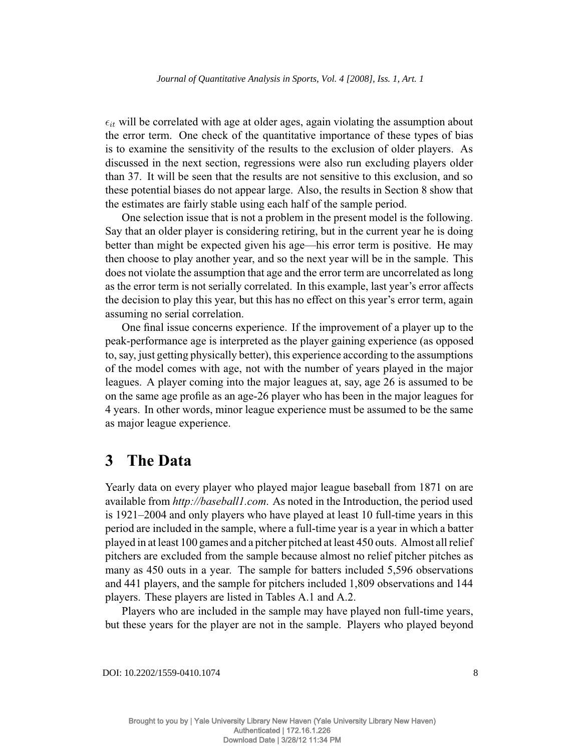$\epsilon_{it}$  will be correlated with age at older ages, again violating the assumption about the error term. One check of the quantitative importance of these types of bias is to examine the sensitivity of the results to the exclusion of older players. As discussed in the next section, regressions were also run excluding players older than 37. It will be seen that the results are not sensitive to this exclusion, and so these potential biases do not appear large. Also, the results in Section 8 show that the estimates are fairly stable using each half of the sample period.

One selection issue that is not a problem in the present model is the following. Say that an older player is considering retiring, but in the current year he is doing better than might be expected given his age—his error term is positive. He may then choose to play another year, and so the next year will be in the sample. This does not violate the assumption that age and the error term are uncorrelated as long as the error term is not serially correlated. In this example, last year's error affects the decision to play this year, but this has no effect on this year's error term, again assuming no serial correlation.

One final issue concerns experience. If the improvement of a player up to the peak-performance age is interpreted as the player gaining experience (as opposed to,say, just getting physically better), this experience according to the assumptions of the model comes with age, not with the number of years played in the major leagues. A player coming into the major leagues at, say, age 26 is assumed to be on the same age profile as an age-26 player who has been in the major leagues for 4 years. In other words, minor league experience must be assumed to be the same as major league experience.

#### **3 The Data**

Yearly data on every player who played major league baseball from 1871 on are available from *http://baseball1.com*. As noted in the Introduction, the period used is 1921–2004 and only players who have played at least 10 full-time years in this period are included in the sample, where a full-time year is a year in which a batter played in at least 100 games and a pitcher pitched at least 450 outs. Almost allrelief pitchers are excluded from the sample because almost no relief pitcher pitches as many as 450 outs in a year. The sample for batters included 5,596 observations and 441 players, and the sample for pitchers included 1,809 observations and 144 players. These players are listed in Tables A.1 and A.2.

Players who are included in the sample may have played non full-time years, but these years for the player are not in the sample. Players who played beyond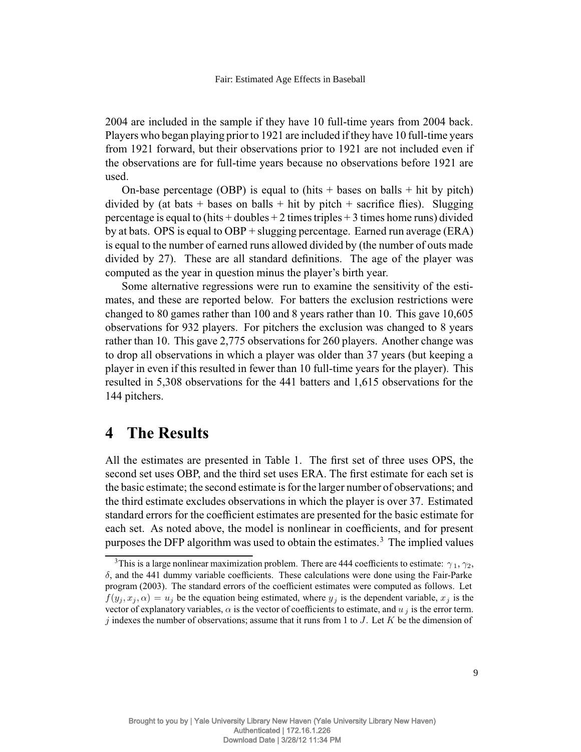2004 are included in the sample if they have 10 full-time years from 2004 back. Players who began playing prior to 1921 are included if they have 10 full-time years from 1921 forward, but their observations prior to 1921 are not included even if the observations are for full-time years because no observations before 1921 are used.

On-base percentage (OBP) is equal to (hits  $+$  bases on balls  $+$  hit by pitch) divided by (at bats + bases on balls + hit by pitch + sacrifice flies). Slugging percentage is equal to (hits  $+$  doubles  $+$  2 times triples  $+$  3 times home runs) divided by at bats. OPS is equal to OBP + slugging percentage. Earned run average (ERA) is equal to the number of earned runs allowed divided by (the number of outs made divided by 27). These are all standard definitions. The age of the player was computed as the year in question minus the player's birth year.

Some alternative regressions were run to examine the sensitivity of the estimates, and these are reported below. For batters the exclusion restrictions were changed to 80 games rather than 100 and 8 years rather than 10. This gave 10,605 observations for 932 players. For pitchers the exclusion was changed to 8 years rather than 10. This gave 2,775 observations for 260 players. Another change was to drop all observations in which a player was older than 37 years (but keeping a player in even if this resulted in fewer than 10 full-time years for the player). This resulted in 5,308 observations for the 441 batters and 1,615 observations for the 144 pitchers.

#### **4 The Results**

All the estimates are presented in Table 1. The first set of three uses OPS, the second set uses OBP, and the third set uses ERA. The first estimate for each set is the basic estimate; the second estimate isfor the larger number of observations; and the third estimate excludes observations in which the player is over 37. Estimated standard errors for the coefficient estimates are presented for the basic estimate for each set. As noted above, the model is nonlinear in coefficients, and for present purposes the DFP algorithm was used to obtain the estimates.<sup>3</sup> The implied values

<sup>&</sup>lt;sup>3</sup>This is a large nonlinear maximization problem. There are 444 coefficients to estimate:  $\gamma_1, \gamma_2$ ,  $\delta$ , and the 441 dummy variable coefficients. These calculations were done using the Fair-Parke program (2003). The standard errors of the coefficient estimates were computed as follows. Let  $f(y_i, x_i, \alpha) = u_i$  be the equation being estimated, where  $y_i$  is the dependent variable,  $x_i$  is the vector of explanatory variables,  $\alpha$  is the vector of coefficients to estimate, and  $u_j$  is the error term. j indexes the number of observations; assume that it runs from 1 to J. Let K be the dimension of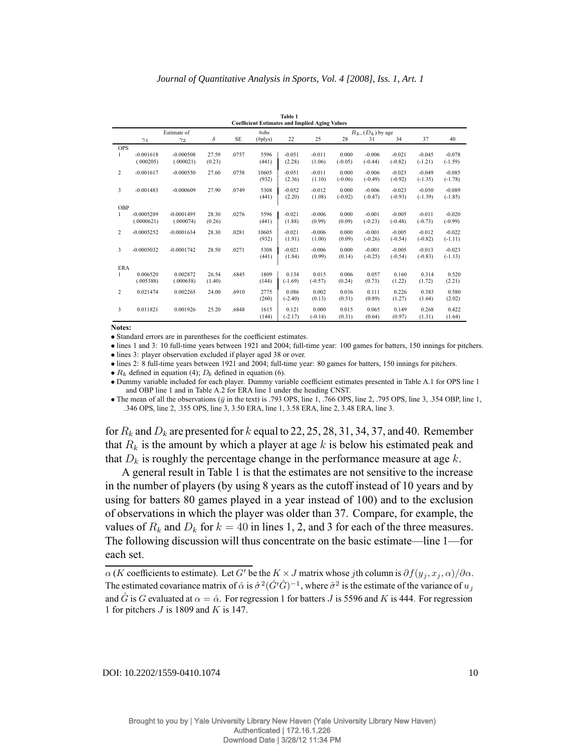|              | таріе т<br><b>Coefficient Estimates and Implied Aging Values</b> |              |        |           |                    |           |           |           |                        |           |           |           |
|--------------|------------------------------------------------------------------|--------------|--------|-----------|--------------------|-----------|-----------|-----------|------------------------|-----------|-----------|-----------|
|              |                                                                  | Estimate of  |        |           | #obs               |           |           |           | $R_k$ , $(D_k)$ by age |           |           |           |
|              | $\gamma_1$                                                       | $\gamma_2$   | δ      | <b>SE</b> | $(\# \text{plys})$ | 22        | 25        | 28        | 31                     | 34        | 37        | 40        |
| <b>OPS</b>   |                                                                  |              |        |           |                    |           |           |           |                        |           |           |           |
| 1            | $-0.001618$                                                      | $-0.000508$  | 27.59  | .0757     | 5596               | $-0.051$  | $-0.011$  | 0.000     | $-0.006$               | $-0.021$  | $-0.045$  | $-0.078$  |
|              | (.000205)                                                        | (.000021)    | (0.23) |           | (441)              | (2.28)    | (1.06)    | $(-0.05)$ | $(-0.44)$              | $(-0.82)$ | $(-1.21)$ | $(-1.59)$ |
| 2            | $-0.001617$                                                      | $-0.000550$  | 27.60  | .0758     | 10605              | $-0.051$  | $-0.011$  | 0.000     | $-0.006$               | $-0.023$  | $-0.049$  | $-0.085$  |
|              |                                                                  |              |        |           | (932)              | (2.36)    | (1.10)    | $(-0.06)$ | $(-0.49)$              | $(-0.92)$ | $(-1.35)$ | $(-1.78)$ |
| 3            | $-0.001483$                                                      | $-0.000609$  | 27.90  | .0749     | 5308               | $-0.052$  | $-0.012$  | 0.000     | $-0.006$               | $-0.023$  | $-0.050$  | $-0.089$  |
|              |                                                                  |              |        |           | (441)              | (2.20)    | (1.08)    | $(-0.02)$ | $(-0.47)$              | $(-0.93)$ | $(-1.39)$ | $(-1.85)$ |
| OBP          |                                                                  |              |        |           |                    |           |           |           |                        |           |           |           |
| 1.           | $-0.0005289$                                                     | $-0.0001495$ | 28.30  | .0276     | 5596               | $-0.021$  | $-0.006$  | 0.000     | $-0.001$               | $-0.005$  | $-0.011$  | $-0.020$  |
|              | (.0000621)                                                       | (.000074)    | (0.26) |           | (441)              | (1.88)    | (0.99)    | (0.09)    | $(-0.23)$              | $(-0.48)$ | $(-0.73)$ | $(-0.99)$ |
| 2            | $-0.0005252$                                                     | $-0.0001634$ | 28.30  | .0281     | 10605              | $-0.021$  | $-0.006$  | 0.000     | $-0.001$               | $-0.005$  | $-0.012$  | $-0.022$  |
|              |                                                                  |              |        |           | (932)              | (1.91)    | (1.00)    | (0.09)    | $(-0.26)$              | $(-0.54)$ | $(-0.82)$ | $(-1.11)$ |
| 3            | $-0.0005032$                                                     | $-0.0001742$ | 28.50  | .0271     | 5308               | $-0.021$  | $-0.006$  | 0.000     | $-0.001$               | $-0.005$  | $-0.013$  | $-0.023$  |
|              |                                                                  |              |        |           | (441)              | (1.84)    | (0.99)    | (0.14)    | $(-0.25)$              | $(-0.54)$ | $(-0.83)$ | $(-1.13)$ |
| <b>ERA</b>   |                                                                  |              |        |           |                    |           |           |           |                        |           |           |           |
| $\mathbf{1}$ | 0.006520                                                         | 0.002872     | 26.54  | .6845     | 1809               | 0.134     | 0.015     | 0.006     | 0.057                  | 0.160     | 0.314     | 0.520     |
|              | (.005388)                                                        | (.000658)    | (1.40) |           | (144)              | $(-1.69)$ | $(-0.57)$ | (0.24)    | (0.73)                 | (1.22)    | (1.72)    | (2.21)    |
| 2            | 0.021474                                                         | 0.002265     | 24.00  | .6910     | 2775               | 0.086     | 0.002     | 0.036     | 0.111                  | 0.226     | 0.383     | 0.580     |
|              |                                                                  |              |        |           | (260)              | $(-2.40)$ | (0.13)    | (0.51)    | (0.89)                 | (1.27)    | (1.64)    | (2.02)    |
| 3            | 0.011821                                                         | 0.001926     | 25.20  | .6848     | 1615               | 0.121     | 0.000     | 0.015     | 0.065                  | 0.149     | 0.268     | 0.422     |
|              |                                                                  |              |        |           | (144)              | $(-2.17)$ | $(-0.14)$ | (0.31)    | (0.64)                 | (0.97)    | (1.31)    | (1.64)    |

**Table 1**

**Notes:**

• Standard errors are in parentheses for the coefficient estimates.

• lines 1 and 3: 10 full-time years between 1921 and 2004; full-time year: 100 games for batters, 150 innings for pitchers.

• lines 3: player observation excluded if player aged 38 or over.

• lines 2: 8 full-time years between 1921 and 2004; full-time year: 80 games for batters, 150 innings for pitchers.

•  $R_k$  defined in equation (4);  $D_k$  defined in equation (6).

• Dummy variable included for each player. Dummy variable coefficient estimates presented in Table A.1 for OPS line 1 and OBP line 1 and in Table A.2 for ERA line 1 under the heading CNST.

• The mean of all the observations  $(\bar{y}$  in the text) is .793 OPS, line 1, .766 OPS, line 2, .795 OPS, line 3, .354 OBP, line 1, .346 OPS, line 2, .355 OPS, line 3, 3.50 ERA, line 1, 3.58 ERA, line 2, 3.48 ERA, line 3.

for  $R_k$  and  $D_k$  are presented for k equal to 22, 25, 28, 31, 34, 37, and 40. Remember that  $R_k$  is the amount by which a player at age k is below his estimated peak and that  $D_k$  is roughly the percentage change in the performance measure at age  $k$ .

A general result in Table 1 is that the estimates are not sensitive to the increase in the number of players (by using 8 years as the cutoff instead of 10 years and by using for batters 80 games played in a year instead of 100) and to the exclusion of observations in which the player was older than 37. Compare, for example, the values of  $R_k$  and  $D_k$  for  $k = 40$  in lines 1, 2, and 3 for each of the three measures. The following discussion will thus concentrate on the basic estimate—line 1—for each set.

The estimated covariance matrix of  $\hat{\alpha}$  is  $\hat{\sigma}^2(\hat{G}'\hat{G})^{-1}$ , where  $\hat{\sigma}^2$  is the estimate of the variance of  $u_j$  $\alpha$  (K coefficients to estimate). Let G' be the K × J matrix whose jth column is  $\partial f(y_j, x_j, \alpha)/\partial \alpha$ . and  $\hat{G}$  is G evaluated at  $\alpha = \hat{\alpha}$ . For regression 1 for batters J is 5596 and K is 444. For regression 1 for pitchers  $J$  is 1809 and  $K$  is 147.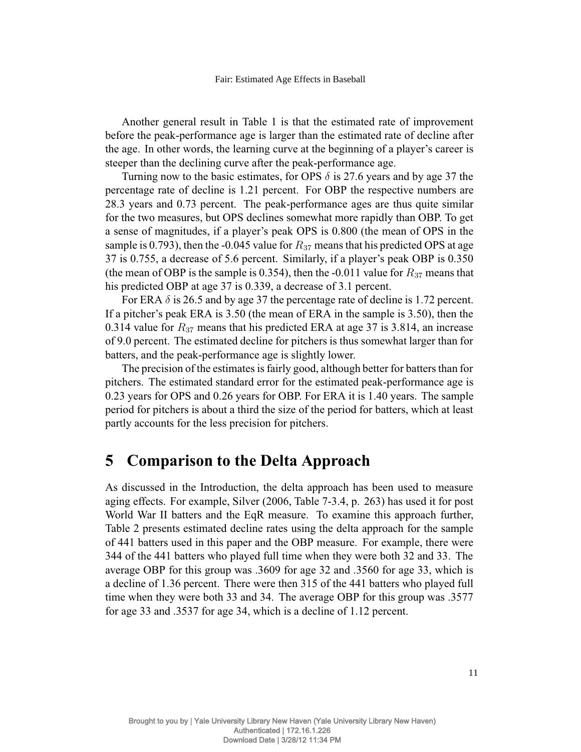Another general result in Table 1 is that the estimated rate of improvement before the peak-performance age is larger than the estimated rate of decline after the age. In other words, the learning curve at the beginning of a player's career is steeper than the declining curve after the peak-performance age.

Turning now to the basic estimates, for OPS  $\delta$  is 27.6 years and by age 37 the percentage rate of decline is 1.21 percent. For OBP the respective numbers are 28.3 years and 0.73 percent. The peak-performance ages are thus quite similar for the two measures, but OPS declines somewhat more rapidly than OBP. To get a sense of magnitudes, if a player's peak OPS is 0.800 (the mean of OPS in the sample is 0.793), then the -0.045 value for  $R_{37}$  means that his predicted OPS at age 37 is 0.755, a decrease of 5.6 percent. Similarly, if a player's peak OBP is 0.350 (the mean of OBP is the sample is 0.354), then the -0.011 value for  $R_{37}$  means that his predicted OBP at age 37 is 0.339, a decrease of 3.1 percent.

For ERA  $\delta$  is 26.5 and by age 37 the percentage rate of decline is 1.72 percent. If a pitcher's peak ERA is 3.50 (the mean of ERA in the sample is 3.50), then the 0.314 value for  $R_{37}$  means that his predicted ERA at age 37 is 3.814, an increase of 9.0 percent. The estimated decline for pitchers is thus somewhat larger than for batters, and the peak-performance age is slightly lower.

The precision of the estimates is fairly good, although better for batters than for pitchers. The estimated standard error for the estimated peak-performance age is 0.23 years for OPS and 0.26 years for OBP. For ERA it is 1.40 years. The sample period for pitchers is about a third the size of the period for batters, which at least partly accounts for the less precision for pitchers.

#### **5 Comparison to the Delta Approach**

As discussed in the Introduction, the delta approach has been used to measure aging effects. For example, Silver (2006, Table 7-3.4, p. 263) has used it for post World War II batters and the EqR measure. To examine this approach further, Table 2 presents estimated decline rates using the delta approach for the sample of 441 batters used in this paper and the OBP measure. For example, there were 344 of the 441 batters who played full time when they were both 32 and 33. The average OBP for this group was .3609 for age 32 and .3560 for age 33, which is a decline of 1.36 percent. There were then 315 of the 441 batters who played full time when they were both 33 and 34. The average OBP for this group was .3577 for age 33 and .3537 for age 34, which is a decline of 1.12 percent.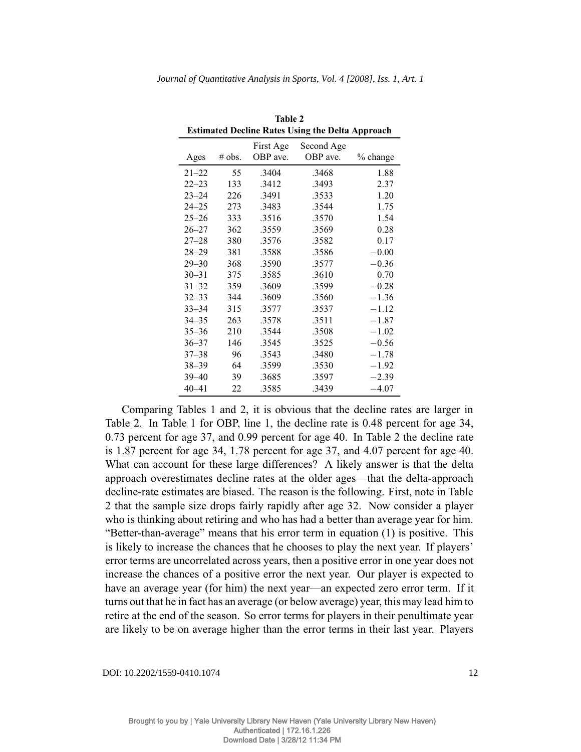|  | Journal of Quantitative Analysis in Sports, Vol. 4 [2008], Iss. 1, Art. 1 |  |
|--|---------------------------------------------------------------------------|--|
|  |                                                                           |  |

|           | <b>Estimated Decline Rates Using the Delta Approach</b> |                       |                        |          |  |  |  |  |  |
|-----------|---------------------------------------------------------|-----------------------|------------------------|----------|--|--|--|--|--|
| Ages      | # obs.                                                  | First Age<br>OBP ave. | Second Age<br>OBP ave. | % change |  |  |  |  |  |
| $21 - 22$ | 55                                                      | .3404                 | .3468                  | 1.88     |  |  |  |  |  |
| 22–23     | 133                                                     | .3412                 | .3493                  | 2.37     |  |  |  |  |  |
| $23 - 24$ | 226                                                     | .3491                 | .3533                  | 1.20     |  |  |  |  |  |
| 24–25     | 273                                                     | .3483                 | .3544                  | 1.75     |  |  |  |  |  |
| $25 - 26$ | 333                                                     | .3516                 | .3570                  | 1.54     |  |  |  |  |  |
| $26 - 27$ | 362                                                     | .3559                 | .3569                  | 0.28     |  |  |  |  |  |
| 27–28     | 380                                                     | .3576                 | .3582                  | 0.17     |  |  |  |  |  |
| $28 - 29$ | 381                                                     | .3588                 | .3586                  | $-0.00$  |  |  |  |  |  |
| $29 - 30$ | 368                                                     | .3590                 | .3577                  | $-0.36$  |  |  |  |  |  |
| $30 - 31$ | 375                                                     | .3585                 | .3610                  | 0.70     |  |  |  |  |  |
| $31 - 32$ | 359                                                     | .3609                 | .3599                  | $-0.28$  |  |  |  |  |  |
| $32 - 33$ | 344                                                     | .3609                 | .3560                  | $-1.36$  |  |  |  |  |  |
| $33 - 34$ | 315                                                     | .3577                 | .3537                  | $-1.12$  |  |  |  |  |  |
| $34 - 35$ | 263                                                     | .3578                 | .3511                  | $-1.87$  |  |  |  |  |  |
| $35 - 36$ | 210                                                     | .3544                 | .3508                  | $-1.02$  |  |  |  |  |  |
| $36 - 37$ | 146                                                     | .3545                 | .3525                  | $-0.56$  |  |  |  |  |  |
| $37 - 38$ | 96                                                      | .3543                 | .3480                  | $-1.78$  |  |  |  |  |  |
| 38–39     | 64                                                      | .3599                 | .3530                  | $-1.92$  |  |  |  |  |  |
| $39 - 40$ | 39                                                      | .3685                 | .3597                  | $-2.39$  |  |  |  |  |  |
| 40–41     | 22                                                      | .3585                 | .3439                  | $-4.07$  |  |  |  |  |  |

**Table 2**

Comparing Tables 1 and 2, it is obvious that the decline rates are larger in Table 2. In Table 1 for OBP, line 1, the decline rate is 0.48 percent for age 34, 0.73 percent for age 37, and 0.99 percent for age 40. In Table 2 the decline rate is 1.87 percent for age 34, 1.78 percent for age 37, and 4.07 percent for age 40. What can account for these large differences? A likely answer is that the delta approach overestimates decline rates at the older ages—that the delta-approach decline-rate estimates are biased. The reason is the following. First, note in Table 2 that the sample size drops fairly rapidly after age 32. Now consider a player who is thinking about retiring and who has had a better than average year for him. "Better-than-average" means that his error term in equation (1) is positive. This is likely to increase the chances that he chooses to play the next year. If players' error terms are uncorrelated across years, then a positive error in one year does not increase the chances of a positive error the next year. Our player is expected to have an average year (for him) the next year—an expected zero error term. If it turns out that he in fact has an average (or below average) year, this may lead him to retire at the end of the season. So error terms for players in their penultimate year are likely to be on average higher than the error terms in their last year. Players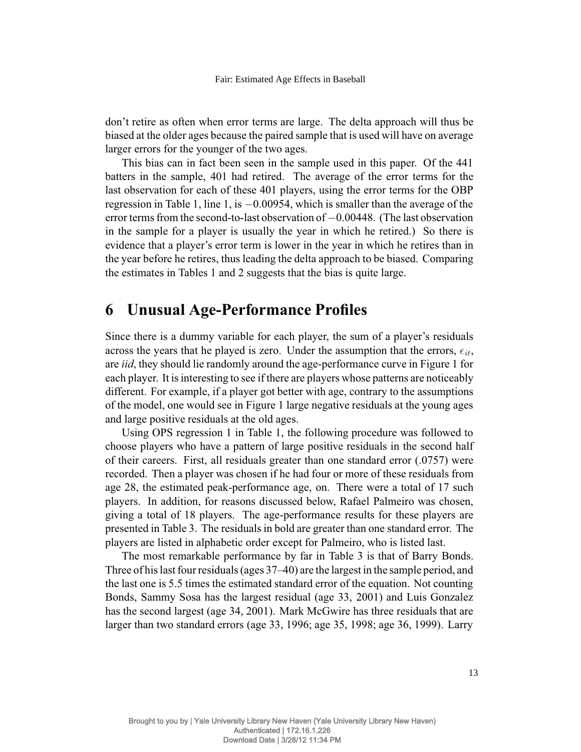don't retire as often when error terms are large. The delta approach will thus be biased at the older ages because the paired sample that is used will have on average larger errors for the younger of the two ages.

This bias can in fact been seen in the sample used in this paper. Of the 441 batters in the sample, 401 had retired. The average of the error terms for the last observation for each of these 401 players, using the error terms for the OBP regression in Table 1, line 1, is −0.00954, which is smaller than the average of the error terms from the second-to-last observation of −0.00448. (The last observation in the sample for a player is usually the year in which he retired.) So there is evidence that a player's error term is lower in the year in which he retires than in the year before he retires, thus leading the delta approach to be biased. Comparing the estimates in Tables 1 and 2 suggests that the bias is quite large.

## **6 Unusual Age-Performance Profiles**

Since there is a dummy variable for each player, the sum of a player's residuals across the years that he played is zero. Under the assumption that the errors,  $\epsilon_{it}$ , are *iid*, they should lie randomly around the age-performance curve in Figure 1 for each player. It is interesting to see if there are players whose patterns are noticeably different. For example, if a player got better with age, contrary to the assumptions of the model, one would see in Figure 1 large negative residuals at the young ages and large positive residuals at the old ages.

Using OPS regression 1 in Table 1, the following procedure was followed to choose players who have a pattern of large positive residuals in the second half of their careers. First, all residuals greater than one standard error (.0757) were recorded. Then a player was chosen if he had four or more of these residuals from age 28, the estimated peak-performance age, on. There were a total of 17 such players. In addition, for reasons discussed below, Rafael Palmeiro was chosen, giving a total of 18 players. The age-performance results for these players are presented in Table 3. The residualsin bold are greater than one standard error. The players are listed in alphabetic order except for Palmeiro, who is listed last.

The most remarkable performance by far in Table 3 is that of Barry Bonds. Three of his last four residuals (ages 37–40) are the largest in the sample period, and the last one is 5.5 times the estimated standard error of the equation. Not counting Bonds, Sammy Sosa has the largest residual (age 33, 2001) and Luis Gonzalez has the second largest (age 34, 2001). Mark McGwire has three residuals that are larger than two standard errors (age 33, 1996; age 35, 1998; age 36, 1999). Larry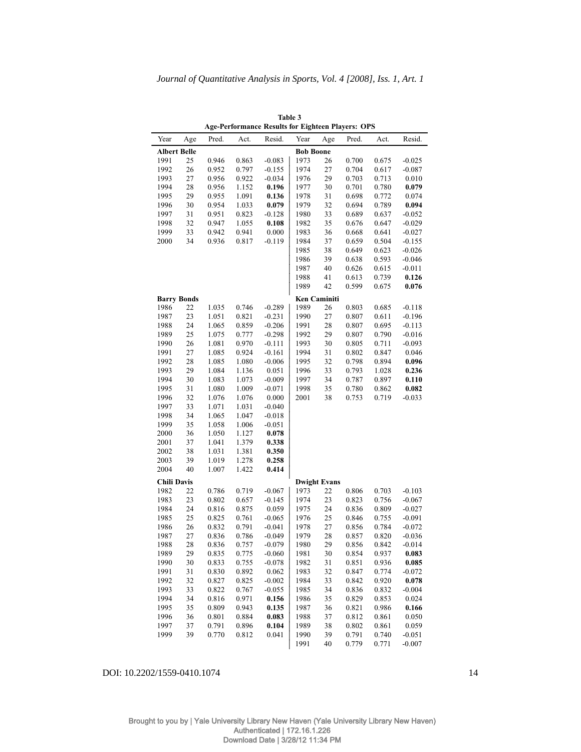|                     |          |                |                | Age-Periormance Results for Eignteen Piayers: OPS |                  |                     |                |                |                   |
|---------------------|----------|----------------|----------------|---------------------------------------------------|------------------|---------------------|----------------|----------------|-------------------|
| Year                | Age      | Pred.          | Act.           | Resid.                                            | Year             | Age                 | Pred.          | Act.           | Resid.            |
| <b>Albert Belle</b> |          |                |                |                                                   | <b>Bob Boone</b> |                     |                |                |                   |
| 1991                | 25       | 0.946          | 0.863          | $-0.083$                                          | 1973             | 26                  | 0.700          | 0.675          | $-0.025$          |
| 1992                | 26       | 0.952          | 0.797          | $-0.155$                                          | 1974             | 27                  | 0.704          | 0.617          | $-0.087$          |
| 1993                | 27       | 0.956          | 0.922          | $-0.034$                                          | 1976             | 29                  | 0.703          | 0.713          | 0.010             |
| 1994                | 28       | 0.956          | 1.152          | 0.196                                             | 1977             | 30                  | 0.701          | 0.780          | 0.079             |
| 1995                | 29       | 0.955          | 1.091          | 0.136                                             | 1978             | 31                  | 0.698          | 0.772          | 0.074             |
| 1996                | 30       | 0.954          | 1.033          | 0.079                                             | 1979             | 32                  | 0.694          | 0.789          | 0.094             |
| 1997                | 31       | 0.951          | 0.823          | $-0.128$                                          | 1980             | 33                  | 0.689          | 0.637          | $-0.052$          |
| 1998                | 32       | 0.947          | 1.055          | 0.108                                             | 1982             | 35                  | 0.676          | 0.647          | $-0.029$          |
| 1999                | 33       | 0.942          | 0.941          | 0.000                                             | 1983             | 36                  | 0.668          | 0.641          | $-0.027$          |
| 2000                | 34       | 0.936          | 0.817          | $-0.119$                                          | 1984             | 37                  | 0.659          | 0.504          | $-0.155$          |
|                     |          |                |                |                                                   | 1985             | 38                  | 0.649          | 0.623          | $-0.026$          |
|                     |          |                |                |                                                   | 1986             | 39                  | 0.638          | 0.593          | $-0.046$          |
|                     |          |                |                |                                                   | 1987             | 40                  | 0.626          | 0.615          | $-0.011$          |
|                     |          |                |                |                                                   | 1988             | 41                  | 0.613          | 0.739          | 0.126             |
|                     |          |                |                |                                                   | 1989             | 42                  | 0.599          | 0.675          | 0.076             |
| <b>Barry Bonds</b>  |          |                |                |                                                   |                  | <b>Ken Caminiti</b> |                |                |                   |
| 1986                | 22       | 1.035          | 0.746          | $-0.289$                                          | 1989             | 26                  | 0.803          | 0.685          | $-0.118$          |
| 1987                | 23       | 1.051          | 0.821          | $-0.231$                                          | 1990             | 27                  | 0.807          | 0.611          | $-0.196$          |
| 1988                | 24       | 1.065          | 0.859          | $-0.206$                                          | 1991             | 28                  | 0.807          | 0.695          | $-0.113$          |
| 1989                | 25       | 1.075          | 0.777          | $-0.298$                                          | 1992             | 29                  | 0.807          | 0.790          | $-0.016$          |
| 1990                | 26       | 1.081          | 0.970          | $-0.111$                                          | 1993             | 30                  | 0.805          | 0.711          | $-0.093$          |
| 1991                | 27       | 1.085          | 0.924          | $-0.161$                                          | 1994             | 31                  | 0.802          | 0.847          | 0.046             |
| 1992                | 28       | 1.085          | 1.080          | $-0.006$                                          | 1995             | 32                  | 0.798          | 0.894          | 0.096             |
| 1993                | 29       | 1.084          | 1.136          | 0.051                                             | 1996             | 33                  | 0.793          | 1.028          | 0.236             |
| 1994                | 30       | 1.083          | 1.073          | $-0.009$                                          | 1997             | 34                  | 0.787          | 0.897          | 0.110             |
| 1995                | 31       | 1.080          | 1.009          | $-0.071$                                          | 1998             | 35                  | 0.780          | 0.862          | 0.082             |
| 1996                | 32       | 1.076          | 1.076          | 0.000                                             | 2001             | 38                  | 0.753          | 0.719          | $-0.033$          |
| 1997                | 33       | 1.071          | 1.031          | $-0.040$                                          |                  |                     |                |                |                   |
| 1998                | 34       | 1.065          | 1.047          | $-0.018$                                          |                  |                     |                |                |                   |
| 1999                | 35       | 1.058          | 1.006          | $-0.051$                                          |                  |                     |                |                |                   |
| 2000                | 36       | 1.050          | 1.127          | 0.078                                             |                  |                     |                |                |                   |
| 2001                | 37       | 1.041          | 1.379          | 0.338                                             |                  |                     |                |                |                   |
| 2002<br>2003        | 38       | 1.031          | 1.381          | 0.350                                             |                  |                     |                |                |                   |
|                     | 39       | 1.019          | 1.278          | 0.258                                             |                  |                     |                |                |                   |
| 2004                | 40       | 1.007          | 1.422          | 0.414                                             |                  |                     |                |                |                   |
| <b>Chili Davis</b>  |          |                |                |                                                   |                  | <b>Dwight Evans</b> |                |                |                   |
| 1982                | 22       | 0.786          | 0.719          | $-0.067$                                          | 1973             | 22                  | 0.806          | 0.703          | $-0.103$          |
| 1983                | 23       | 0.802          | 0.657          | $-0.145$                                          | 1974             | 23                  | 0.823          | 0.756          | $-0.067$          |
| 1984                | 24       | 0.816          | 0.875          | 0.059                                             | 1975             | 24                  | 0.836          | 0.809          | $-0.027$          |
| 1985                | 25       | 0.825          | 0.761          | $-0.065$                                          | 1976             | 25                  | 0.846          | 0.755          | $-0.091$          |
| 1986                | 26       | 0.832          | 0.791          | $-0.041$                                          | 1978             | 27                  | 0.856          | 0.784          | $-0.072$          |
| 1987                | 27       | 0.836          | 0.786          | $-0.049$                                          | 1979             | 28                  | 0.857          | 0.820          | $-0.036$          |
| 1988                | 28       | 0.836          | 0.757          | $-0.079$                                          | 1980             | 29                  | 0.856          | 0.842          | $-0.014$          |
| 1989                | 29       | 0.835          | 0.775          | $-0.060$                                          | 1981             | 30                  | 0.854          | 0.937          | 0.083             |
| 1990                | 30       | 0.833          | 0.755          | $-0.078$                                          | 1982             | 31                  | 0.851          | 0.936          | 0.085             |
| 1991                | 31       | 0.830          | 0.892          | 0.062                                             | 1983             | 32                  | 0.847          | 0.774          | $-0.072$          |
| 1992                | 32       | 0.827          | 0.825          | $-0.002$                                          | 1984             | 33                  | 0.842          | 0.920          | 0.078             |
| 1993<br>1994        | 33       | 0.822          | 0.767          | $-0.055$<br>0.156                                 | 1985             | 34                  | 0.836          | 0.832          | $-0.004$<br>0.024 |
| 1995                | 34       | 0.816<br>0.809 | 0.971<br>0.943 | 0.135                                             | 1986<br>1987     | 35                  | 0.829          | 0.853<br>0.986 |                   |
| 1996                | 35<br>36 | 0.801          | 0.884          | 0.083                                             | 1988             | 36<br>37            | 0.821<br>0.812 | 0.861          | 0.166<br>0.050    |
| 1997                | 37       | 0.791          | 0.896          | 0.104                                             | 1989             | 38                  | 0.802          | 0.861          | 0.059             |
| 1999                | 39       | 0.770          | 0.812          | 0.041                                             | 1990             | 39                  | 0.791          | 0.740          | $-0.051$          |
|                     |          |                |                |                                                   | 1991             | 40                  | 0.779          | 0.771          | $-0.007$          |
|                     |          |                |                |                                                   |                  |                     |                |                |                   |

**Table 3 Age-Performance Results for Eighteen Players: OPS**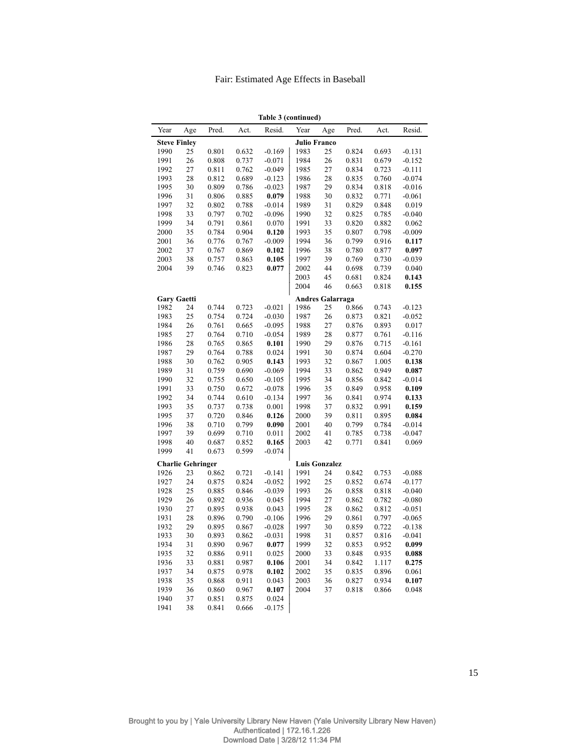|  | Fair: Estimated Age Effects in Baseball |  |  |  |  |
|--|-----------------------------------------|--|--|--|--|
|--|-----------------------------------------|--|--|--|--|

|                     |                          |                |                | Table 3 (continued) |      |                         |                |                |                |
|---------------------|--------------------------|----------------|----------------|---------------------|------|-------------------------|----------------|----------------|----------------|
| Year                | Age                      | Pred.          | Act.           | Resid.              | Year | Age                     | Pred.          | Act.           | Resid.         |
| <b>Steve Finley</b> |                          |                |                |                     |      | <b>Julio Franco</b>     |                |                |                |
| 1990                | 25                       | 0.801          | 0.632          | $-0.169$            | 1983 | 25                      | 0.824          | 0.693          | $-0.131$       |
| 1991                | 26                       | 0.808          | 0.737          | $-0.071$            | 1984 | 26                      | 0.831          | 0.679          | $-0.152$       |
| 1992                | 27                       | 0.811          | 0.762          | $-0.049$            | 1985 | 27                      | 0.834          | 0.723          | $-0.111$       |
| 1993                | 28                       | 0.812          | 0.689          | $-0.123$            | 1986 | 28                      | 0.835          | 0.760          | $-0.074$       |
| 1995                | 30                       | 0.809          | 0.786          | $-0.023$            | 1987 | 29                      | 0.834          | 0.818          | $-0.016$       |
| 1996                | 31                       | 0.806          | 0.885          | 0.079               | 1988 | 30                      | 0.832          | 0.771          | $-0.061$       |
| 1997                | 32                       | 0.802          | 0.788          | $-0.014$            | 1989 | 31                      | 0.829          | 0.848          | 0.019          |
| 1998                | 33                       | 0.797          | 0.702          | $-0.096$            | 1990 | 32                      | 0.825          | 0.785          | $-0.040$       |
| 1999                | 34                       | 0.791          | 0.861          | 0.070               | 1991 | 33                      | 0.820          | 0.882          | 0.062          |
| 2000                | 35                       | 0.784          | 0.904          | 0.120               | 1993 | 35                      | 0.807          | 0.798          | $-0.009$       |
| 2001                | 36                       | 0.776          | 0.767          | $-0.009$            | 1994 | 36                      | 0.799          | 0.916          | 0.117          |
| 2002                | 37                       | 0.767          | 0.869          | 0.102               | 1996 | 38                      | 0.780          | 0.877          | 0.097          |
| 2003                | 38                       | 0.757          | 0.863          | 0.105               | 1997 | 39                      | 0.769          | 0.730          | $-0.039$       |
| 2004                | 39                       | 0.746          | 0.823          | 0.077               | 2002 | 44                      | 0.698          | 0.739          | 0.040          |
|                     |                          |                |                |                     | 2003 | 45                      | 0.681          | 0.824          | 0.143          |
|                     |                          |                |                |                     | 2004 | 46                      | 0.663          | 0.818          | 0.155          |
| <b>Gary Gaetti</b>  |                          |                |                |                     |      | <b>Andres Galarraga</b> |                |                |                |
| 1982                | 24                       | 0.744          | 0.723          | $-0.021$            | 1986 | 25                      | 0.866          | 0.743          | $-0.123$       |
| 1983                | 25                       | 0.754          | 0.724          | $-0.030$            | 1987 | 26                      | 0.873          | 0.821          | $-0.052$       |
| 1984                | 26                       | 0.761          | 0.665          | $-0.095$            | 1988 | 27                      | 0.876          | 0.893          | 0.017          |
| 1985                | 27                       | 0.764          | 0.710          | $-0.054$            | 1989 | 28                      | 0.877          | 0.761          | $-0.116$       |
| 1986                | 28                       | 0.765          | 0.865          | 0.101               | 1990 | 29                      | 0.876          | 0.715          | $-0.161$       |
| 1987                | 29                       | 0.764          | 0.788          | 0.024               | 1991 | 30                      | 0.874          | 0.604          | $-0.270$       |
| 1988                | 30                       | 0.762          | 0.905          | 0.143               | 1993 | 32                      | 0.867          | 1.005          | 0.138          |
| 1989                | 31                       | 0.759          | 0.690          | $-0.069$            | 1994 | 33                      | 0.862          | 0.949          | 0.087          |
| 1990                | 32                       | 0.755          | 0.650          | $-0.105$            | 1995 | 34                      | 0.856          | 0.842          | $-0.014$       |
| 1991                | 33                       | 0.750          | 0.672          | $-0.078$            | 1996 | 35                      | 0.849          | 0.958          | 0.109          |
| 1992                | 34                       | 0.744          | 0.610          | $-0.134$            | 1997 | 36                      | 0.841          | 0.974          | 0.133          |
| 1993                | 35                       | 0.737          | 0.738          | 0.001               | 1998 | 37                      | 0.832          | 0.991          | 0.159          |
| 1995                | 37                       | 0.720          | 0.846          | 0.126               | 2000 | 39                      | 0.811          | 0.895          | 0.084          |
| 1996                | 38                       | 0.710          | 0.799          | 0.090               | 2001 | 40                      | 0.799          | 0.784          | $-0.014$       |
| 1997                | 39                       | 0.699          | 0.710          | 0.011               | 2002 | 41                      | 0.785          | 0.738          | $-0.047$       |
| 1998                | 40                       | 0.687          | 0.852          | 0.165               | 2003 | 42                      | 0.771          | 0.841          | 0.069          |
| 1999                | 41                       | 0.673          | 0.599          | $-0.074$            |      |                         |                |                |                |
|                     | <b>Charlie Gehringer</b> |                |                |                     |      | <b>Luis Gonzalez</b>    |                |                |                |
| 1926                | 23                       | 0.862          | 0.721          | $-0.141$            | 1991 | 24                      | 0.842          | 0.753          | $-0.088$       |
| 1927                | 24                       | 0.875          | 0.824          | $-0.052$            | 1992 | 25                      | 0.852          | 0.674          | $-0.177$       |
| 1928                | 25                       | 0.885          | 0.846          | $-0.039$            | 1993 | 26                      | 0.858          | 0.818          | $-0.040$       |
| 1929                | 26                       | 0.892          | 0.936          | 0.045               | 1994 | 27                      | 0.862          | 0.782          | $-0.080$       |
| 1930                | 27                       | 0.895          | 0.938          | 0.043               | 1995 | 28                      | 0.862          | 0.812          | $-0.051$       |
| 1931                | 28                       | 0.896          | 0.790          | $-0.106$            | 1996 | 29                      | 0.861          | 0.797          | $-0.065$       |
| 1932                | 29                       | 0.895          | 0.867          | $-0.028$            | 1997 | 30                      | 0.859          | 0.722          | $-0.138$       |
| 1933                | 30                       | 0.893          | 0.862          | $-0.031$            | 1998 | 31                      | 0.857          | 0.816          | $-0.041$       |
| 1934                | 31                       | 0.890          | 0.967          | 0.077               | 1999 | 32                      | 0.853          | 0.952          | 0.099          |
|                     |                          | 0.886          | 0.911          |                     | 2000 |                         | 0.848          |                |                |
| 1935<br>1936        | 32<br>33                 | 0.881          | 0.987          | 0.025<br>0.106      | 2001 | 33<br>34                | 0.842          | 0.935<br>1.117 | 0.088<br>0.275 |
|                     | 34                       |                |                |                     | 2002 |                         |                |                |                |
| 1937                |                          | 0.875<br>0.868 | 0.978<br>0.911 | 0.102               | 2003 | 35<br>36                | 0.835<br>0.827 | 0.896<br>0.934 | 0.061          |
| 1938                | 35                       |                |                | 0.043               |      |                         |                |                | 0.107          |
| 1939                | 36                       | 0.860          | 0.967          | 0.107               | 2004 | 37                      | 0.818          | 0.866          | 0.048          |
| 1940                | 37                       | 0.851          | 0.875          | 0.024               |      |                         |                |                |                |
| 1941                | 38                       | 0.841          | 0.666          | $-0.175$            |      |                         |                |                |                |

**Table 3 (continued)**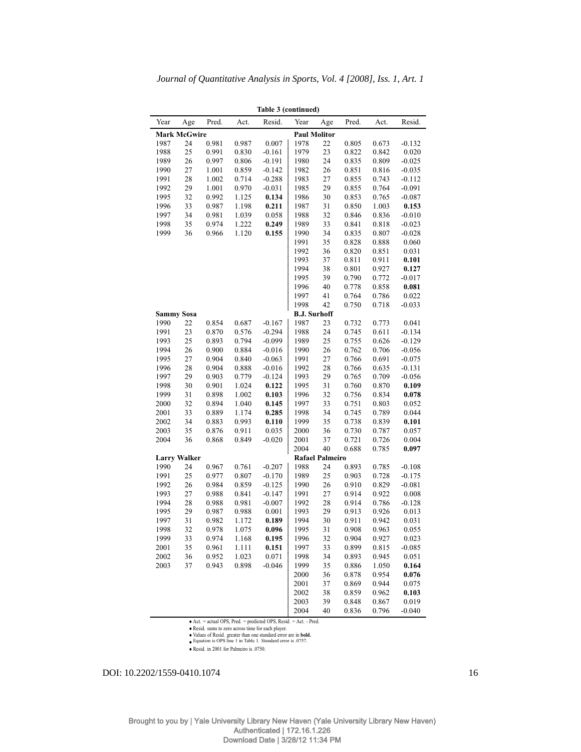|                   |                     |       |       | тарис э дебийниси) |                     |                        |       |       |          |
|-------------------|---------------------|-------|-------|--------------------|---------------------|------------------------|-------|-------|----------|
| Year              | Age                 | Pred. | Act.  | Resid.             | Year                | Age                    | Pred. | Act.  | Resid.   |
|                   | <b>Mark McGwire</b> |       |       |                    | <b>Paul Molitor</b> |                        |       |       |          |
| 1987              | 24                  | 0.981 | 0.987 | 0.007              | 1978                | 22                     | 0.805 | 0.673 | $-0.132$ |
| 1988              | 25                  | 0.991 | 0.830 | $-0.161$           | 1979                | 23                     | 0.822 | 0.842 | 0.020    |
| 1989              | 26                  | 0.997 | 0.806 | $-0.191$           | 1980                | 24                     | 0.835 | 0.809 | $-0.025$ |
| 1990              | 27                  | 1.001 | 0.859 | $-0.142$           | 1982                | 26                     | 0.851 | 0.816 | $-0.035$ |
| 1991              | 28                  | 1.002 | 0.714 | $-0.288$           | 1983                | 27                     | 0.855 | 0.743 | $-0.112$ |
| 1992              | 29                  | 1.001 | 0.970 | $-0.031$           | 1985                | 29                     | 0.855 | 0.764 | $-0.091$ |
| 1995              | 32                  | 0.992 | 1.125 | 0.134              | 1986                | 30                     | 0.853 | 0.765 | $-0.087$ |
| 1996              | 33                  | 0.987 | 1.198 | 0.211              | 1987                | 31                     | 0.850 | 1.003 | 0.153    |
| 1997              | 34                  | 0.981 | 1.039 | 0.058              | 1988                | 32                     | 0.846 | 0.836 | $-0.010$ |
| 1998              | 35                  | 0.974 | 1.222 | 0.249              | 1989                | 33                     | 0.841 | 0.818 | $-0.023$ |
| 1999              | 36                  | 0.966 | 1.120 | 0.155              | 1990                | 34                     | 0.835 | 0.807 | $-0.028$ |
|                   |                     |       |       |                    | 1991                | 35                     | 0.828 | 0.888 | 0.060    |
|                   |                     |       |       |                    | 1992                | 36                     | 0.820 | 0.851 | 0.031    |
|                   |                     |       |       |                    | 1993                | 37                     | 0.811 | 0.911 | 0.101    |
|                   |                     |       |       |                    | 1994                | 38                     | 0.801 | 0.927 | 0.127    |
|                   |                     |       |       |                    | 1995                | 39                     | 0.790 | 0.772 | $-0.017$ |
|                   |                     |       |       |                    | 1996                | 40                     | 0.778 | 0.858 | 0.081    |
|                   |                     |       |       |                    | 1997                | 41                     | 0.764 | 0.786 | 0.022    |
|                   |                     |       |       |                    | 1998                | 42                     | 0.750 | 0.718 | $-0.033$ |
| <b>Sammy Sosa</b> |                     |       |       |                    | <b>B.J. Surhoff</b> |                        |       |       |          |
| 1990              | 22                  | 0.854 | 0.687 | $-0.167$           | 1987                | 23                     | 0.732 | 0.773 | 0.041    |
| 1991              | 23                  | 0.870 | 0.576 | $-0.294$           | 1988                | 24                     | 0.745 | 0.611 | $-0.134$ |
| 1993              | 25                  | 0.893 | 0.794 | $-0.099$           | 1989                | 25                     | 0.755 | 0.626 | $-0.129$ |
| 1994              | 26                  | 0.900 | 0.884 | $-0.016$           | 1990                | 26                     | 0.762 | 0.706 | $-0.056$ |
| 1995              | 27                  | 0.904 | 0.840 | $-0.063$           | 1991                | 27                     | 0.766 | 0.691 | $-0.075$ |
| 1996              | 28                  | 0.904 | 0.888 | $-0.016$           | 1992                | 28                     | 0.766 | 0.635 | $-0.131$ |
| 1997              | 29                  | 0.903 | 0.779 | $-0.124$           | 1993                | 29                     | 0.765 | 0.709 | $-0.056$ |
| 1998              | 30                  | 0.901 | 1.024 | 0.122              | 1995                | 31                     | 0.760 | 0.870 | 0.109    |
| 1999              | 31                  | 0.898 | 1.002 | 0.103              | 1996                | 32                     | 0.756 | 0.834 | 0.078    |
| 2000              | 32                  | 0.894 | 1.040 | 0.145              | 1997                | 33                     | 0.751 | 0.803 | 0.052    |
| 2001              | 33                  | 0.889 | 1.174 | 0.285              | 1998                | 34                     | 0.745 | 0.789 | 0.044    |
| 2002              | 34                  | 0.883 | 0.993 | 0.110              | 1999                | 35                     | 0.738 | 0.839 | 0.101    |
| 2003              | 35                  | 0.876 | 0.911 | 0.035              | 2000                | 36                     | 0.730 | 0.787 | 0.057    |
| 2004              | 36                  | 0.868 | 0.849 | $-0.020$           | 2001                | 37                     | 0.721 | 0.726 | 0.004    |
|                   |                     |       |       |                    | 2004                | 40                     | 0.688 | 0.785 | 0.097    |
|                   | <b>Larry Walker</b> |       |       |                    |                     | <b>Rafael Palmeiro</b> |       |       |          |
| 1990              | 24                  | 0.967 | 0.761 | $-0.207$           | 1988                | 24                     | 0.893 | 0.785 | $-0.108$ |
| 1991              | 25                  | 0.977 | 0.807 | $-0.170$           | 1989                | 25                     | 0.903 | 0.728 | $-0.175$ |
| 1992              | 26                  | 0.984 | 0.859 | $-0.125$           | 1990                | 26                     | 0.910 | 0.829 | $-0.081$ |
| 1993              | 27                  | 0.988 | 0.841 | $-0.147$           | 1991                | 27                     | 0.914 | 0.922 | 0.008    |
| 1994              | 28                  | 0.988 | 0.981 | $-0.007$           | 1992                | 28                     | 0.914 | 0.786 | $-0.128$ |
| 1995              | 29                  | 0.987 | 0.988 | 0.001              | 1993                | 29                     | 0.913 | 0.926 | 0.013    |
| 1997              | 31                  | 0.982 | 1.172 | 0.189              | 1994                | 30                     | 0.911 | 0.942 | 0.031    |
| 1998              | 32                  | 0.978 | 1.075 | 0.096              | 1995                | 31                     | 0.908 | 0.963 | 0.055    |
| 1999              | 33                  | 0.974 | 1.168 | 0.195              | 1996                | 32                     | 0.904 | 0.927 | 0.023    |
| 2001              | 35                  | 0.961 | 1.111 | 0.151              | 1997                | 33                     | 0.899 | 0.815 | $-0.085$ |
| 2002              | 36                  | 0.952 | 1.023 | 0.071              | 1998                | 34                     | 0.893 | 0.945 | 0.051    |
| 2003              | 37                  | 0.943 | 0.898 | $-0.046$           | 1999                | 35                     | 0.886 | 1.050 | 0.164    |
|                   |                     |       |       |                    | 2000                | 36                     | 0.878 | 0.954 | 0.076    |
|                   |                     |       |       |                    | 2001                | 37                     | 0.869 | 0.944 | 0.075    |
|                   |                     |       |       |                    | 2002                | 38                     | 0.859 | 0.962 | 0.103    |
|                   |                     |       |       |                    | 2003                | 39                     | 0.848 | 0.867 | 0.019    |
|                   |                     |       |       |                    | 2004                | 40                     | 0.836 | 0.796 | $-0.040$ |

**Table 3 (continued)**

• Act. = actual OPS, Pred. = predicted OPS, Resid. = Act. - Pred.<br>• Resid. sums to zero across time for each player.<br>• Values of Resid. greater than one standard error are in **bold.**<br>• Equation is OPS line 1 in Table 1. S

• Resid. in 2001 for Palmeiro is .0750.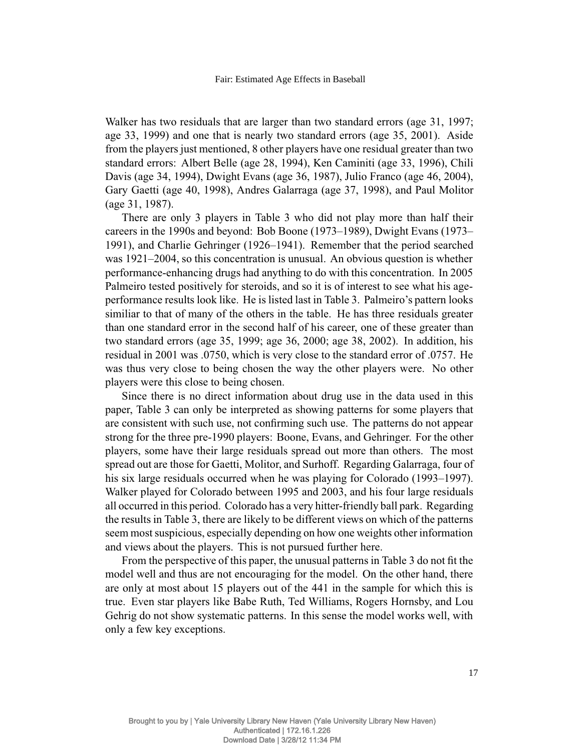Walker has two residuals that are larger than two standard errors (age 31, 1997; age 33, 1999) and one that is nearly two standard errors (age 35, 2001). Aside from the players just mentioned, 8 other players have one residual greater than two standard errors: Albert Belle (age 28, 1994), Ken Caminiti (age 33, 1996), Chili Davis (age 34, 1994), Dwight Evans (age 36, 1987), Julio Franco (age 46, 2004), Gary Gaetti (age 40, 1998), Andres Galarraga (age 37, 1998), and Paul Molitor (age 31, 1987).

There are only 3 players in Table 3 who did not play more than half their careers in the 1990s and beyond: Bob Boone (1973–1989), Dwight Evans (1973– 1991), and Charlie Gehringer (1926–1941). Remember that the period searched was 1921–2004, so this concentration is unusual. An obvious question is whether performance-enhancing drugs had anything to do with this concentration. In 2005 Palmeiro tested positively for steroids, and so it is of interest to see what his ageperformance results look like. He is listed last in Table 3. Palmeiro's pattern looks similiar to that of many of the others in the table. He has three residuals greater than one standard error in the second half of his career, one of these greater than two standard errors (age 35, 1999; age 36, 2000; age 38, 2002). In addition, his residual in 2001 was .0750, which is very close to the standard error of .0757. He was thus very close to being chosen the way the other players were. No other players were this close to being chosen.

Since there is no direct information about drug use in the data used in this paper, Table 3 can only be interpreted as showing patterns for some players that are consistent with such use, not confirming such use. The patterns do not appear strong for the three pre-1990 players: Boone, Evans, and Gehringer. For the other players, some have their large residuals spread out more than others. The most spread out are those for Gaetti, Molitor, and Surhoff. Regarding Galarraga, four of his six large residuals occurred when he was playing for Colorado (1993–1997). Walker played for Colorado between 1995 and 2003, and his four large residuals all occurred in this period. Colorado has a very hitter-friendly ball park. Regarding the results in Table 3, there are likely to be different views on which of the patterns seem most suspicious, especially depending on how one weights other information and views about the players. This is not pursued further here.

From the perspective of this paper, the unusual patterns in Table 3 do not fit the model well and thus are not encouraging for the model. On the other hand, there are only at most about 15 players out of the 441 in the sample for which this is true. Even star players like Babe Ruth, Ted Williams, Rogers Hornsby, and Lou Gehrig do not show systematic patterns. In this sense the model works well, with only a few key exceptions.

17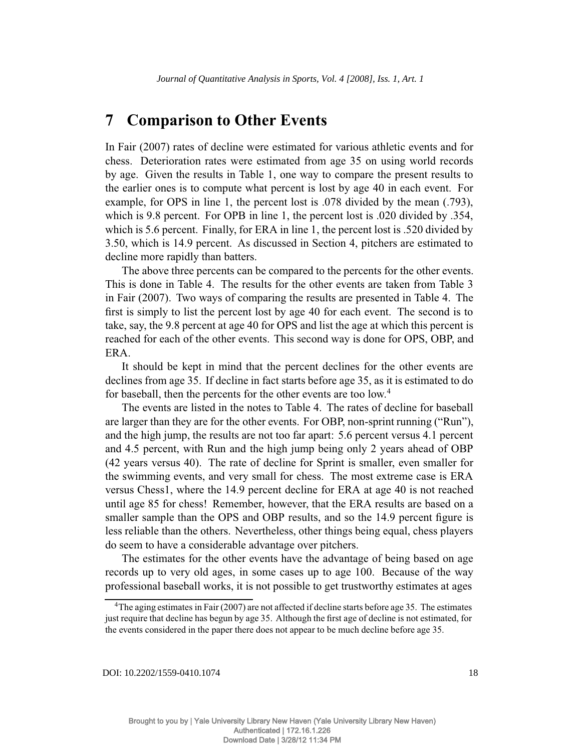## **7 Comparison to Other Events**

In Fair (2007) rates of decline were estimated for various athletic events and for chess. Deterioration rates were estimated from age 35 on using world records by age. Given the results in Table 1, one way to compare the present results to the earlier ones is to compute what percent is lost by age 40 in each event. For example, for OPS in line 1, the percent lost is .078 divided by the mean (.793), which is 9.8 percent. For OPB in line 1, the percent lost is .020 divided by .354, which is 5.6 percent. Finally, for ERA in line 1, the percent lost is .520 divided by 3.50, which is 14.9 percent. As discussed in Section 4, pitchers are estimated to decline more rapidly than batters.

The above three percents can be compared to the percents for the other events. This is done in Table 4. The results for the other events are taken from Table 3 in Fair (2007). Two ways of comparing the results are presented in Table 4. The first is simply to list the percent lost by age 40 for each event. The second is to take, say, the 9.8 percent at age 40 for OPS and list the age at which this percent is reached for each of the other events. This second way is done for OPS, OBP, and ERA.

It should be kept in mind that the percent declines for the other events are declines from age 35. If decline in fact starts before age 35, as it is estimated to do for baseball, then the percents for the other events are too low.<sup>4</sup>

The events are listed in the notes to Table 4. The rates of decline for baseball are larger than they are for the other events. For OBP, non-sprint running ("Run"), and the high jump, the results are not too far apart: 5.6 percent versus 4.1 percent and 4.5 percent, with Run and the high jump being only 2 years ahead of OBP (42 years versus 40). The rate of decline for Sprint is smaller, even smaller for the swimming events, and very small for chess. The most extreme case is ERA versus Chess1, where the 14.9 percent decline for ERA at age 40 is not reached until age 85 for chess! Remember, however, that the ERA results are based on a smaller sample than the OPS and OBP results, and so the 14.9 percent figure is less reliable than the others. Nevertheless, other things being equal, chess players do seem to have a considerable advantage over pitchers.

The estimates for the other events have the advantage of being based on age records up to very old ages, in some cases up to age 100. Because of the way professional baseball works, it is not possible to get trustworthy estimates at ages

<sup>&</sup>lt;sup>4</sup>The aging estimates in Fair (2007) are not affected if decline starts before age 35. The estimates just require that decline has begun by age 35. Although the first age of decline is not estimated, for the events considered in the paper there does not appear to be much decline before age 35.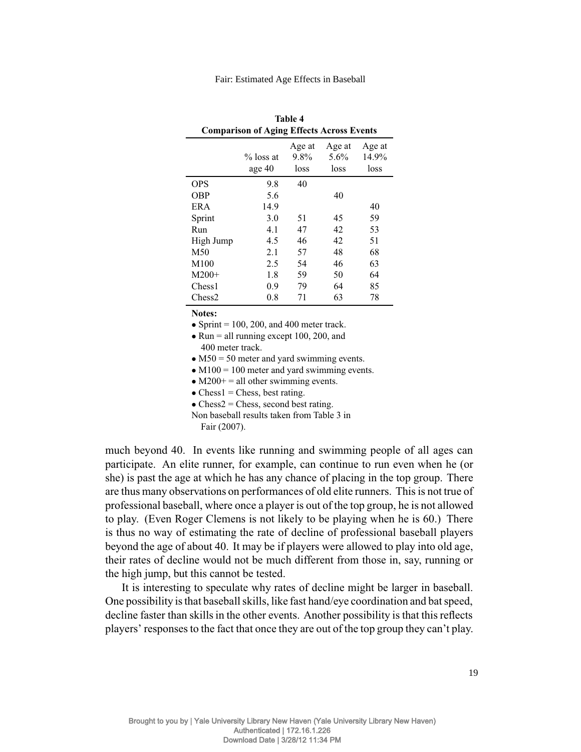#### Fair: Estimated Age Effects in Baseball

**Table 4**

|                    | таріс т<br><b>Comparison of Aging Effects Across Events</b> |                           |                           |                         |  |  |  |  |  |  |
|--------------------|-------------------------------------------------------------|---------------------------|---------------------------|-------------------------|--|--|--|--|--|--|
|                    | % loss at<br>age 40                                         | Age at<br>$9.8\%$<br>loss | Age at<br>$5.6\%$<br>loss | Age at<br>14.9%<br>loss |  |  |  |  |  |  |
| <b>OPS</b>         | 9.8                                                         | 40                        |                           |                         |  |  |  |  |  |  |
| OBP                | 5.6                                                         |                           | 40                        |                         |  |  |  |  |  |  |
| <b>ERA</b>         | 14.9                                                        |                           |                           | 40                      |  |  |  |  |  |  |
| Sprint             | 3.0                                                         | 51                        | 45                        | 59                      |  |  |  |  |  |  |
| Run                | 4.1                                                         | 47                        | 42                        | 53                      |  |  |  |  |  |  |
| High Jump          | 4.5                                                         | 46                        | 42                        | 51                      |  |  |  |  |  |  |
| M50                | 2.1                                                         | 57                        | 48                        | 68                      |  |  |  |  |  |  |
| M <sub>100</sub>   | 2.5                                                         | 54                        | 46                        | 63                      |  |  |  |  |  |  |
| $M200+$            | 1.8                                                         | 59                        | 50                        | 64                      |  |  |  |  |  |  |
| Chess1             | 0.9                                                         | 79                        | 64                        | 85                      |  |  |  |  |  |  |
| Chess <sub>2</sub> | 0.8                                                         | 71                        | 63                        | 78                      |  |  |  |  |  |  |

**Notes:**

• Sprint  $= 100, 200,$  and 400 meter track.

• Run = all running except 100, 200, and 400 meter track.

•  $M50 = 50$  meter and yard swimming events.

•  $M100 = 100$  meter and yard swimming events.

•  $M200+$  = all other swimming events.

• Chess $1$  = Chess, best rating.

• Chess2 = Chess, second best rating.

Non baseball results taken from Table 3 in Fair (2007).

much beyond 40. In events like running and swimming people of all ages can participate. An elite runner, for example, can continue to run even when he (or she) is past the age at which he has any chance of placing in the top group. There are thus many observations on performances of old elite runners. Thisis not true of professional baseball, where once a player is out of the top group, he is not allowed to play. (Even Roger Clemens is not likely to be playing when he is 60.) There is thus no way of estimating the rate of decline of professional baseball players beyond the age of about 40. It may be if players were allowed to play into old age, their rates of decline would not be much different from those in, say, running or the high jump, but this cannot be tested.

It is interesting to speculate why rates of decline might be larger in baseball. One possibility is that baseball skills, like fast hand/eye coordination and bat speed, decline faster than skills in the other events. Another possibility is that this reflects players' responsesto the fact that once they are out of the top group they can't play.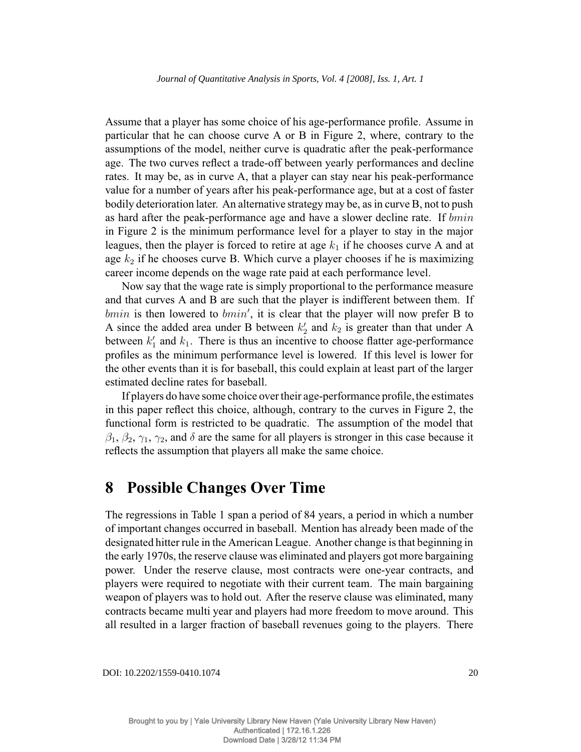Assume that a player has some choice of his age-performance profile. Assume in particular that he can choose curve A or B in Figure 2, where, contrary to the assumptions of the model, neither curve is quadratic after the peak-performance age. The two curves reflect a trade-off between yearly performances and decline rates. It may be, as in curve A, that a player can stay near his peak-performance value for a number of years after his peak-performance age, but at a cost of faster bodily deterioration later. An alternative strategy may be, as in curve B, not to push as hard after the peak-performance age and have a slower decline rate. If  $bmin$ in Figure 2 is the minimum performance level for a player to stay in the major leagues, then the player is forced to retire at age  $k_1$  if he chooses curve A and at age  $k_2$  if he chooses curve B. Which curve a player chooses if he is maximizing career income depends on the wage rate paid at each performance level.

Now say that the wage rate is simply proportional to the performance measure and that curves A and B are such that the player is indifferent between them. If  $bmin$  is then lowered to  $bmin'$ , it is clear that the player will now prefer B to A since the added area under B between  $k'_2$  and  $k_2$  is greater than that under A between  $k'_1$  and  $k_1$ . There is thus an incentive to choose flatter age-performance profiles as the minimum performance level is lowered. If this level is lower for the other events than it is for baseball, this could explain at least part of the larger estimated decline rates for baseball.

If players do have some choice over their age-performance profile, the estimates in this paper reflect this choice, although, contrary to the curves in Figure 2, the functional form is restricted to be quadratic. The assumption of the model that  $\beta_1$ ,  $\beta_2$ ,  $\gamma_1$ ,  $\gamma_2$ , and  $\delta$  are the same for all players is stronger in this case because it reflects the assumption that players all make the same choice.

## **8 Possible Changes Over Time**

The regressions in Table 1 span a period of 84 years, a period in which a number of important changes occurred in baseball. Mention has already been made of the designated hitter rule in the American League. Another change is that beginning in the early 1970s, the reserve clause was eliminated and players got more bargaining power. Under the reserve clause, most contracts were one-year contracts, and players were required to negotiate with their current team. The main bargaining weapon of players was to hold out. After the reserve clause was eliminated, many contracts became multi year and players had more freedom to move around. This all resulted in a larger fraction of baseball revenues going to the players. There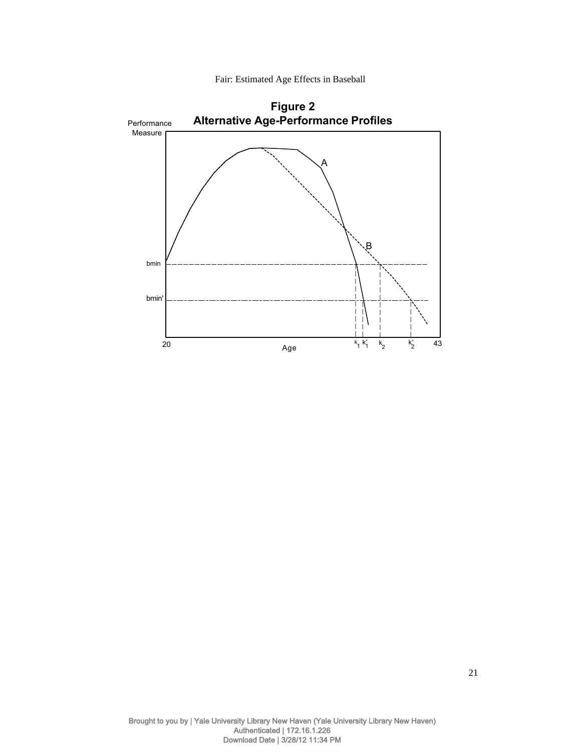

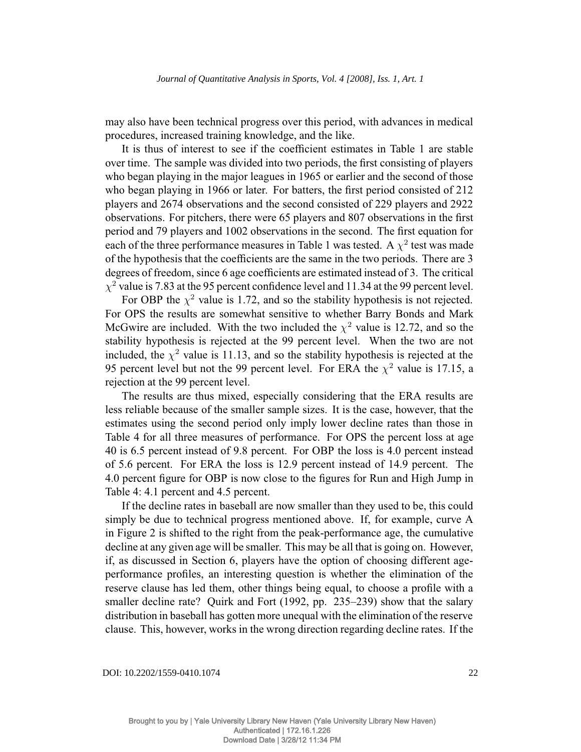may also have been technical progress over this period, with advances in medical procedures, increased training knowledge, and the like.

It is thus of interest to see if the coefficient estimates in Table 1 are stable over time. The sample was divided into two periods, the first consisting of players who began playing in the major leagues in 1965 or earlier and the second of those who began playing in 1966 or later. For batters, the first period consisted of 212 players and 2674 observations and the second consisted of 229 players and 2922 observations. For pitchers, there were 65 players and 807 observations in the first period and 79 players and 1002 observations in the second. The first equation for each of the three performance measures in Table 1 was tested. A  $\chi^2$  test was made of the hypothesis that the coefficients are the same in the two periods. There are 3 degrees of freedom, since 6 age coefficients are estimated instead of 3. The critical  $\chi^2$  value is 7.83 at the 95 percent confidence level and 11.34 at the 99 percent level.

For OBP the  $\chi^2$  value is 1.72, and so the stability hypothesis is not rejected. For OPS the results are somewhat sensitive to whether Barry Bonds and Mark McGwire are included. With the two included the  $\chi^2$  value is 12.72, and so the stability hypothesis is rejected at the 99 percent level. When the two are not included, the  $\chi^2$  value is 11.13, and so the stability hypothesis is rejected at the 95 percent level but not the 99 percent level. For ERA the  $\chi^2$  value is 17.15, a rejection at the 99 percent level.

The results are thus mixed, especially considering that the ERA results are less reliable because of the smaller sample sizes. It is the case, however, that the estimates using the second period only imply lower decline rates than those in Table 4 for all three measures of performance. For OPS the percent loss at age 40 is 6.5 percent instead of 9.8 percent. For OBP the loss is 4.0 percent instead of 5.6 percent. For ERA the loss is 12.9 percent instead of 14.9 percent. The 4.0 percent figure for OBP is now close to the figures for Run and High Jump in Table 4: 4.1 percent and 4.5 percent.

If the decline rates in baseball are now smaller than they used to be, this could simply be due to technical progress mentioned above. If, for example, curve A in Figure 2 is shifted to the right from the peak-performance age, the cumulative decline at any given age will be smaller. This may be all that is going on. However, if, as discussed in Section 6, players have the option of choosing different ageperformance profiles, an interesting question is whether the elimination of the reserve clause has led them, other things being equal, to choose a profile with a smaller decline rate? Quirk and Fort (1992, pp. 235–239) show that the salary distribution in baseball has gotten more unequal with the elimination of the reserve clause. This, however, works in the wrong direction regarding decline rates. If the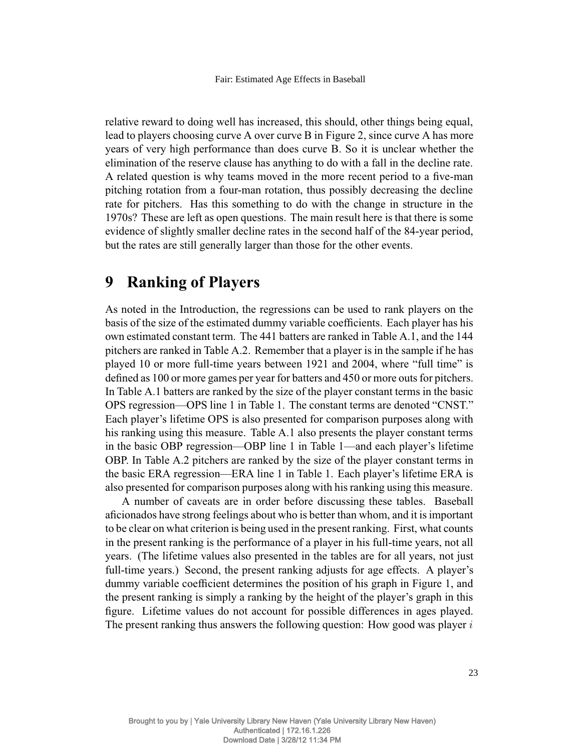relative reward to doing well has increased, this should, other things being equal, lead to players choosing curve A over curve B in Figure 2, since curve A has more years of very high performance than does curve B. So it is unclear whether the elimination of the reserve clause has anything to do with a fall in the decline rate. A related question is why teams moved in the more recent period to a five-man pitching rotation from a four-man rotation, thus possibly decreasing the decline rate for pitchers. Has this something to do with the change in structure in the 1970s? These are left as open questions. The main result here is that there is some evidence of slightly smaller decline rates in the second half of the 84-year period, but the rates are still generally larger than those for the other events.

### **9 Ranking of Players**

As noted in the Introduction, the regressions can be used to rank players on the basis of the size of the estimated dummy variable coefficients. Each player has his own estimated constant term. The 441 batters are ranked in Table A.1, and the 144 pitchers are ranked in Table A.2. Remember that a player is in the sample if he has played 10 or more full-time years between 1921 and 2004, where "full time" is defined as 100 or more games per year for batters and 450 or more outs for pitchers. In Table A.1 batters are ranked by the size of the player constant terms in the basic OPS regression—OPS line 1 in Table 1. The constant terms are denoted "CNST." Each player's lifetime OPS is also presented for comparison purposes along with his ranking using this measure. Table A.1 also presents the player constant terms in the basic OBP regression—OBP line 1 in Table 1—and each player's lifetime OBP. In Table A.2 pitchers are ranked by the size of the player constant terms in the basic ERA regression—ERA line 1 in Table 1. Each player's lifetime ERA is also presented for comparison purposes along with hisranking using this measure.

A number of caveats are in order before discussing these tables. Baseball aficionados have strong feelings about who is better than whom, and it isimportant to be clear on what criterion is being used in the present ranking. First, what counts in the present ranking is the performance of a player in his full-time years, not all years. (The lifetime values also presented in the tables are for all years, not just full-time years.) Second, the present ranking adjusts for age effects. A player's dummy variable coefficient determines the position of his graph in Figure 1, and the present ranking is simply a ranking by the height of the player's graph in this figure. Lifetime values do not account for possible differences in ages played. The present ranking thus answers the following question: How good was player  $i$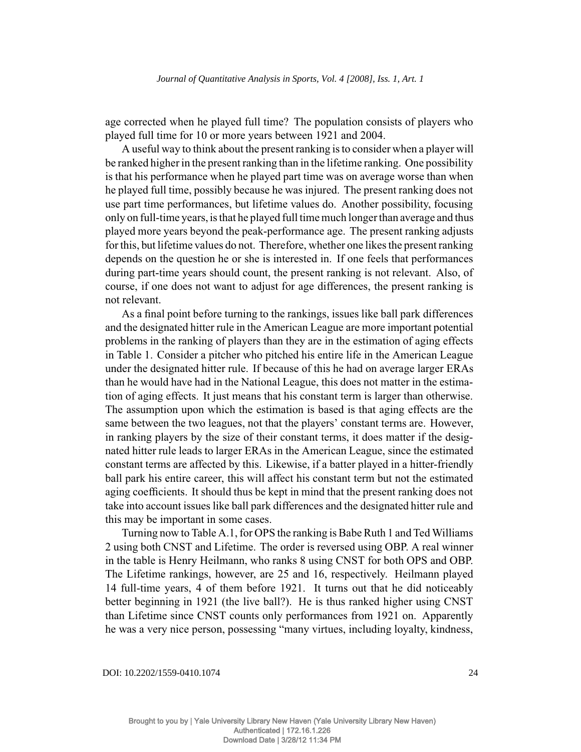age corrected when he played full time? The population consists of players who played full time for 10 or more years between 1921 and 2004.

A useful way to think about the presentranking isto consider when a player will be ranked higher in the present ranking than in the lifetime ranking. One possibility is that his performance when he played part time was on average worse than when he played full time, possibly because he was injured. The present ranking does not use part time performances, but lifetime values do. Another possibility, focusing only on full-time years,isthat he played full timemuch longerthan average and thus played more years beyond the peak-performance age. The present ranking adjusts for this, but lifetime values do not. Therefore, whether one likes the present ranking depends on the question he or she is interested in. If one feels that performances during part-time years should count, the present ranking is not relevant. Also, of course, if one does not want to adjust for age differences, the present ranking is not relevant.

As a final point before turning to the rankings, issues like ball park differences and the designated hitter rule in the American League are more important potential problems in the ranking of players than they are in the estimation of aging effects in Table 1. Consider a pitcher who pitched his entire life in the American League under the designated hitter rule. If because of this he had on average larger ERAs than he would have had in the National League, this does not matter in the estimation of aging effects. It just means that his constant term is larger than otherwise. The assumption upon which the estimation is based is that aging effects are the same between the two leagues, not that the players' constant terms are. However, in ranking players by the size of their constant terms, it does matter if the designated hitter rule leads to larger ERAs in the American League, since the estimated constant terms are affected by this. Likewise, if a batter played in a hitter-friendly ball park his entire career, this will affect his constant term but not the estimated aging coefficients. It should thus be kept in mind that the present ranking does not take into account issueslike ball park differences and the designated hitter rule and this may be important in some cases.

Turning now to Table A.1, for OPS the ranking is Babe Ruth 1 and Ted Williams 2 using both CNST and Lifetime. The order is reversed using OBP. A real winner in the table is Henry Heilmann, who ranks 8 using CNST for both OPS and OBP. The Lifetime rankings, however, are 25 and 16, respectively. Heilmann played 14 full-time years, 4 of them before 1921. It turns out that he did noticeably better beginning in 1921 (the live ball?). He is thus ranked higher using CNST than Lifetime since CNST counts only performances from 1921 on. Apparently he was a very nice person, possessing "many virtues, including loyalty, kindness,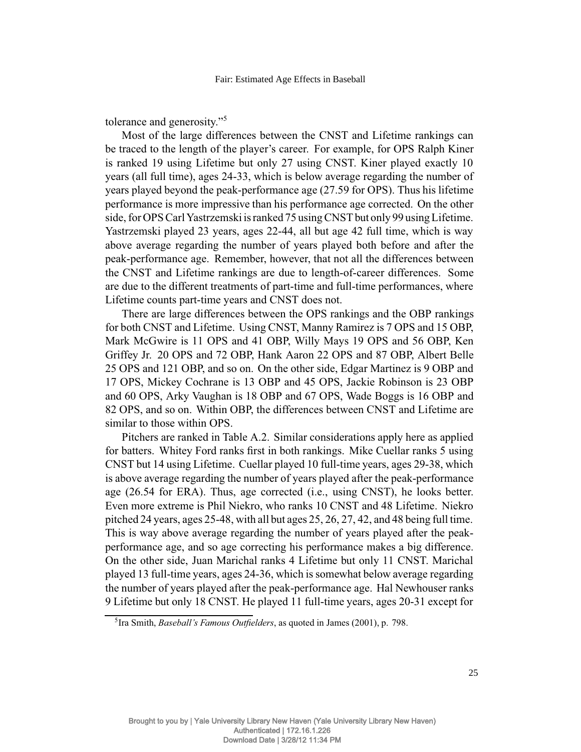tolerance and generosity."<sup>5</sup>

Most of the large differences between the CNST and Lifetime rankings can be traced to the length of the player's career. For example, for OPS Ralph Kiner is ranked 19 using Lifetime but only 27 using CNST. Kiner played exactly 10 years (all full time), ages 24-33, which is below average regarding the number of years played beyond the peak-performance age (27.59 for OPS). Thus his lifetime performance is more impressive than his performance age corrected. On the other side, for OPS Carl Yastrzemski is ranked 75 using CNST but only 99 using Lifetime. Yastrzemski played 23 years, ages 22-44, all but age 42 full time, which is way above average regarding the number of years played both before and after the peak-performance age. Remember, however, that not all the differences between the CNST and Lifetime rankings are due to length-of-career differences. Some are due to the different treatments of part-time and full-time performances, where Lifetime counts part-time years and CNST does not.

There are large differences between the OPS rankings and the OBP rankings for both CNST and Lifetime. Using CNST, Manny Ramirez is 7 OPS and 15 OBP, Mark McGwire is 11 OPS and 41 OBP, Willy Mays 19 OPS and 56 OBP, Ken Griffey Jr. 20 OPS and 72 OBP, Hank Aaron 22 OPS and 87 OBP, Albert Belle 25 OPS and 121 OBP, and so on. On the other side, Edgar Martinez is 9 OBP and 17 OPS, Mickey Cochrane is 13 OBP and 45 OPS, Jackie Robinson is 23 OBP and 60 OPS, Arky Vaughan is 18 OBP and 67 OPS, Wade Boggs is 16 OBP and 82 OPS, and so on. Within OBP, the differences between CNST and Lifetime are similar to those within OPS.

Pitchers are ranked in Table A.2. Similar considerations apply here as applied for batters. Whitey Ford ranks first in both rankings. Mike Cuellar ranks 5 using CNST but 14 using Lifetime. Cuellar played 10 full-time years, ages 29-38, which is above average regarding the number of years played after the peak-performance age (26.54 for ERA). Thus, age corrected (i.e., using CNST), he looks better. Even more extreme is Phil Niekro, who ranks 10 CNST and 48 Lifetime. Niekro pitched 24 years, ages 25-48, with all but ages 25, 26, 27, 42, and 48 being full time. This is way above average regarding the number of years played after the peakperformance age, and so age correcting his performance makes a big difference. On the other side, Juan Marichal ranks 4 Lifetime but only 11 CNST. Marichal played 13 full-time years, ages 24-36, which is somewhat below average regarding the number of years played after the peak-performance age. Hal Newhouser ranks 9 Lifetime but only 18 CNST. He played 11 full-time years, ages 20-31 except for

<sup>5</sup>Ira Smith, *Baseball's Famous Outfielders*, as quoted in James (2001), p. 798.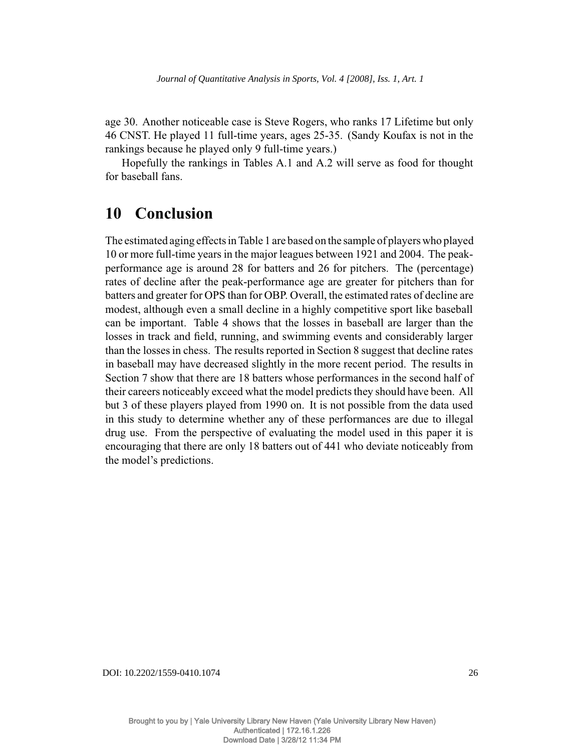age 30. Another noticeable case is Steve Rogers, who ranks 17 Lifetime but only 46 CNST. He played 11 full-time years, ages 25-35. (Sandy Koufax is not in the rankings because he played only 9 full-time years.)

Hopefully the rankings in Tables A.1 and A.2 will serve as food for thought for baseball fans.

#### **10 Conclusion**

The estimated aging effectsinTable 1 are based on the sample of playerswho played 10 or more full-time years in the major leagues between 1921 and 2004. The peakperformance age is around 28 for batters and 26 for pitchers. The (percentage) rates of decline after the peak-performance age are greater for pitchers than for batters and greater for OPS than for OBP. Overall, the estimated rates of decline are modest, although even a small decline in a highly competitive sport like baseball can be important. Table 4 shows that the losses in baseball are larger than the losses in track and field, running, and swimming events and considerably larger than the lossesin chess. The resultsreported in Section 8 suggest that decline rates in baseball may have decreased slightly in the more recent period. The results in Section 7 show that there are 18 batters whose performances in the second half of their careers noticeably exceed what the model predicts they should have been. All but 3 of these players played from 1990 on. It is not possible from the data used in this study to determine whether any of these performances are due to illegal drug use. From the perspective of evaluating the model used in this paper it is encouraging that there are only 18 batters out of 441 who deviate noticeably from the model's predictions.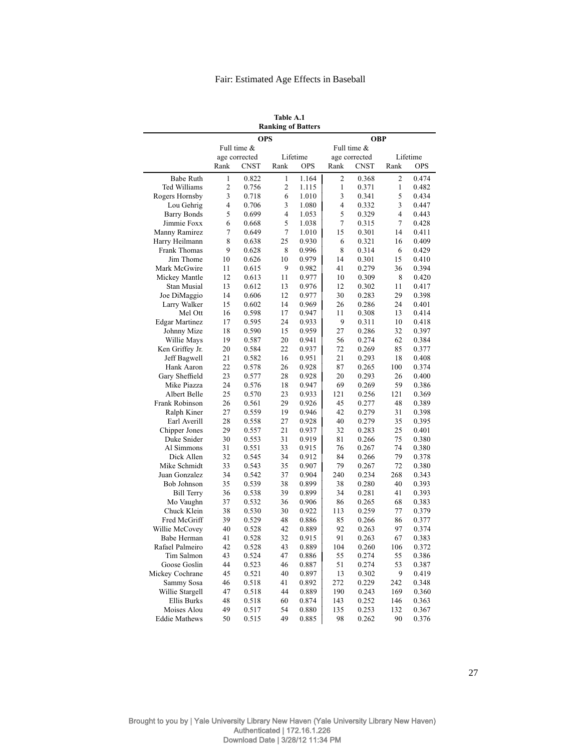| <b>Ranking of Batters</b> |              |               |                |            |                |               |                |            |  |
|---------------------------|--------------|---------------|----------------|------------|----------------|---------------|----------------|------------|--|
|                           |              | <b>OPS</b>    |                |            |                | <b>OBP</b>    |                |            |  |
|                           |              | Full time &   |                |            |                | Full time &   |                |            |  |
|                           |              | age corrected |                | Lifetime   |                | age corrected |                | Lifetime   |  |
|                           | Rank         | <b>CNST</b>   | Rank           | <b>OPS</b> | Rank           | <b>CNST</b>   | Rank           | <b>OPS</b> |  |
| Babe Ruth                 | 1            | 0.822         | 1              | 1.164      | $\overline{c}$ | 0.368         | $\overline{c}$ | 0.474      |  |
| Ted Williams              | $\mathbf{2}$ | 0.756         | $\mathfrak{2}$ | 1.115      | $\mathbf{1}$   | 0.371         | $\mathbf{1}$   | 0.482      |  |
| Rogers Hornsby            | 3            | 0.718         | 6              | 1.010      | 3              | 0.341         | 5              | 0.434      |  |
| Lou Gehrig                | 4            | 0.706         | 3              | 1.080      | $\overline{4}$ | 0.332         | 3              | 0.447      |  |
| <b>Barry Bonds</b>        | 5            | 0.699         | $\overline{4}$ | 1.053      | 5              | 0.329         | 4              | 0.443      |  |
| Jimmie Foxx               | 6            | 0.668         | 5              | 1.038      | 7              | 0.315         | 7              | 0.428      |  |
| Manny Ramirez             | 7            | 0.649         | 7              | 1.010      | 15             | 0.301         | 14             | 0.411      |  |
| Harry Heilmann            | 8            | 0.638         | 25             | 0.930      | 6              | 0.321         | 16             | 0.409      |  |
| <b>Frank Thomas</b>       | 9            | 0.628         | 8              | 0.996      | 8              | 0.314         | 6              | 0.429      |  |
| Jim Thome                 | 10           | 0.626         | 10             | 0.979      | 14             | 0.301         | 15             | 0.410      |  |
| Mark McGwire              | 11           | 0.615         | 9              | 0.982      | 41             | 0.279         | 36             | 0.394      |  |
| Mickey Mantle             | 12           | 0.613         | 11             | 0.977      | 10             | 0.309         | 8              | 0.420      |  |
| Stan Musial               | 13           | 0.612         | 13             | 0.976      | 12             | 0.302         | 11             | 0.417      |  |
| Joe DiMaggio              | 14           | 0.606         | 12             | 0.977      | 30             | 0.283         | 29             | 0.398      |  |
| Larry Walker              | 15           | 0.602         | 14             | 0.969      | 26             | 0.286         | 24             | 0.401      |  |
| Mel Ott                   | 16           | 0.598         | 17             | 0.947      | 11             | 0.308         | 13             | 0.414      |  |
| <b>Edgar Martinez</b>     | 17           | 0.595         | 24             | 0.933      | 9              | 0.311         | 10             | 0.418      |  |
| Johnny Mize               | 18           | 0.590         | 15             | 0.959      | 27             | 0.286         | 32             | 0.397      |  |
| Willie Mays               | 19           | 0.587         | 20             | 0.941      | 56             | 0.274         | 62             | 0.384      |  |
| Ken Griffey Jr.           | 20           | 0.584         | 22             | 0.937      | 72             | 0.269         | 85             | 0.377      |  |
| Jeff Bagwell              | 21           | 0.582         | 16             | 0.951      | 21             | 0.293         | 18             | 0.408      |  |
| Hank Aaron                | 22           | 0.578         | 26             | 0.928      | 87             | 0.265         | 100            | 0.374      |  |
| Gary Sheffield            | 23           | 0.577         | 28             | 0.928      | 20             | 0.293         | 26             | 0.400      |  |
| Mike Piazza               | 24           | 0.576         | 18             | 0.947      | 69             | 0.269         | 59             | 0.386      |  |
| Albert Belle              | 25           | 0.570         | 23             | 0.933      | 121            | 0.256         | 121            | 0.369      |  |
| Frank Robinson            | 26           | 0.561         | 29             | 0.926      | 45             | 0.277         | 48             | 0.389      |  |
| Ralph Kiner               | 27           | 0.559         | 19             | 0.946      | 42             | 0.279         | 31             | 0.398      |  |
| Earl Averill              | 28           | 0.558         | 27             | 0.928      | 40             | 0.279         | 35             | 0.395      |  |
| Chipper Jones             | 29           | 0.557         | 21             | 0.937      | 32             | 0.283         | 25             | 0.401      |  |
| Duke Snider               | 30           |               | 31             |            | 81             |               |                |            |  |
|                           |              | 0.553         |                | 0.919      |                | 0.266         | 75             | 0.380      |  |
| Al Simmons                | 31           | 0.551         | 33             | 0.915      | 76             | 0.267         | 74             | 0.380      |  |
| Dick Allen                | 32           | 0.545         | 34             | 0.912      | 84             | 0.266         | 79             | 0.378      |  |
| Mike Schmidt              | 33           | 0.543         | 35             | 0.907      | 79             | 0.267         | 72             | 0.380      |  |
| Juan Gonzalez             | 34           | 0.542         | 37             | 0.904      | 240            | 0.234         | 268            | 0.343      |  |
| Bob Johnson               | 35           | 0.539         | 38             | 0.899      | 38             | 0.280         | 40             | 0.393      |  |
| <b>Bill Terry</b>         | 36           | 0.538         | 39             | 0.899      | 34             | 0.281         | 41             | 0.393      |  |
| Mo Vaughn                 | 37           | 0.532         | 36             | 0.906      | 86             | 0.265         | 68             | 0.383      |  |
| Chuck Klein               | 38           | 0.530         | 30             | 0.922      | 113            | 0.259         | 77             | 0.379      |  |
| Fred McGriff              | 39           | 0.529         | 48             | 0.886      | 85             | 0.266         | 86             | 0.377      |  |
| Willie McCovey            | 40           | 0.528         | 42             | 0.889      | 92             | 0.263         | 97             | 0.374      |  |
| Babe Herman               | 41           | 0.528         | 32             | 0.915      | 91             | 0.263         | 67             | 0.383      |  |
| Rafael Palmeiro           | 42           | 0.528         | 43             | 0.889      | 104            | 0.260         | 106            | 0.372      |  |
| Tim Salmon                | 43           | 0.524         | 47             | 0.886      | 55             | 0.274         | 55             | 0.386      |  |
| Goose Goslin              | 44           | 0.523         | 46             | 0.887      | 51             | 0.274         | 53             | 0.387      |  |
| Mickey Cochrane           | 45           | 0.521         | 40             | 0.897      | 13             | 0.302         | 9              | 0.419      |  |
| Sammy Sosa                | 46           | 0.518         | 41             | 0.892      | 272            | 0.229         | 242            | 0.348      |  |
| Willie Stargell           | 47           | 0.518         | 44             | 0.889      | 190            | 0.243         | 169            | 0.360      |  |
| <b>Ellis Burks</b>        | 48           | 0.518         | 60             | 0.874      | 143            | 0.252         | 146            | 0.363      |  |
| Moises Alou               | 49           | 0.517         | 54             | 0.880      | 135            | 0.253         | 132            | 0.367      |  |
| <b>Eddie Mathews</b>      | 50           | 0.515         | 49             | 0.885      | 98             | 0.262         | 90             | 0.376      |  |

**Table A.1**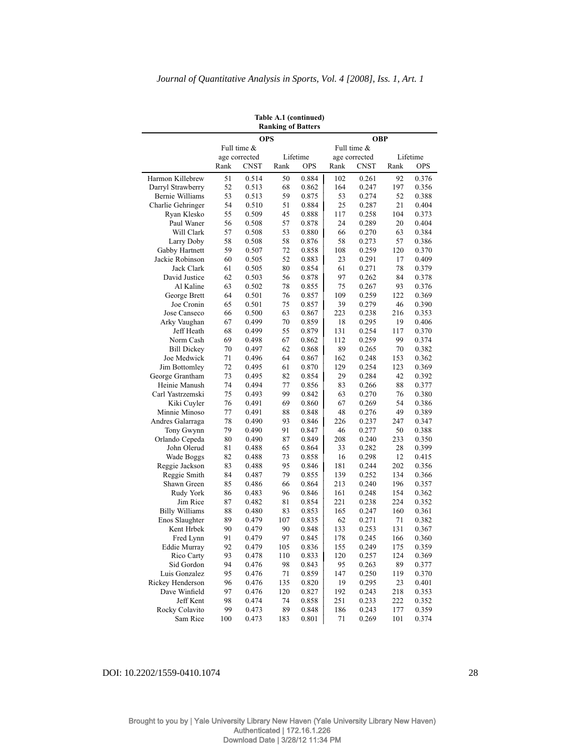|                                 | Table A.1 (continued)<br><b>Ranking of Batters</b> |                |          |                |            |                |          |                |  |
|---------------------------------|----------------------------------------------------|----------------|----------|----------------|------------|----------------|----------|----------------|--|
|                                 |                                                    | <b>OPS</b>     |          |                | <b>OBP</b> |                |          |                |  |
|                                 |                                                    | Full time &    |          |                |            | Full time &    |          |                |  |
|                                 |                                                    | age corrected  |          | Lifetime       |            | age corrected  |          | Lifetime       |  |
|                                 | Rank                                               | <b>CNST</b>    | Rank     | <b>OPS</b>     | Rank       | <b>CNST</b>    | Rank     | <b>OPS</b>     |  |
| Harmon Killebrew                | 51                                                 | 0.514          | 50       | 0.884          | 102        | 0.261          | 92       | 0.376          |  |
| Darryl Strawberry               | 52                                                 | 0.513          | 68       | 0.862          | 164        | 0.247          | 197      | 0.356          |  |
| Bernie Williams                 | 53                                                 | 0.513          | 59       | 0.875          | 53         | 0.274          | 52       | 0.388          |  |
| Charlie Gehringer               | 54                                                 | 0.510          | 51       | 0.884          | 25         | 0.287          | 21       | 0.404          |  |
| Ryan Klesko                     | 55                                                 | 0.509          | 45       | 0.888          | 117        | 0.258          | 104      | 0.373          |  |
| Paul Waner                      | 56                                                 | 0.508          | 57       | 0.878          | 24         | 0.289          | 20       | 0.404          |  |
| Will Clark                      | 57                                                 | 0.508          | 53       | 0.880          | 66         | 0.270          | 63       | 0.384          |  |
| Larry Doby                      | 58                                                 | 0.508          | 58       | 0.876          | 58         | 0.273          | 57       | 0.386          |  |
| Gabby Hartnett                  | 59                                                 | 0.507          | 72       | 0.858          | 108        | 0.259          | 120      | 0.370          |  |
| Jackie Robinson                 | 60                                                 | 0.505          | 52       | 0.883          | 23         | 0.291          | 17       | 0.409          |  |
| Jack Clark                      | 61                                                 | 0.505          | 80       | 0.854          | 61         | 0.271          | 78       | 0.379          |  |
| David Justice                   | 62                                                 | 0.503          | 56       | 0.878          | 97         | 0.262          | 84       | 0.378          |  |
| Al Kaline                       | 63                                                 | 0.502          | 78       | 0.855          | 75         | 0.267          | 93       | 0.376          |  |
| George Brett                    | 64                                                 | 0.501          | 76       | 0.857          | 109        | 0.259          | 122      | 0.369          |  |
| Joe Cronin                      | 65                                                 | 0.501          | 75       | 0.857          | 39         | 0.279          | 46       | 0.390          |  |
| Jose Canseco                    | 66                                                 | 0.500          | 63       | 0.867          | 223        | 0.238          | 216      | 0.353          |  |
| Arky Vaughan                    | 67                                                 | 0.499          | 70       | 0.859          | 18         | 0.295          | 19       | 0.406          |  |
| Jeff Heath                      | 68                                                 | 0.499          | 55       | 0.879          | 131        | 0.254          | 117      | 0.370          |  |
| Norm Cash                       | 69                                                 | 0.498          | 67       | 0.862          | 112        | 0.259          | 99       | 0.374          |  |
| <b>Bill Dickey</b>              | 70                                                 | 0.497          | 62       | 0.868          | 89         | 0.265          | 70       | 0.382          |  |
| Joe Medwick                     | 71                                                 | 0.496          | 64       | 0.867          | 162        | 0.248          | 153      | 0.362          |  |
| Jim Bottomley                   | 72                                                 | 0.495          | 61       | 0.870          | 129        | 0.254          | 123      | 0.369          |  |
| George Grantham                 | 73                                                 | 0.495          | 82       | 0.854          | 29         | 0.284          | 42       | 0.392          |  |
| Heinie Manush                   | 74                                                 | 0.494          | 77       | 0.856          | 83         | 0.266          | 88       | 0.377          |  |
| Carl Yastrzemski<br>Kiki Cuyler | 75                                                 | 0.493          | 99       | 0.842          | 63         | 0.270          | 76<br>54 | 0.380          |  |
|                                 | 76                                                 | 0.491          | 69       | 0.860          | 67<br>48   | 0.269          | 49       | 0.386          |  |
| Minnie Minoso                   | 77<br>78                                           | 0.491<br>0.490 | 88<br>93 | 0.848<br>0.846 | 226        | 0.276<br>0.237 | 247      | 0.389          |  |
| Andres Galarraga<br>Tony Gwynn  | 79                                                 | 0.490          | 91       | 0.847          | 46         | 0.277          | 50       | 0.347<br>0.388 |  |
| Orlando Cepeda                  | 80                                                 | 0.490          | 87       | 0.849          | 208        | 0.240          | 233      | 0.350          |  |
| John Olerud                     | 81                                                 | 0.488          | 65       | 0.864          | 33         | 0.282          | 28       | 0.399          |  |
| Wade Boggs                      | 82                                                 | 0.488          | 73       | 0.858          | 16         | 0.298          | 12       | 0.415          |  |
| Reggie Jackson                  | 83                                                 | 0.488          | 95       | 0.846          | 181        | 0.244          | 202      | 0.356          |  |
| Reggie Smith                    | 84                                                 | 0.487          | 79       | 0.855          | 139        | 0.252          | 134      | 0.366          |  |
| Shawn Green                     | 85                                                 | 0.486          | 66       | 0.864          | 213        | 0.240          | 196      | 0.357          |  |
| Rudy York                       | 86                                                 | 0.483          | 96       | 0.846          | 161        | 0.248          | 154      | 0.362          |  |
| Jim Rice                        | 87                                                 | 0.482          | 81       | 0.854          | 221        | 0.238          | 224      | 0.352          |  |
| <b>Billy Williams</b>           | 88                                                 | 0.480          | 83       | 0.853          | 165        | 0.247          | 160      | 0.361          |  |
| Enos Slaughter                  | 89                                                 | 0.479          | 107      | 0.835          | 62         | 0.271          | 71       | 0.382          |  |
| Kent Hrbek                      | 90                                                 | 0.479          | 90       | 0.848          | 133        | 0.253          | 131      | 0.367          |  |
| Fred Lynn                       | 91                                                 | 0.479          | 97       | 0.845          | 178        | 0.245          | 166      | 0.360          |  |
| <b>Eddie Murray</b>             | 92                                                 | 0.479          | 105      | 0.836          | 155        | 0.249          | 175      | 0.359          |  |
| Rico Carty                      | 93                                                 | 0.478          | 110      | 0.833          | 120        | 0.257          | 124      | 0.369          |  |
| Sid Gordon                      | 94                                                 | 0.476          | 98       | 0.843          | 95         | 0.263          | 89       | 0.377          |  |
| Luis Gonzalez                   | 95                                                 | 0.476          | 71       | 0.859          | 147        | 0.250          | 119      | 0.370          |  |
| Rickey Henderson                | 96                                                 | 0.476          | 135      | 0.820          | 19         | 0.295          | 23       | 0.401          |  |
| Dave Winfield                   | 97                                                 | 0.476          | 120      | 0.827          | 192        | 0.243          | 218      | 0.353          |  |
| Jeff Kent                       | 98                                                 | 0.474          | 74       | 0.858          | 251        | 0.233          | 222      | 0.352          |  |
| Rocky Colavito                  | 99                                                 | 0.473          | 89       | 0.848          | 186        | 0.243          | 177      | 0.359          |  |
| Sam Rice                        | 100                                                | 0.473          | 183      | 0.801          | 71         | 0.269          | 101      | 0.374          |  |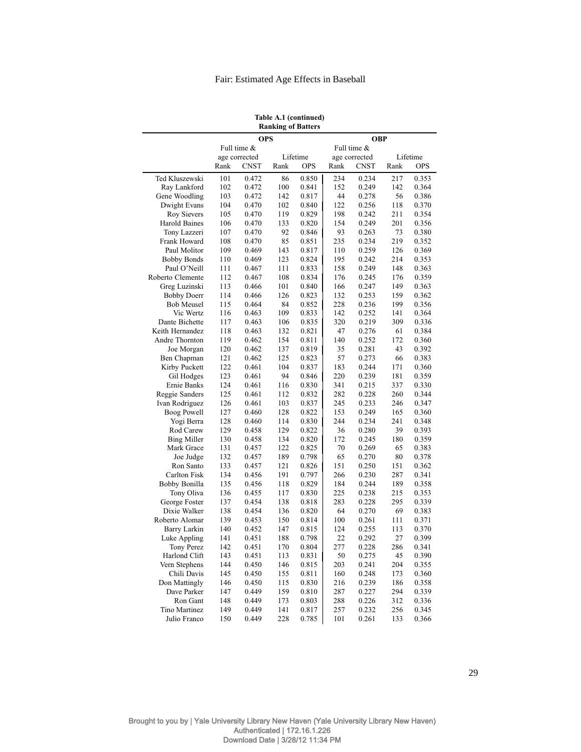| Table A.1 (continued)     |  |
|---------------------------|--|
| <b>Ranking of Batters</b> |  |

|                    | лаплінд<br><b>UL DAUCES</b> |                           |      |          |      |                           |      |            |
|--------------------|-----------------------------|---------------------------|------|----------|------|---------------------------|------|------------|
|                    |                             | <b>OPS</b><br>Full time & |      |          |      | <b>OBP</b><br>Full time & |      |            |
|                    |                             | age corrected             |      | Lifetime |      | age corrected             |      | Lifetime   |
|                    | Rank                        | <b>CNST</b>               | Rank | OPS      | Rank | <b>CNST</b>               | Rank | <b>OPS</b> |
|                    |                             |                           |      |          |      |                           |      |            |
| Ted Kluszewski     | 101                         | 0.472                     | 86   | 0.850    | 234  | 0.234                     | 217  | 0.353      |
| Ray Lankford       | 102                         | 0.472                     | 100  | 0.841    | 152  | 0.249                     | 142  | 0.364      |
| Gene Woodling      | 103                         | 0.472                     | 142  | 0.817    | 44   | 0.278                     | 56   | 0.386      |
| Dwight Evans       | 104                         | 0.470                     | 102  | 0.840    | 122  | 0.256                     | 118  | 0.370      |
| <b>Roy Sievers</b> | 105                         | 0.470                     | 119  | 0.829    | 198  | 0.242                     | 211  | 0.354      |
| Harold Baines      | 106                         | 0.470                     | 133  | 0.820    | 154  | 0.249                     | 201  | 0.356      |
| Tony Lazzeri       | 107                         | 0.470                     | 92   | 0.846    | 93   | 0.263                     | 73   | 0.380      |
| Frank Howard       | 108                         | 0.470                     | 85   | 0.851    | 235  | 0.234                     | 219  | 0.352      |
| Paul Molitor       | 109                         | 0.469                     | 143  | 0.817    | 110  | 0.259                     | 126  | 0.369      |
| <b>Bobby Bonds</b> | 110                         | 0.469                     | 123  | 0.824    | 195  | 0.242                     | 214  | 0.353      |
| Paul O'Neill       | 111                         | 0.467                     | 111  | 0.833    | 158  | 0.249                     | 148  | 0.363      |
| Roberto Clemente   | 112                         | 0.467                     | 108  | 0.834    | 176  | 0.245                     | 176  | 0.359      |
| Greg Luzinski      | 113                         | 0.466                     | 101  | 0.840    | 166  | 0.247                     | 149  | 0.363      |
| <b>Bobby Doerr</b> | 114                         | 0.466                     | 126  | 0.823    | 132  | 0.253                     | 159  | 0.362      |
| <b>Bob Meusel</b>  | 115                         | 0.464                     | 84   | 0.852    | 228  | 0.236                     | 199  | 0.356      |
| Vic Wertz          | 116                         | 0.463                     | 109  | 0.833    | 142  | 0.252                     | 141  | 0.364      |
| Dante Bichette     | 117                         | 0.463                     | 106  | 0.835    | 320  | 0.219                     | 309  | 0.336      |
| Keith Hernandez    | 118                         | 0.463                     | 132  | 0.821    | 47   | 0.276                     | 61   | 0.384      |
| Andre Thornton     | 119                         | 0.462                     | 154  | 0.811    | 140  | 0.252                     | 172  | 0.360      |
| Joe Morgan         | 120                         | 0.462                     | 137  | 0.819    | 35   | 0.281                     | 43   | 0.392      |
| Ben Chapman        | 121                         | 0.462                     | 125  | 0.823    | 57   | 0.273                     | 66   | 0.383      |
| Kirby Puckett      | 122                         | 0.461                     | 104  | 0.837    | 183  | 0.244                     | 171  | 0.360      |
| Gil Hodges         | 123                         | 0.461                     | 94   | 0.846    | 220  | 0.239                     | 181  | 0.359      |
| Ernie Banks        | 124                         | 0.461                     | 116  | 0.830    | 341  | 0.215                     | 337  | 0.330      |
| Reggie Sanders     | 125                         | 0.461                     | 112  | 0.832    | 282  | 0.228                     | 260  | 0.344      |
| Ivan Rodriguez     | 126                         | 0.461                     | 103  | 0.837    | 245  | 0.233                     | 246  | 0.347      |
| <b>Boog Powell</b> | 127                         | 0.460                     | 128  | 0.822    | 153  | 0.249                     | 165  | 0.360      |
| Yogi Berra         | 128                         | 0.460                     | 114  | 0.830    | 244  | 0.234                     | 241  | 0.348      |
| Rod Carew          | 129                         | 0.458                     | 129  | 0.822    | 36   | 0.280                     | 39   | 0.393      |
| <b>Bing Miller</b> | 130                         | 0.458                     | 134  | 0.820    | 172  | 0.245                     | 180  | 0.359      |
| Mark Grace         | 131                         | 0.457                     | 122  | 0.825    | 70   | 0.269                     | 65   | 0.383      |
| Joe Judge          | 132                         | 0.457                     | 189  | 0.798    | 65   | 0.270                     | 80   | 0.378      |
| Ron Santo          | 133                         | 0.457                     | 121  | 0.826    | 151  | 0.250                     | 151  | 0.362      |
| Carlton Fisk       | 134                         | 0.456                     | 191  | 0.797    | 266  | 0.230                     | 287  | 0.341      |
| Bobby Bonilla      | 135                         | 0.456                     | 118  | 0.829    | 184  | 0.244                     | 189  | 0.358      |
| Tony Oliva         | 136                         | 0.455                     | 117  | 0.830    | 225  | 0.238                     | 215  | 0.353      |
| George Foster      | 137                         | 0.454                     | 138  | 0.818    | 283  | 0.228                     | 295  | 0.339      |
| Dixie Walker       | 138                         | 0.454                     | 136  | 0.820    | 64   | 0.270                     | 69   | 0.383      |
| Roberto Alomar     | 139                         | 0.453                     | 150  | 0.814    | 100  | 0.261                     | 111  | 0.371      |
| Barry Larkin       | 140                         | 0.452                     | 147  | 0.815    | 124  | 0.255                     | 113  | 0.370      |
| Luke Appling       | 141                         | 0.451                     | 188  | 0.798    | 22   | 0.292                     | 27   | 0.399      |
| Tony Perez         | 142                         | 0.451                     | 170  | 0.804    | 277  | 0.228                     | 286  | 0.341      |
| Harlond Clift      | 143                         | 0.451                     | 113  | 0.831    | 50   | 0.275                     | 45   | 0.390      |
| Vern Stephens      | 144                         | 0.450                     | 146  | 0.815    | 203  | 0.241                     | 204  | 0.355      |
| Chili Davis        | 145                         | 0.450                     | 155  | 0.811    | 160  | 0.248                     | 173  | 0.360      |
| Don Mattingly      | 146                         | 0.450                     | 115  | 0.830    | 216  | 0.239                     | 186  | 0.358      |
| Dave Parker        | 147                         | 0.449                     | 159  | 0.810    | 287  | 0.227                     | 294  | 0.339      |
| Ron Gant           | 148                         | 0.449                     | 173  | 0.803    | 288  | 0.226                     | 312  | 0.336      |
| Tino Martinez      | 149                         | 0.449                     | 141  | 0.817    | 257  | 0.232                     | 256  | 0.345      |
| Julio Franco       | 150                         | 0.449                     | 228  | 0.785    | 101  | 0.261                     | 133  | 0.366      |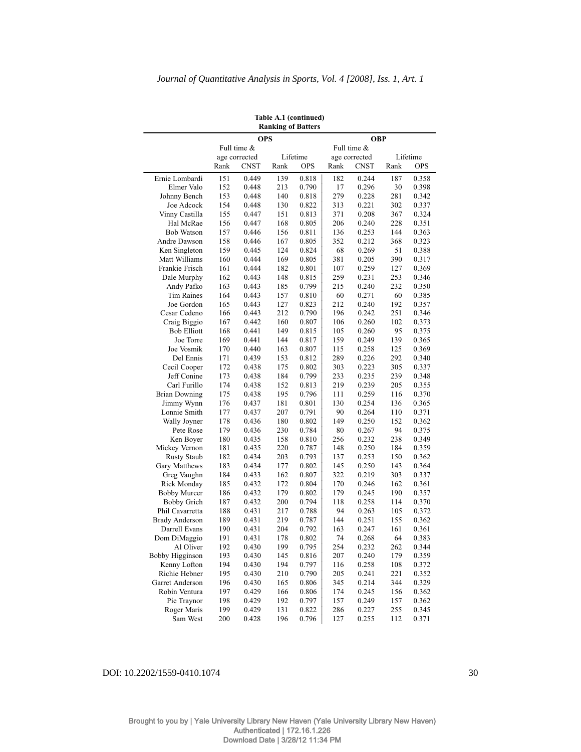|                        | 16 1111 (COMUNI<br><b>Ranking of Batters</b> |               |      |            |      |               |      |            |
|------------------------|----------------------------------------------|---------------|------|------------|------|---------------|------|------------|
|                        |                                              | <b>OPS</b>    |      |            |      | <b>OBP</b>    |      |            |
|                        |                                              | Full time &   |      |            |      | Full time &   |      |            |
|                        |                                              | age corrected |      | Lifetime   |      | age corrected |      | Lifetime   |
|                        | Rank                                         | CNST          | Rank | <b>OPS</b> | Rank | <b>CNST</b>   | Rank | <b>OPS</b> |
| Ernie Lombardi         | 151                                          | 0.449         | 139  | 0.818      | 182  | 0.244         | 187  | 0.358      |
| Elmer Valo             | 152                                          | 0.448         | 213  | 0.790      | 17   | 0.296         | 30   | 0.398      |
| Johnny Bench           | 153                                          | 0.448         | 140  | 0.818      | 279  | 0.228         | 281  | 0.342      |
| Joe Adcock             | 154                                          | 0.448         | 130  | 0.822      | 313  | 0.221         | 302  | 0.337      |
| Vinny Castilla         | 155                                          | 0.447         | 151  | 0.813      | 371  | 0.208         | 367  | 0.324      |
| Hal McRae              | 156                                          | 0.447         | 168  | 0.805      | 206  | 0.240         | 228  | 0.351      |
| <b>Bob Watson</b>      | 157                                          | 0.446         | 156  | 0.811      | 136  | 0.253         | 144  | 0.363      |
| Andre Dawson           | 158                                          | 0.446         | 167  | 0.805      | 352  | 0.212         | 368  | 0.323      |
| Ken Singleton          | 159                                          | 0.445         | 124  | 0.824      | 68   | 0.269         | 51   | 0.388      |
| Matt Williams          | 160                                          | 0.444         | 169  | 0.805      | 381  | 0.205         | 390  | 0.317      |
| Frankie Frisch         | 161                                          | 0.444         | 182  | 0.801      | 107  | 0.259         | 127  | 0.369      |
| Dale Murphy            | 162                                          | 0.443         | 148  | 0.815      | 259  | 0.231         | 253  | 0.346      |
| Andy Pafko             | 163                                          | 0.443         | 185  | 0.799      | 215  | 0.240         | 232  | 0.350      |
| <b>Tim Raines</b>      | 164                                          | 0.443         | 157  | 0.810      | 60   | 0.271         | 60   | 0.385      |
| Joe Gordon             | 165                                          | 0.443         | 127  | 0.823      | 212  | 0.240         | 192  | 0.357      |
| Cesar Cedeno           | 166                                          | 0.443         | 212  | 0.790      | 196  | 0.242         | 251  | 0.346      |
| Craig Biggio           | 167                                          | 0.442         | 160  | 0.807      | 106  | 0.260         | 102  | 0.373      |
| <b>Bob Elliott</b>     | 168                                          | 0.441         | 149  | 0.815      | 105  | 0.260         | 95   | 0.375      |
| Joe Torre              | 169                                          | 0.441         | 144  | 0.817      | 159  | 0.249         | 139  | 0.365      |
| Joe Vosmik             | 170                                          | 0.440         | 163  | 0.807      | 115  | 0.258         | 125  | 0.369      |
| Del Ennis              | 171                                          | 0.439         | 153  | 0.812      | 289  | 0.226         | 292  | 0.340      |
| Cecil Cooper           | 172                                          | 0.438         | 175  | 0.802      | 303  | 0.223         | 305  | 0.337      |
| Jeff Conine            | 173                                          | 0.438         | 184  | 0.799      | 233  | 0.235         | 239  | 0.348      |
| Carl Furillo           | 174                                          | 0.438         | 152  | 0.813      | 219  | 0.239         | 205  | 0.355      |
| <b>Brian Downing</b>   | 175                                          | 0.438         | 195  | 0.796      | 111  | 0.259         | 116  | 0.370      |
| Jimmy Wynn             | 176                                          | 0.437         | 181  | 0.801      | 130  | 0.254         | 136  | 0.365      |
| Lonnie Smith           | 177                                          | 0.437         | 207  | 0.791      | 90   | 0.264         | 110  | 0.371      |
| Wally Joyner           | 178                                          | 0.436         | 180  | 0.802      | 149  | 0.250         | 152  | 0.362      |
| Pete Rose              | 179                                          | 0.436         | 230  | 0.784      | 80   | 0.267         | 94   | 0.375      |
| Ken Boyer              | 180                                          | 0.435         | 158  | 0.810      | 256  | 0.232         | 238  | 0.349      |
| Mickey Vernon          | 181                                          | 0.435         | 220  | 0.787      | 148  | 0.250         | 184  | 0.359      |
| <b>Rusty Staub</b>     | 182                                          | 0.434         | 203  | 0.793      | 137  | 0.253         | 150  | 0.362      |
| Gary Matthews          | 183                                          | 0.434         | 177  | 0.802      | 145  | 0.250         | 143  | 0.364      |
| Greg Vaughn            | 184                                          | 0.433         | 162  | 0.807      | 322  | 0.219         | 303  | 0.337      |
| Rick Monday            | 185                                          | 0.432         | 172  | 0.804      | 170  | 0.246         | 162  | 0.361      |
| <b>Bobby Murcer</b>    | 186                                          | 0.432         | 179  | 0.802      | 179  | 0.245         | 190  | 0.357      |
| <b>Bobby Grich</b>     | 187                                          | 0.432         | 200  | 0.794      | 118  | 0.258         | 114  | 0.370      |
| Phil Cavarretta        | 188                                          | 0.431         | 217  | 0.788      | 94   | 0.263         | 105  | 0.372      |
| <b>Brady Anderson</b>  | 189                                          | 0.431         | 219  | 0.787      | 144  | 0.251         | 155  | 0.362      |
| Darrell Evans          | 190                                          | 0.431         | 204  | 0.792      | 163  | 0.247         | 161  | 0.361      |
| Dom DiMaggio           | 191                                          | 0.431         | 178  | 0.802      | 74   | 0.268         | 64   | 0.383      |
| Al Oliver              | 192                                          | 0.430         | 199  | 0.795      | 254  | 0.232         | 262  | 0.344      |
| <b>Bobby Higginson</b> | 193                                          | 0.430         | 145  | 0.816      | 207  | 0.240         | 179  | 0.359      |
| Kenny Lofton           | 194                                          | 0.430         | 194  | 0.797      | 116  | 0.258         | 108  | 0.372      |
| Richie Hebner          | 195                                          | 0.430         | 210  | 0.790      | 205  | 0.241         | 221  | 0.352      |
| Garret Anderson        | 196                                          | 0.430         | 165  | 0.806      | 345  | 0.214         | 344  | 0.329      |
| Robin Ventura          | 197                                          | 0.429         | 166  | 0.806      | 174  | 0.245         | 156  | 0.362      |
| Pie Traynor            | 198                                          | 0.429         | 192  | 0.797      | 157  | 0.249         | 157  | 0.362      |
| Roger Maris            | 199                                          | 0.429         | 131  | 0.822      | 286  | 0.227         | 255  | 0.345      |
| Sam West               | 200                                          | 0.428         | 196  | 0.796      | 127  | 0.255         | 112  | 0.371      |

**Table A.1 (continued)**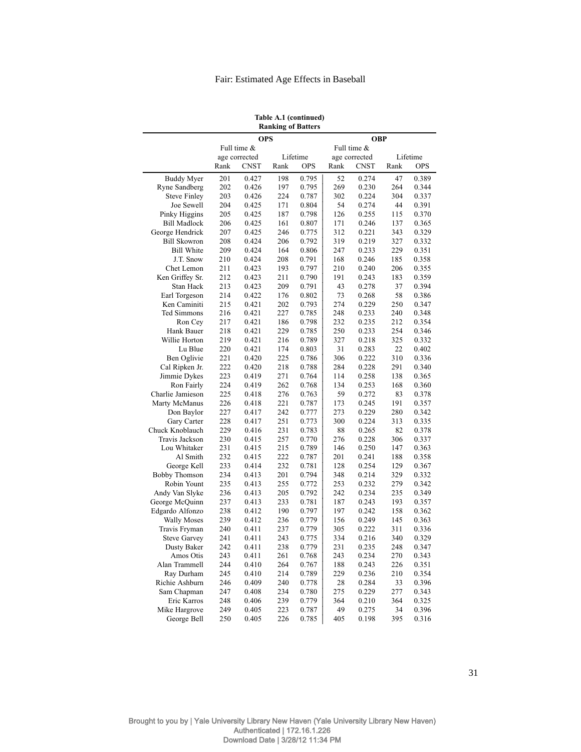**Table A.1 (continued) Ranking of Batters**

|                      |      | <b>OPS</b>    |      |            | <b>OBP</b> |               |      |            |
|----------------------|------|---------------|------|------------|------------|---------------|------|------------|
|                      |      | Full time &   |      |            |            | Full time &   |      |            |
|                      |      | age corrected |      | Lifetime   |            | age corrected |      | Lifetime   |
|                      | Rank | <b>CNST</b>   | Rank | <b>OPS</b> | Rank       | <b>CNST</b>   | Rank | <b>OPS</b> |
| <b>Buddy Myer</b>    | 201  | 0.427         | 198  | 0.795      | 52         | 0.274         | 47   | 0.389      |
| <b>Ryne Sandberg</b> | 202  | 0.426         | 197  | 0.795      | 269        | 0.230         | 264  | 0.344      |
| <b>Steve Finley</b>  | 203  | 0.426         | 224  | 0.787      | 302        | 0.224         | 304  | 0.337      |
| Joe Sewell           | 204  | 0.425         | 171  | 0.804      | 54         | 0.274         | 44   | 0.391      |
| Pinky Higgins        | 205  | 0.425         | 187  | 0.798      | 126        | 0.255         | 115  | 0.370      |
| <b>Bill Madlock</b>  | 206  | 0.425         | 161  | 0.807      | 171        | 0.246         | 137  | 0.365      |
| George Hendrick      | 207  | 0.425         | 246  | 0.775      | 312        | 0.221         | 343  | 0.329      |
| <b>Bill Skowron</b>  | 208  | 0.424         | 206  | 0.792      | 319        | 0.219         | 327  | 0.332      |
| <b>Bill White</b>    | 209  | 0.424         | 164  | 0.806      | 247        | 0.233         | 229  | 0.351      |
| J.T. Snow            | 210  | 0.424         | 208  | 0.791      | 168        | 0.246         | 185  | 0.358      |
| Chet Lemon           | 211  | 0.423         | 193  | 0.797      | 210        | 0.240         | 206  | 0.355      |
| Ken Griffey Sr.      | 212  | 0.423         | 211  | 0.790      | 191        | 0.243         | 183  | 0.359      |
| Stan Hack            | 213  | 0.423         | 209  | 0.791      | 43         | 0.278         | 37   | 0.394      |
| Earl Torgeson        | 214  | 0.422         | 176  | 0.802      | 73         | 0.268         | 58   | 0.386      |
| Ken Caminiti         | 215  | 0.421         | 202  | 0.793      | 274        | 0.229         | 250  | 0.347      |
| Ted Simmons          | 216  | 0.421         | 227  | 0.785      | 248        | 0.233         | 240  | 0.348      |
| Ron Cey              | 217  | 0.421         | 186  | 0.798      | 232        | 0.235         | 212  | 0.354      |
| Hank Bauer           | 218  | 0.421         | 229  | 0.785      | 250        | 0.233         | 254  | 0.346      |
| Willie Horton        | 219  | 0.421         | 216  | 0.789      | 327        | 0.218         | 325  | 0.332      |
| Lu Blue              | 220  | 0.421         | 174  | 0.803      | 31         | 0.283         | 22   | 0.402      |
| Ben Oglivie          | 221  | 0.420         | 225  | 0.786      | 306        | 0.222         | 310  | 0.336      |
| Cal Ripken Jr.       | 222  | 0.420         | 218  | 0.788      | 284        | 0.228         | 291  | 0.340      |
| Jimmie Dykes         | 223  | 0.419         | 271  | 0.764      | 114        | 0.258         | 138  | 0.365      |
| Ron Fairly           | 224  | 0.419         | 262  | 0.768      | 134        | 0.253         | 168  | 0.360      |
| Charlie Jamieson     | 225  | 0.418         | 276  | 0.763      | 59         | 0.272         | 83   | 0.378      |
| Marty McManus        | 226  | 0.418         | 221  | 0.787      | 173        | 0.245         | 191  | 0.357      |
| Don Baylor           | 227  | 0.417         | 242  | 0.777      | 273        | 0.229         | 280  | 0.342      |
| Gary Carter          | 228  | 0.417         | 251  | 0.773      | 300        | 0.224         | 313  | 0.335      |
| Chuck Knoblauch      | 229  | 0.416         | 231  | 0.783      | 88         | 0.265         | 82   | 0.378      |
| Travis Jackson       | 230  | 0.415         | 257  | 0.770      | 276        | 0.228         | 306  | 0.337      |
| Lou Whitaker         | 231  | 0.415         | 215  | 0.789      | 146        | 0.250         | 147  | 0.363      |
| Al Smith             | 232  | 0.415         | 222  | 0.787      | 201        | 0.241         | 188  | 0.358      |
| George Kell          | 233  | 0.414         | 232  | 0.781      | 128        | 0.254         | 129  | 0.367      |
| <b>Bobby Thomson</b> | 234  | 0.413         | 201  | 0.794      | 348        | 0.214         | 329  | 0.332      |
| Robin Yount          | 235  | 0.413         | 255  | 0.772      | 253        | 0.232         | 279  | 0.342      |
| Andy Van Slyke       | 236  | 0.413         | 205  | 0.792      | 242        | 0.234         | 235  | 0.349      |
| George McQuinn       | 237  | 0.413         | 233  | 0.781      | 187        | 0.243         | 193  | 0.357      |
| Edgardo Alfonzo      | 238  | 0.412         | 190  | 0.797      | 197        | 0.242         | 158  | 0.362      |
| <b>Wally Moses</b>   | 239  | 0.412         | 236  | 0.779      | 156        | 0.249         | 145  | 0.363      |
| Travis Fryman        | 240  | 0.411         | 237  | 0.779      | 305        | 0.222         | 311  | 0.336      |
| <b>Steve Garvey</b>  | 241  | 0.411         | 243  | 0.775      | 334        | 0.216         | 340  | 0.329      |
| <b>Dusty Baker</b>   | 242  | 0.411         | 238  | 0.779      | 231        | 0.235         | 248  | 0.347      |
| Amos Otis            | 243  | 0.411         | 261  | 0.768      | 243        | 0.234         | 270  | 0.343      |
| Alan Trammell        | 244  | 0.410         | 264  | 0.767      | 188        | 0.243         | 226  | 0.351      |
| Ray Durham           | 245  | 0.410         | 214  | 0.789      | 229        | 0.236         | 210  | 0.354      |
| Richie Ashburn       | 246  | 0.409         | 240  | 0.778      | 28         | 0.284         | 33   | 0.396      |
| Sam Chapman          | 247  | 0.408         | 234  | 0.780      | 275        | 0.229         | 277  | 0.343      |
| Eric Karros          | 248  | 0.406         | 239  | 0.779      | 364        | 0.210         | 364  | 0.325      |
| Mike Hargrove        | 249  | 0.405         | 223  | 0.787      | 49         | 0.275         | 34   | 0.396      |
| George Bell          | 250  | 0.405         | 226  | 0.785      | 405        | 0.198         | 395  | 0.316      |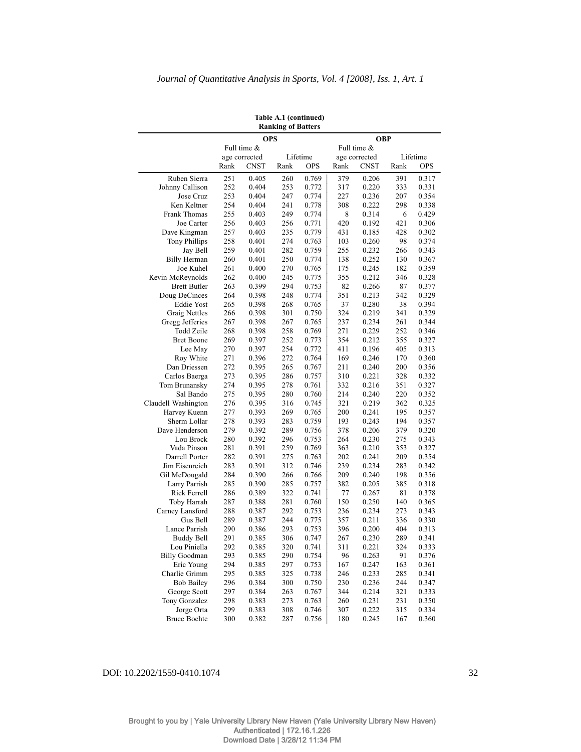| таріс А.І (сониниси)<br><b>Ranking of Batters</b> |      |               |      |            |      |               |      |            |
|---------------------------------------------------|------|---------------|------|------------|------|---------------|------|------------|
|                                                   |      | <b>OPS</b>    |      |            |      | <b>OBP</b>    |      |            |
|                                                   |      | Full time &   |      |            |      | Full time &   |      |            |
|                                                   |      | age corrected |      | Lifetime   |      | age corrected |      | Lifetime   |
|                                                   | Rank | <b>CNST</b>   | Rank | <b>OPS</b> | Rank | <b>CNST</b>   | Rank | <b>OPS</b> |
| Ruben Sierra                                      | 251  | 0.405         | 260  | 0.769      | 379  | 0.206         | 391  | 0.317      |
| Johnny Callison                                   | 252  | 0.404         | 253  | 0.772      | 317  | 0.220         | 333  | 0.331      |
| Jose Cruz                                         | 253  | 0.404         | 247  | 0.774      | 227  | 0.236         | 207  | 0.354      |
| Ken Keltner                                       | 254  | 0.404         | 241  | 0.778      | 308  | 0.222         | 298  | 0.338      |
| Frank Thomas                                      | 255  | 0.403         | 249  | 0.774      | 8    | 0.314         | 6    | 0.429      |
| Joe Carter                                        | 256  | 0.403         | 256  | 0.771      | 420  | 0.192         | 421  | 0.306      |
| Dave Kingman                                      | 257  | 0.403         | 235  | 0.779      | 431  | 0.185         | 428  | 0.302      |
| <b>Tony Phillips</b>                              | 258  | 0.401         | 274  | 0.763      | 103  | 0.260         | 98   | 0.374      |
| Jay Bell                                          | 259  | 0.401         | 282  | 0.759      | 255  | 0.232         | 266  | 0.343      |
| <b>Billy Herman</b>                               | 260  | 0.401         | 250  | 0.774      | 138  | 0.252         | 130  | 0.367      |
| Joe Kuhel                                         | 261  | 0.400         | 270  | 0.765      | 175  | 0.245         | 182  | 0.359      |
| Kevin McReynolds                                  | 262  | 0.400         | 245  | 0.775      | 355  | 0.212         | 346  | 0.328      |
| <b>Brett Butler</b>                               | 263  | 0.399         | 294  | 0.753      | 82   | 0.266         | 87   | 0.377      |
| Doug DeCinces                                     | 264  | 0.398         | 248  | 0.774      | 351  | 0.213         | 342  | 0.329      |
| <b>Eddie Yost</b>                                 | 265  | 0.398         | 268  | 0.765      | 37   | 0.280         | 38   | 0.394      |
| Graig Nettles                                     | 266  | 0.398         | 301  | 0.750      | 324  | 0.219         | 341  | 0.329      |
| Gregg Jefferies                                   | 267  | 0.398         | 267  | 0.765      | 237  | 0.234         | 261  | 0.344      |
| Todd Zeile                                        | 268  | 0.398         | 258  | 0.769      | 271  | 0.229         | 252  | 0.346      |
| <b>Bret Boone</b>                                 | 269  | 0.397         | 252  | 0.773      | 354  | 0.212         | 355  | 0.327      |
| Lee May                                           | 270  | 0.397         | 254  | 0.772      | 411  | 0.196         | 405  | 0.313      |
| Roy White                                         | 271  | 0.396         | 272  | 0.764      | 169  | 0.246         | 170  | 0.360      |
| Dan Driessen                                      | 272  | 0.395         | 265  | 0.767      | 211  | 0.240         | 200  | 0.356      |
| Carlos Baerga                                     | 273  | 0.395         | 286  | 0.757      | 310  | 0.221         | 328  | 0.332      |
| Tom Brunansky                                     | 274  | 0.395         | 278  | 0.761      | 332  | 0.216         | 351  | 0.327      |
| Sal Bando                                         | 275  | 0.395         | 280  | 0.760      | 214  | 0.240         | 220  | 0.352      |
| Claudell Washington                               | 276  | 0.395         | 316  | 0.745      | 321  | 0.219         | 362  | 0.325      |
| Harvey Kuenn                                      | 277  | 0.393         | 269  | 0.765      | 200  | 0.241         | 195  | 0.357      |
| Sherm Lollar                                      | 278  | 0.393         | 283  | 0.759      | 193  | 0.243         | 194  | 0.357      |
| Dave Henderson                                    | 279  | 0.392         | 289  | 0.756      | 378  | 0.206         | 379  | 0.320      |
|                                                   | 280  | 0.392         | 296  | 0.753      | 264  | 0.230         | 275  |            |
| Lou Brock                                         |      |               | 259  |            |      |               |      | 0.343      |
| Vada Pinson                                       | 281  | 0.391         |      | 0.769      | 363  | 0.210         | 353  | 0.327      |
| Darrell Porter                                    | 282  | 0.391         | 275  | 0.763      | 202  | 0.241         | 209  | 0.354      |
| Jim Eisenreich                                    | 283  | 0.391         | 312  | 0.746      | 239  | 0.234         | 283  | 0.342      |
| Gil McDougald                                     | 284  | 0.390         | 266  | 0.766      | 209  | 0.240         | 198  | 0.356      |
| Larry Parrish<br><b>Rick Ferrell</b>              | 285  | 0.390         | 285  | 0.757      | 382  | 0.205         | 385  | 0.318      |
|                                                   | 286  | 0.389         | 322  | 0.741      | 77   | 0.267         | 81   | 0.378      |
| Toby Harrah                                       | 287  | 0.388         | 281  | 0.760      | 150  | 0.250         | 140  | 0.365      |
| Carney Lansford                                   | 288  | 0.387         | 292  | 0.753      | 236  | 0.234         | 273  | 0.343      |
| Gus Bell                                          | 289  | 0.387         | 244  | 0.775      | 357  | 0.211         | 336  | 0.330      |
| Lance Parrish                                     | 290  | 0.386         | 293  | 0.753      | 396  | 0.200         | 404  | 0.313      |
| <b>Buddy Bell</b>                                 | 291  | 0.385         | 306  | 0.747      | 267  | 0.230         | 289  | 0.341      |
| Lou Piniella                                      | 292  | 0.385         | 320  | 0.741      | 311  | 0.221         | 324  | 0.333      |
| <b>Billy Goodman</b>                              | 293  | 0.385         | 290  | 0.754      | 96   | 0.263         | 91   | 0.376      |
| Eric Young                                        | 294  | 0.385         | 297  | 0.753      | 167  | 0.247         | 163  | 0.361      |
| Charlie Grimm                                     | 295  | 0.385         | 325  | 0.738      | 246  | 0.233         | 285  | 0.341      |
| <b>Bob Bailey</b>                                 | 296  | 0.384         | 300  | 0.750      | 230  | 0.236         | 244  | 0.347      |
| George Scott                                      | 297  | 0.384         | 263  | 0.767      | 344  | 0.214         | 321  | 0.333      |
| Tony Gonzalez                                     | 298  | 0.383         | 273  | 0.763      | 260  | 0.231         | 231  | 0.350      |
| Jorge Orta                                        | 299  | 0.383         | 308  | 0.746      | 307  | 0.222         | 315  | 0.334      |
| <b>Bruce Bochte</b>                               | 300  | 0.382         | 287  | 0.756      | 180  | 0.245         | 167  | 0.360      |

**Table A.1 (continued)**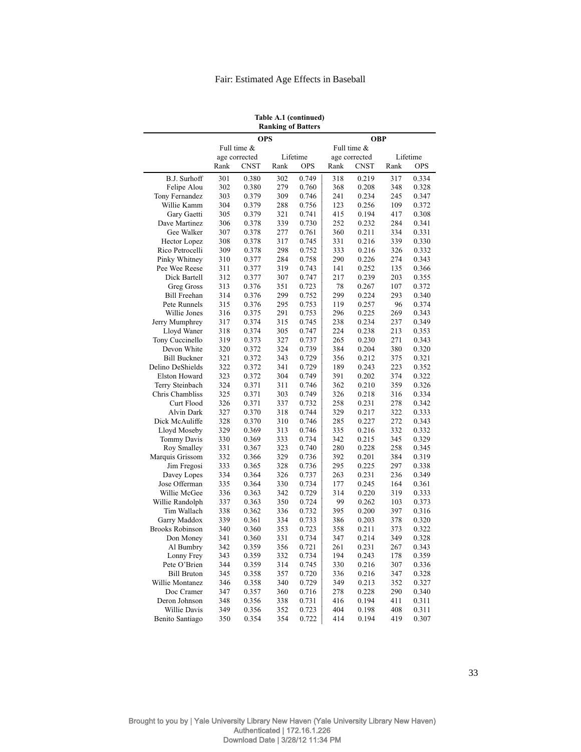| Table A.1 (continued)     |  |
|---------------------------|--|
| <b>Ranking of Batters</b> |  |

|                        |      | <b>OPS</b>    |      |            |      | <b>OBP</b>    |      |            |  |
|------------------------|------|---------------|------|------------|------|---------------|------|------------|--|
|                        |      | Full time &   |      |            |      | Full time &   |      |            |  |
|                        |      | age corrected |      | Lifetime   |      | age corrected |      | Lifetime   |  |
|                        | Rank | <b>CNST</b>   | Rank | <b>OPS</b> | Rank | <b>CNST</b>   | Rank | <b>OPS</b> |  |
| <b>B.J.</b> Surhoff    | 301  | 0.380         | 302  | 0.749      | 318  | 0.219         | 317  | 0.334      |  |
| Felipe Alou            | 302  | 0.380         | 279  | 0.760      | 368  | 0.208         | 348  | 0.328      |  |
| Tony Fernandez         | 303  | 0.379         | 309  | 0.746      | 241  | 0.234         | 245  | 0.347      |  |
| Willie Kamm            | 304  | 0.379         | 288  | 0.756      | 123  | 0.256         | 109  | 0.372      |  |
| Gary Gaetti            | 305  | 0.379         | 321  | 0.741      | 415  | 0.194         | 417  | 0.308      |  |
| Dave Martinez          | 306  | 0.378         | 339  | 0.730      | 252  | 0.232         | 284  | 0.341      |  |
| Gee Walker             | 307  | 0.378         | 277  | 0.761      | 360  | 0.211         | 334  | 0.331      |  |
| <b>Hector Lopez</b>    | 308  | 0.378         | 317  | 0.745      | 331  | 0.216         | 339  | 0.330      |  |
| Rico Petrocelli        | 309  | 0.378         | 298  | 0.752      | 333  | 0.216         | 326  | 0.332      |  |
| Pinky Whitney          | 310  | 0.377         | 284  | 0.758      | 290  | 0.226         | 274  | 0.343      |  |
| Pee Wee Reese          | 311  | 0.377         | 319  | 0.743      | 141  | 0.252         | 135  | 0.366      |  |
| Dick Bartell           | 312  | 0.377         | 307  | 0.747      | 217  | 0.239         | 203  | 0.355      |  |
| <b>Greg Gross</b>      | 313  | 0.376         | 351  | 0.723      | 78   | 0.267         | 107  | 0.372      |  |
| <b>Bill Freehan</b>    | 314  | 0.376         | 299  | 0.752      | 299  | 0.224         | 293  | 0.340      |  |
| Pete Runnels           | 315  | 0.376         | 295  | 0.753      | 119  | 0.257         | 96   | 0.374      |  |
| Willie Jones           | 316  | 0.375         | 291  | 0.753      | 296  | 0.225         | 269  | 0.343      |  |
| Jerry Mumphrey         | 317  | 0.374         | 315  | 0.745      | 238  | 0.234         | 237  | 0.349      |  |
| Lloyd Waner            | 318  | 0.374         | 305  | 0.747      | 224  | 0.238         | 213  | 0.353      |  |
| Tony Cuccinello        | 319  | 0.373         | 327  | 0.737      | 265  | 0.230         | 271  | 0.343      |  |
| Devon White            | 320  | 0.372         | 324  | 0.739      | 384  | 0.204         | 380  | 0.320      |  |
| <b>Bill Buckner</b>    | 321  | 0.372         | 343  | 0.729      | 356  | 0.212         | 375  | 0.321      |  |
| Delino DeShields       | 322  | 0.372         | 341  | 0.729      | 189  | 0.243         | 223  | 0.352      |  |
| Elston Howard          | 323  | 0.372         | 304  | 0.749      | 391  | 0.202         | 374  | 0.322      |  |
| Terry Steinbach        | 324  | 0.371         | 311  | 0.746      | 362  | 0.210         | 359  | 0.326      |  |
| <b>Chris Chambliss</b> | 325  | 0.371         | 303  | 0.749      | 326  | 0.218         | 316  | 0.334      |  |
| Curt Flood             | 326  | 0.371         | 337  | 0.732      | 258  | 0.231         | 278  | 0.342      |  |
| <b>Alvin Dark</b>      | 327  | 0.370         | 318  | 0.744      | 329  | 0.217         | 322  | 0.333      |  |
| Dick McAuliffe         | 328  | 0.370         | 310  | 0.746      | 285  | 0.227         | 272  | 0.343      |  |
| Lloyd Moseby           | 329  | 0.369         | 313  | 0.746      | 335  | 0.216         | 332  | 0.332      |  |
| <b>Tommy Davis</b>     | 330  | 0.369         | 333  | 0.734      | 342  | 0.215         | 345  | 0.329      |  |
| Roy Smalley            | 331  | 0.367         | 323  | 0.740      | 280  | 0.228         | 258  | 0.345      |  |
| Marquis Grissom        | 332  | 0.366         | 329  | 0.736      | 392  | 0.201         | 384  | 0.319      |  |
| Jim Fregosi            | 333  | 0.365         | 328  | 0.736      | 295  | 0.225         | 297  | 0.338      |  |
| Davey Lopes            | 334  | 0.364         | 326  | 0.737      | 263  | 0.231         | 236  | 0.349      |  |
| Jose Offerman          | 335  | 0.364         | 330  | 0.734      | 177  | 0.245         | 164  | 0.361      |  |
| Willie McGee           | 336  | 0.363         | 342  | 0.729      | 314  | 0.220         | 319  | 0.333      |  |
| Willie Randolph        | 337  | 0.363         | 350  | 0.724      | 99   | 0.262         | 103  | 0.373      |  |
| Tim Wallach            | 338  | 0.362         | 336  | 0.732      | 395  | 0.200         | 397  | 0.316      |  |
| Garry Maddox           | 339  | 0.361         | 334  | 0.733      | 386  | 0.203         | 378  | 0.320      |  |
| <b>Brooks Robinson</b> | 340  | 0.360         | 353  | 0.723      | 358  | 0.211         | 373  | 0.322      |  |
| Don Money              | 341  | 0.360         | 331  | 0.734      | 347  | 0.214         | 349  | 0.328      |  |
| Al Bumbry              | 342  | 0.359         | 356  | 0.721      | 261  | 0.231         | 267  | 0.343      |  |
| Lonny Frey             | 343  | 0.359         | 332  | 0.734      | 194  | 0.243         | 178  | 0.359      |  |
| Pete O'Brien           | 344  | 0.359         | 314  | 0.745      | 330  | 0.216         | 307  | 0.336      |  |
| <b>Bill Bruton</b>     | 345  | 0.358         | 357  | 0.720      | 336  | 0.216         | 347  | 0.328      |  |
| Willie Montanez        | 346  | 0.358         | 340  | 0.729      | 349  | 0.213         | 352  | 0.327      |  |
| Doc Cramer             | 347  | 0.357         | 360  | 0.716      | 278  | 0.228         | 290  | 0.340      |  |
| Deron Johnson          | 348  | 0.356         | 338  | 0.731      | 416  | 0.194         | 411  | 0.311      |  |
| Willie Davis           | 349  | 0.356         | 352  | 0.723      | 404  | 0.198         | 408  | 0.311      |  |
| Benito Santiago        | 350  | 0.354         | 354  | 0.722      | 414  | 0.194         | 419  | 0.307      |  |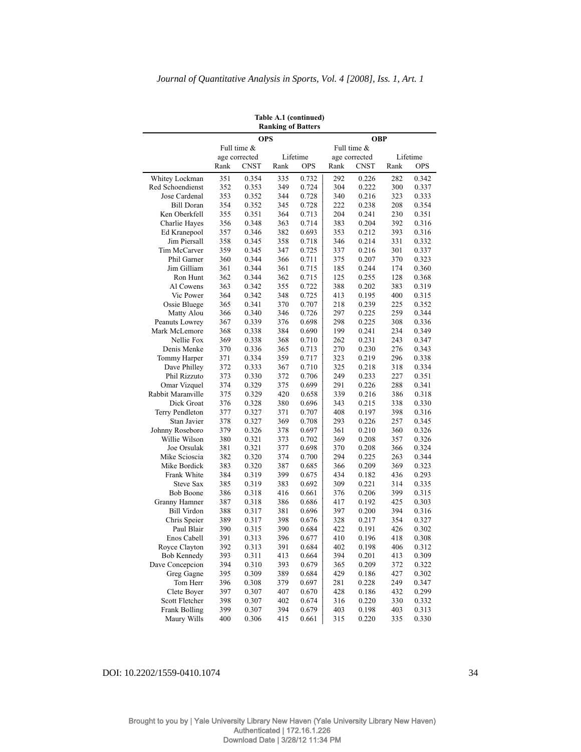| 14910 71.1 (Continueu <i>)</i><br><b>Ranking of Batters</b> |      |                |      |                |      |                |      |                |
|-------------------------------------------------------------|------|----------------|------|----------------|------|----------------|------|----------------|
|                                                             |      | <b>OPS</b>     |      |                |      | <b>OBP</b>     |      |                |
|                                                             |      | Full time &    |      |                |      | Full time &    |      |                |
|                                                             |      | age corrected  |      | Lifetime       |      | age corrected  |      | Lifetime       |
|                                                             | Rank | CNST           | Rank | <b>OPS</b>     | Rank | CNST           | Rank | <b>OPS</b>     |
| Whitey Lockman                                              | 351  | 0.354          | 335  | 0.732          | 292  | 0.226          | 282  | 0.342          |
| Red Schoendienst                                            | 352  | 0.353          | 349  | 0.724          | 304  | 0.222          | 300  | 0.337          |
| Jose Cardenal                                               | 353  | 0.352          | 344  | 0.728          | 340  | 0.216          | 323  | 0.333          |
| <b>Bill Doran</b>                                           | 354  | 0.352          | 345  | 0.728          | 222  | 0.238          | 208  | 0.354          |
| Ken Oberkfell                                               | 355  | 0.351          | 364  | 0.713          | 204  | 0.241          | 230  | 0.351          |
| Charlie Hayes                                               | 356  | 0.348          | 363  | 0.714          | 383  | 0.204          | 392  | 0.316          |
| Ed Kranepool                                                | 357  | 0.346          | 382  | 0.693          | 353  | 0.212          | 393  | 0.316          |
| Jim Piersall                                                | 358  | 0.345          | 358  | 0.718          | 346  | 0.214          | 331  | 0.332          |
| Tim McCarver                                                | 359  | 0.345          | 347  | 0.725          | 337  | 0.216          | 301  | 0.337          |
| Phil Garner                                                 | 360  | 0.344          | 366  | 0.711          | 375  | 0.207          | 370  | 0.323          |
| Jim Gilliam                                                 | 361  | 0.344          | 361  | 0.715          | 185  | 0.244          | 174  | 0.360          |
| Ron Hunt                                                    | 362  | 0.344          | 362  | 0.715          | 125  | 0.255          | 128  | 0.368          |
| Al Cowens                                                   | 363  | 0.342          | 355  | 0.722          | 388  | 0.202          | 383  | 0.319          |
| Vic Power                                                   | 364  | 0.342          | 348  | 0.725          | 413  | 0.195          | 400  | 0.315          |
| Ossie Bluege                                                | 365  | 0.341          | 370  | 0.707          | 218  | 0.239          | 225  | 0.352          |
| Matty Alou                                                  | 366  | 0.340          | 346  | 0.726          | 297  | 0.225          | 259  | 0.344          |
| Peanuts Lowrey                                              | 367  | 0.339          | 376  | 0.698          | 298  | 0.225          | 308  | 0.336          |
| Mark McLemore                                               | 368  | 0.338          | 384  | 0.690          | 199  | 0.241          | 234  | 0.349          |
| Nellie Fox                                                  | 369  | 0.338          | 368  | 0.710          | 262  | 0.231          | 243  | 0.347          |
| Denis Menke                                                 | 370  | 0.336          | 365  | 0.713          | 270  | 0.230          | 276  | 0.343          |
| Tommy Harper                                                | 371  | 0.334          | 359  | 0.717          | 323  | 0.219          | 296  | 0.338          |
| Dave Philley                                                | 372  | 0.333          | 367  | 0.710          | 325  | 0.218          | 318  | 0.334          |
| Phil Rizzuto                                                | 373  | 0.330          | 372  | 0.706          | 249  | 0.233          | 227  | 0.351          |
| Omar Vizquel                                                | 374  | 0.329          | 375  | 0.699          | 291  | 0.226          | 288  | 0.341          |
| Rabbit Maranville                                           | 375  | 0.329          | 420  |                | 339  | 0.216          | 386  |                |
| Dick Groat                                                  | 376  | 0.328          | 380  | 0.658<br>0.696 | 343  | 0.215          | 338  | 0.318<br>0.330 |
| Terry Pendleton                                             | 377  | 0.327          | 371  | 0.707          | 408  | 0.197          | 398  | 0.316          |
| Stan Javier                                                 | 378  | 0.327          | 369  | 0.708          | 293  | 0.226          | 257  | 0.345          |
| Johnny Roseboro                                             | 379  | 0.326          | 378  | 0.697          | 361  | 0.210          | 360  | 0.326          |
| Willie Wilson                                               | 380  | 0.321          | 373  | 0.702          | 369  | 0.208          | 357  | 0.326          |
| Joe Orsulak                                                 | 381  | 0.321          | 377  |                | 370  | 0.208          | 366  | 0.324          |
| Mike Scioscia                                               | 382  | 0.320          | 374  | 0.698<br>0.700 | 294  | 0.225          | 263  | 0.344          |
| Mike Bordick                                                | 383  | 0.320          | 387  | 0.685          | 366  | 0.209          | 369  | 0.323          |
| Frank White                                                 | 384  | 0.319          | 399  | 0.675          | 434  | 0.182          | 436  | 0.293          |
| <b>Steve Sax</b>                                            | 385  |                |      |                | 309  |                | 314  |                |
| <b>Bob Boone</b>                                            | 386  | 0.319          | 383  | 0.692          | 376  | 0.221          |      | 0.335          |
| <b>Granny Hamner</b>                                        |      | 0.318<br>0.318 | 416  | 0.661          |      | 0.206          | 399  | 0.315          |
| <b>Bill Virdon</b>                                          | 387  |                | 386  | 0.686          | 417  | 0.192          | 425  | 0.303<br>0.316 |
|                                                             | 388  | 0.317          | 381  | 0.696          | 397  | 0.200          | 394  |                |
| Chris Speier                                                | 389  | 0.317          | 398  | 0.676          | 328  | 0.217          | 354  | 0.327          |
| Paul Blair<br>Enos Cabell                                   | 390  | 0.315          | 390  | 0.684          | 422  | 0.191          | 426  | 0.302          |
|                                                             | 391  | 0.313          | 396  | 0.677          | 410  | 0.196          | 418  | 0.308          |
| Royce Clayton                                               | 392  | 0.313          | 391  | 0.684          | 402  | 0.198          | 406  | 0.312          |
| Bob Kennedy                                                 | 393  | 0.311          | 413  | 0.664          | 394  | 0.201          | 413  | 0.309          |
| Dave Concepcion                                             | 394  | 0.310          | 393  | 0.679          | 365  | 0.209          | 372  | 0.322          |
| Greg Gagne                                                  | 395  | 0.309          | 389  | 0.684          | 429  | 0.186<br>0.228 | 427  | 0.302          |
| Tom Herr                                                    | 396  | 0.308          | 379  | 0.697          | 281  |                | 249  | 0.347          |
| Clete Boyer                                                 | 397  | 0.307          | 407  | 0.670          | 428  | 0.186          | 432  | 0.299          |
| Scott Fletcher                                              | 398  | 0.307          | 402  | 0.674          | 316  | 0.220          | 330  | 0.332          |
| Frank Bolling                                               | 399  | 0.307          | 394  | 0.679          | 403  | 0.198          | 403  | 0.313          |
| Maury Wills                                                 | 400  | 0.306          | 415  | 0.661          | 315  | 0.220          | 335  | 0.330          |

**Table A.1 (continued)**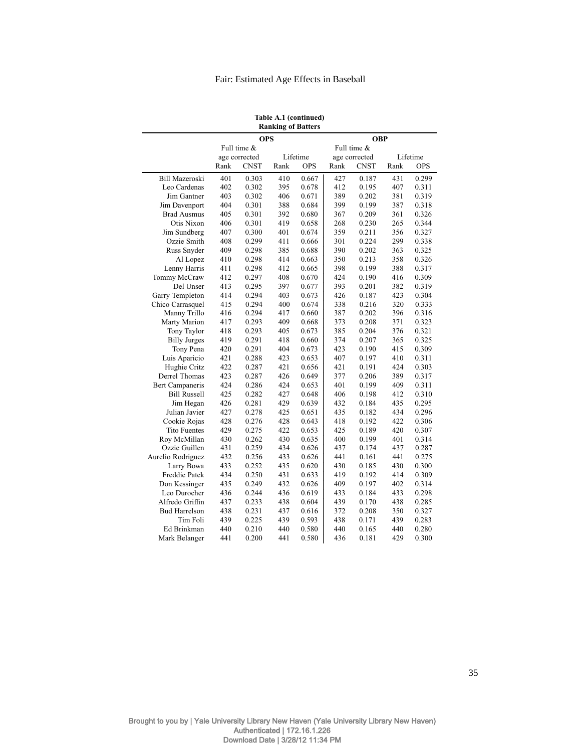| <b>Ranking of Batters</b> |      |               |      |            |      |               |      |            |
|---------------------------|------|---------------|------|------------|------|---------------|------|------------|
| <b>OPS</b><br><b>OBP</b>  |      |               |      |            |      |               |      |            |
|                           |      | Full time &   |      |            |      | Full time &   |      |            |
|                           |      | age corrected |      | Lifetime   |      | age corrected |      | Lifetime   |
|                           | Rank | <b>CNST</b>   | Rank | <b>OPS</b> | Rank | <b>CNST</b>   | Rank | <b>OPS</b> |
| <b>Bill Mazeroski</b>     | 401  | 0.303         | 410  | 0.667      | 427  | 0.187         | 431  | 0.299      |
| Leo Cardenas              | 402  | 0.302         | 395  | 0.678      | 412  | 0.195         | 407  | 0.311      |
| Jim Gantner               | 403  | 0.302         | 406  | 0.671      | 389  | 0.202         | 381  | 0.319      |
| Jim Davenport             | 404  | 0.301         | 388  | 0.684      | 399  | 0.199         | 387  | 0.318      |
| <b>Brad Ausmus</b>        | 405  | 0.301         | 392  | 0.680      | 367  | 0.209         | 361  | 0.326      |
| Otis Nixon                | 406  | 0.301         | 419  | 0.658      | 268  | 0.230         | 265  | 0.344      |
| Jim Sundberg              | 407  | 0.300         | 401  | 0.674      | 359  | 0.211         | 356  | 0.327      |
| Ozzie Smith               | 408  | 0.299         | 411  | 0.666      | 301  | 0.224         | 299  | 0.338      |
| Russ Snyder               | 409  | 0.298         | 385  | 0.688      | 390  | 0.202         | 363  | 0.325      |
| Al Lopez                  | 410  | 0.298         | 414  | 0.663      | 350  | 0.213         | 358  | 0.326      |
| Lenny Harris              | 411  | 0.298         | 412  | 0.665      | 398  | 0.199         | 388  | 0.317      |
| Tommy McCraw              | 412  | 0.297         | 408  | 0.670      | 424  | 0.190         | 416  | 0.309      |
| Del Unser                 | 413  | 0.295         | 397  | 0.677      | 393  | 0.201         | 382  | 0.319      |
| Garry Templeton           | 414  | 0.294         | 403  | 0.673      | 426  | 0.187         | 423  | 0.304      |
| Chico Carrasquel          | 415  | 0.294         | 400  | 0.674      | 338  | 0.216         | 320  | 0.333      |
| Manny Trillo              | 416  | 0.294         | 417  | 0.660      | 387  | 0.202         | 396  | 0.316      |
| Marty Marion              | 417  | 0.293         | 409  | 0.668      | 373  | 0.208         | 371  | 0.323      |
| Tony Taylor               | 418  | 0.293         | 405  | 0.673      | 385  | 0.204         | 376  | 0.321      |
| <b>Billy Jurges</b>       | 419  | 0.291         | 418  | 0.660      | 374  | 0.207         | 365  | 0.325      |
| Tony Pena                 | 420  | 0.291         | 404  | 0.673      | 423  | 0.190         | 415  | 0.309      |
| Luis Aparicio             | 421  | 0.288         | 423  | 0.653      | 407  | 0.197         | 410  | 0.311      |
| Hughie Critz              | 422  | 0.287         | 421  | 0.656      | 421  | 0.191         | 424  | 0.303      |
| Derrel Thomas             | 423  | 0.287         | 426  | 0.649      | 377  | 0.206         | 389  | 0.317      |
| Bert Campaneris           | 424  | 0.286         | 424  | 0.653      | 401  | 0.199         | 409  | 0.311      |
| <b>Bill Russell</b>       | 425  | 0.282         | 427  | 0.648      | 406  | 0.198         | 412  | 0.310      |
| Jim Hegan                 | 426  | 0.281         | 429  | 0.639      | 432  | 0.184         | 435  | 0.295      |
| Julian Javier             | 427  | 0.278         | 425  | 0.651      | 435  | 0.182         | 434  | 0.296      |
| Cookie Rojas              | 428  | 0.276         | 428  | 0.643      | 418  | 0.192         | 422  | 0.306      |
| <b>Tito Fuentes</b>       | 429  | 0.275         | 422  | 0.653      | 425  | 0.189         | 420  | 0.307      |
| Roy McMillan              | 430  | 0.262         | 430  | 0.635      | 400  | 0.199         | 401  | 0.314      |
| Ozzie Guillen             | 431  | 0.259         | 434  | 0.626      | 437  | 0.174         | 437  | 0.287      |
| Aurelio Rodriguez         | 432  | 0.256         | 433  | 0.626      | 441  | 0.161         | 441  | 0.275      |
| Larry Bowa                | 433  | 0.252         | 435  | 0.620      | 430  | 0.185         | 430  | 0.300      |
| Freddie Patek             | 434  | 0.250         | 431  | 0.633      | 419  | 0.192         | 414  | 0.309      |
| Don Kessinger             | 435  | 0.249         | 432  | 0.626      | 409  | 0.197         | 402  | 0.314      |
| Leo Durocher              | 436  | 0.244         | 436  | 0.619      | 433  | 0.184         | 433  | 0.298      |
| Alfredo Griffin           | 437  | 0.233         | 438  | 0.604      | 439  | 0.170         | 438  | 0.285      |
| <b>Bud Harrelson</b>      | 438  | 0.231         | 437  | 0.616      | 372  | 0.208         | 350  | 0.327      |
| Tim Foli                  | 439  | 0.225         | 439  | 0.593      | 438  | 0.171         | 439  | 0.283      |
| Ed Brinkman               | 440  | 0.210         | 440  | 0.580      | 440  | 0.165         | 440  | 0.280      |
| Mark Belanger             | 441  | 0.200         | 441  | 0.580      | 436  | 0.181         | 429  | 0.300      |

**Table A.1 (continued)**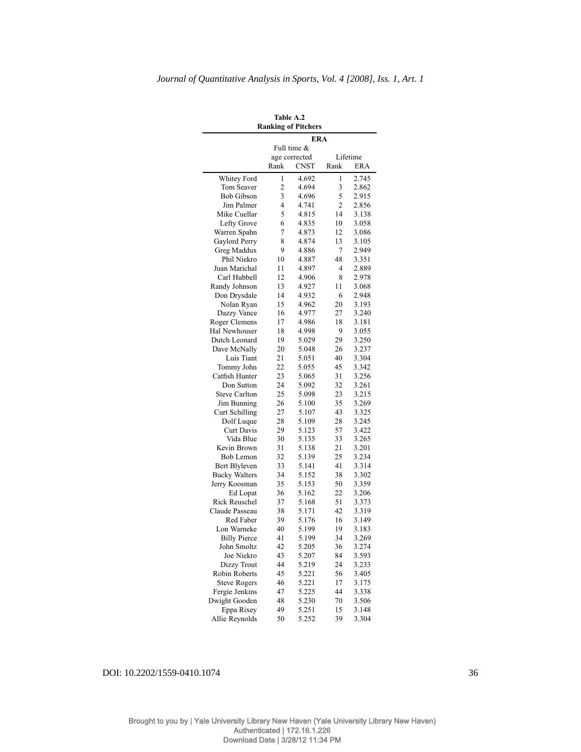|                      | Table A.2<br><b>Ranking of Pitchers</b> |                              |      |          |  |  |  |  |  |
|----------------------|-----------------------------------------|------------------------------|------|----------|--|--|--|--|--|
|                      | <b>ERA</b>                              |                              |      |          |  |  |  |  |  |
|                      |                                         |                              |      |          |  |  |  |  |  |
|                      |                                         | Full time &                  |      | Lifetime |  |  |  |  |  |
|                      | Rank                                    | age corrected<br><b>CNST</b> | Rank | ERA      |  |  |  |  |  |
|                      |                                         |                              |      |          |  |  |  |  |  |
| Whitey Ford          | 1                                       | 4.692                        | 1    | 2.745    |  |  |  |  |  |
| Tom Seaver           | 2                                       | 4.694                        | 3    | 2.862    |  |  |  |  |  |
| <b>Bob Gibson</b>    | 3                                       | 4.696                        | 5    | 2.915    |  |  |  |  |  |
| Jim Palmer           | 4                                       | 4.741                        | 2    | 2.856    |  |  |  |  |  |
| Mike Cuellar         | 5                                       | 4.815                        | 14   | 3.138    |  |  |  |  |  |
| Lefty Grove          | 6                                       | 4.835                        | 10   | 3.058    |  |  |  |  |  |
| Warren Spahn         | 7                                       | 4.873                        | 12   | 3.086    |  |  |  |  |  |
| Gaylord Perry        | 8                                       | 4.874                        | 13   | 3.105    |  |  |  |  |  |
| Greg Maddux          | 9                                       | 4.886                        | 7    | 2.949    |  |  |  |  |  |
| Phil Niekro          | 10                                      | 4.887                        | 48   | 3.351    |  |  |  |  |  |
| Juan Marichal        | 11                                      | 4.897                        | 4    | 2.889    |  |  |  |  |  |
| Carl Hubbell         | 12                                      | 4.906                        | 8    | 2.978    |  |  |  |  |  |
| Randy Johnson        | 13                                      | 4.927                        | 11   | 3.068    |  |  |  |  |  |
| Don Drysdale         | 14                                      | 4.932                        | 6    | 2.948    |  |  |  |  |  |
| Nolan Ryan           | 15                                      | 4.962                        | 20   | 3.193    |  |  |  |  |  |
| Dazzy Vance          | 16                                      | 4.977                        | 27   | 3.240    |  |  |  |  |  |
| Roger Clemens        | 17                                      | 4.986                        | 18   | 3.181    |  |  |  |  |  |
| Hal Newhouser        | 18                                      | 4.998                        | 9    | 3.055    |  |  |  |  |  |
| Dutch Leonard        | 19                                      | 5.029                        | 29   | 3.250    |  |  |  |  |  |
| Dave McNally         | 20                                      | 5.048                        | 26   | 3.237    |  |  |  |  |  |
| Luis Tiant           | 21                                      | 5.051                        | 40   | 3.304    |  |  |  |  |  |
| Tommy John           | 22                                      | 5.055                        | 45   | 3.342    |  |  |  |  |  |
| Catfish Hunter       | 23                                      | 5.065                        | 31   | 3.256    |  |  |  |  |  |
| Don Sutton           | 24                                      | 5.092                        | 32   | 3.261    |  |  |  |  |  |
| <b>Steve Carlton</b> | 25                                      | 5.098                        | 23   | 3.215    |  |  |  |  |  |
| <b>Jim Bunning</b>   | 26                                      | 5.100                        | 35   | 3.269    |  |  |  |  |  |
| Curt Schilling       | 27                                      | 5.107                        | 43   | 3.325    |  |  |  |  |  |
| Dolf Luque           | 28                                      | 5.109                        | 28   | 3.245    |  |  |  |  |  |
| Curt Davis           | 29                                      | 5.123                        | 57   | 3.422    |  |  |  |  |  |
| Vida Blue            | 30                                      | 5.135                        | 33   | 3.265    |  |  |  |  |  |
| Kevin Brown          | 31                                      | 5.138                        | 21   | 3.201    |  |  |  |  |  |
| Bob Lemon            | 32                                      | 5.139                        | 25   | 3.234    |  |  |  |  |  |
| <b>Bert Blyleven</b> | 33                                      | 5.141                        | 41   | 3.314    |  |  |  |  |  |
| <b>Bucky Walters</b> | 34                                      | 5.152                        | 38   | 3.302    |  |  |  |  |  |
| Jerry Koosman        | 35                                      | 5.153                        | 50   | 3.359    |  |  |  |  |  |
| Ed Lopat             | 36                                      | 5.162                        | 22   | 3.206    |  |  |  |  |  |
| Rick Reuschel        | 37                                      | 5.168                        | 51   | 3.373    |  |  |  |  |  |
| Claude Passeau       | 38                                      | 5.171                        | 42   | 3.319    |  |  |  |  |  |
| Red Faber            | 39                                      | 5.176                        | 16   | 3.149    |  |  |  |  |  |
| Lon Warneke          | 40                                      | 5.199                        | 19   | 3.183    |  |  |  |  |  |
| <b>Billy Pierce</b>  | 41                                      | 5.199                        | 34   | 3.269    |  |  |  |  |  |
| John Smoltz          | 42                                      | 5.205                        | 36   | 3.274    |  |  |  |  |  |
| Joe Niekro           | 43                                      | 5.207                        | 84   | 3.593    |  |  |  |  |  |
| Dizzy Trout          | 44                                      | 5.219                        | 24   | 3.233    |  |  |  |  |  |
| Robin Roberts        | 45                                      | 5.221                        | 56   | 3.405    |  |  |  |  |  |
| <b>Steve Rogers</b>  | 46                                      | 5.221                        | 17   | 3.175    |  |  |  |  |  |
| Fergie Jenkins       | 47                                      | 5.225                        | 44   | 3.338    |  |  |  |  |  |
| Dwight Gooden        | 48                                      | 5.230                        | 70   | 3.506    |  |  |  |  |  |
| Eppa Rixey           | 49                                      | 5.251                        | 15   | 3.148    |  |  |  |  |  |
| Allie Reynolds       | 50                                      | 5.252                        | 39   | 3.304    |  |  |  |  |  |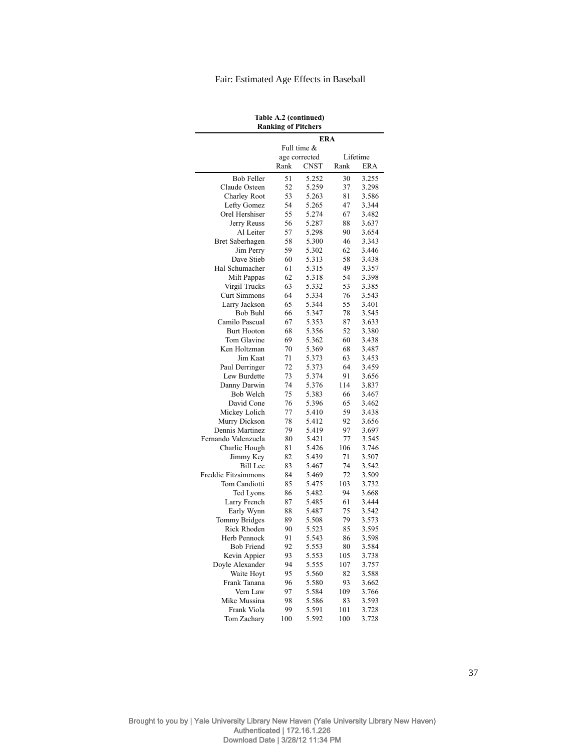#### Fair: Estimated Age Effects in Baseball

|                     | Table A.2 (continued)<br><b>Ranking of Pitchers</b> |               |      |          |  |  |  |  |
|---------------------|-----------------------------------------------------|---------------|------|----------|--|--|--|--|
|                     |                                                     | ERA           |      |          |  |  |  |  |
|                     |                                                     | Full time &   |      |          |  |  |  |  |
|                     |                                                     | age corrected |      | Lifetime |  |  |  |  |
|                     | Rank                                                | <b>CNST</b>   | Rank | ERA      |  |  |  |  |
| Bob Feller          | 51                                                  | 5.252         | 30   | 3.255    |  |  |  |  |
| Claude Osteen       | 52                                                  | 5.259         | 37   | 3.298    |  |  |  |  |
| <b>Charley Root</b> | 53                                                  | 5.263         | 81   | 3.586    |  |  |  |  |
| Lefty Gomez         | 54                                                  | 5.265         | 47   | 3.344    |  |  |  |  |
| Orel Hershiser      | 55                                                  | 5.274         | 67   | 3.482    |  |  |  |  |
| Jerry Reuss         | 56                                                  | 5.287         | 88   | 3.637    |  |  |  |  |
| Al Leiter           | 57                                                  | 5.298         | 90   | 3.654    |  |  |  |  |
| Bret Saberhagen     | 58                                                  | 5.300         | 46   | 3.343    |  |  |  |  |
| Jim Perry           | 59                                                  | 5.302         | 62   | 3.446    |  |  |  |  |
| Dave Stieb          | 60                                                  | 5.313         | 58   | 3.438    |  |  |  |  |
| Hal Schumacher      | 61                                                  | 5.315         | 49   | 3.357    |  |  |  |  |
| Milt Pappas         | 62                                                  | 5.318         | 54   | 3.398    |  |  |  |  |
| Virgil Trucks       | 63                                                  | 5.332         | 53   | 3.385    |  |  |  |  |
| Curt Simmons        | 64                                                  | 5.334         | 76   | 3.543    |  |  |  |  |
| Larry Jackson       | 65                                                  | 5.344         | 55   | 3.401    |  |  |  |  |
| Bob Buhl            | 66                                                  | 5.347         | 78   | 3.545    |  |  |  |  |
| Camilo Pascual      | 67                                                  | 5.353         | 87   | 3.633    |  |  |  |  |
| <b>Burt Hooton</b>  | 68                                                  | 5.356         | 52   | 3.380    |  |  |  |  |
| Tom Glavine         | 69                                                  | 5.362         | 60   | 3.438    |  |  |  |  |
| Ken Holtzman        | 70                                                  | 5.369         | 68   | 3.487    |  |  |  |  |
| Jim Kaat            | 71                                                  | 5.373         | 63   | 3.453    |  |  |  |  |
| Paul Derringer      | 72                                                  | 5.373         | 64   | 3.459    |  |  |  |  |
| Lew Burdette        | 73                                                  | 5.374         | 91   | 3.656    |  |  |  |  |
| Danny Darwin        | 74                                                  | 5.376         | 114  | 3.837    |  |  |  |  |
| Bob Welch           | 75                                                  | 5.383         | 66   | 3.467    |  |  |  |  |
| David Cone          | 76                                                  | 5.396         | 65   | 3.462    |  |  |  |  |
| Mickey Lolich       | 77                                                  | 5.410         | 59   | 3.438    |  |  |  |  |
| Murry Dickson       | 78                                                  | 5.412         | 92   | 3.656    |  |  |  |  |
| Dennis Martinez     | 79                                                  | 5.419         | 97   | 3.697    |  |  |  |  |
| Fernando Valenzuela | 80                                                  | 5.421         | 77   | 3.545    |  |  |  |  |
| Charlie Hough       | 81                                                  | 5.426         | 106  | 3.746    |  |  |  |  |
| Jimmy Key           | 82                                                  | 5.439         | 71   | 3.507    |  |  |  |  |
| Bill Lee            | 83                                                  | 5.467         | 74   | 3.542    |  |  |  |  |
| Freddie Fitzsimmons | 84                                                  | 5.469         | 72   | 3.509    |  |  |  |  |
| Tom Candiotti       | 85                                                  | 5.475         | 103  | 3.732    |  |  |  |  |
| Ted Lyons           | 86                                                  | 5.482         | 94   | 3.668    |  |  |  |  |
| Larry French        | 87                                                  | 5.485         | 61   | 3.444    |  |  |  |  |
| Early Wynn          | 88                                                  | 5.487         | 75   | 3.542    |  |  |  |  |
| Tommy Bridges       | 89                                                  | 5.508         | 79   | 3.573    |  |  |  |  |
| Rick Rhoden         | 90                                                  | 5.523         | 85   | 3.595    |  |  |  |  |
| Herb Pennock        | 91                                                  | 5.543         | 86   | 3.598    |  |  |  |  |
| Bob Friend          | 92                                                  | 5.553         | 80   | 3.584    |  |  |  |  |
| Kevin Appier        | 93                                                  | 5.553         | 105  | 3.738    |  |  |  |  |
| Doyle Alexander     | 94                                                  | 5.555         | 107  | 3.757    |  |  |  |  |
| Waite Hoyt          | 95                                                  | 5.560         | 82   | 3.588    |  |  |  |  |
| Frank Tanana        | 96                                                  | 5.580         | 93   | 3.662    |  |  |  |  |
| Vern Law            | 97                                                  | 5.584         | 109  | 3.766    |  |  |  |  |
| Mike Mussina        | 98                                                  | 5.586         | 83   | 3.593    |  |  |  |  |
| Frank Viola         | 99                                                  | 5.591         | 101  | 3.728    |  |  |  |  |
| Tom Zachary         | 100                                                 | 5.592         | 100  | 3.728    |  |  |  |  |

Brought to you by | Yale University Library New Haven (Yale University Library New Haven) Authenticated | 172.16.1.226 Download Date | 3/28/12 11:34 PM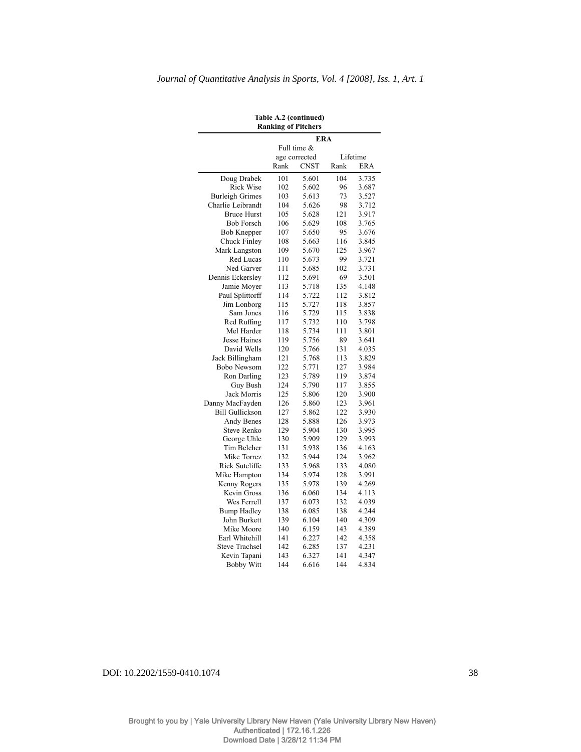| Table A.2 (continued)<br><b>Ranking of Pitchers</b> |      |               |      |          |  |  |  |  |
|-----------------------------------------------------|------|---------------|------|----------|--|--|--|--|
|                                                     |      | <b>ERA</b>    |      |          |  |  |  |  |
|                                                     |      | Full time &   |      |          |  |  |  |  |
|                                                     |      | age corrected |      | Lifetime |  |  |  |  |
|                                                     | Rank | CNST          | Rank | ER A     |  |  |  |  |
| Doug Drabek                                         | 101  | 5.601         | 104  | 3.735    |  |  |  |  |
| Rick Wise                                           | 102  | 5.602         | 96   | 3.687    |  |  |  |  |
| <b>Burleigh Grimes</b>                              | 103  | 5.613         | 73   | 3.527    |  |  |  |  |
| Charlie Leibrandt                                   | 104  | 5.626         | 98   | 3.712    |  |  |  |  |
| <b>Bruce Hurst</b>                                  | 105  | 5.628         | 121  | 3.917    |  |  |  |  |
| <b>Bob Forsch</b>                                   | 106  | 5.629         | 108  | 3.765    |  |  |  |  |
| Bob Knepper                                         | 107  | 5.650         | 95   | 3.676    |  |  |  |  |
| Chuck Finley                                        | 108  | 5.663         | 116  | 3.845    |  |  |  |  |
| Mark Langston                                       | 109  | 5.670         | 125  | 3.967    |  |  |  |  |
| <b>Red Lucas</b>                                    | 110  | 5.673         | 99   | 3.721    |  |  |  |  |
| Ned Garver                                          | 111  | 5.685         | 102  | 3.731    |  |  |  |  |
| Dennis Eckersley                                    | 112  | 5.691         | 69   | 3.501    |  |  |  |  |
| Jamie Moyer                                         | 113  | 5.718         | 135  | 4.148    |  |  |  |  |
| Paul Splittorff                                     | 114  | 5.722         | 112  | 3.812    |  |  |  |  |
| Jim Lonborg                                         | 115  | 5.727         | 118  | 3.857    |  |  |  |  |
| Sam Jones                                           | 116  | 5.729         | 115  | 3.838    |  |  |  |  |
| Red Ruffing                                         | 117  | 5.732         | 110  | 3.798    |  |  |  |  |
| Mel Harder                                          | 118  | 5.734         | 111  | 3.801    |  |  |  |  |
| <b>Jesse Haines</b>                                 | 119  | 5.756         | 89   | 3.641    |  |  |  |  |
| David Wells                                         | 120  | 5.766         | 131  | 4.035    |  |  |  |  |
| Jack Billingham                                     | 121  | 5.768         | 113  | 3.829    |  |  |  |  |
| Bobo Newsom                                         | 122  | 5.771         | 127  | 3.984    |  |  |  |  |
| Ron Darling                                         | 123  | 5.789         | 119  | 3.874    |  |  |  |  |
| Guy Bush                                            | 124  | 5.790         | 117  | 3.855    |  |  |  |  |
| Jack Morris                                         | 125  | 5.806         | 120  | 3.900    |  |  |  |  |
| Danny MacFayden                                     | 126  | 5.860         | 123  | 3.961    |  |  |  |  |
| <b>Bill Gullickson</b>                              | 127  | 5.862         | 122  | 3.930    |  |  |  |  |
| Andy Benes                                          | 128  | 5.888         | 126  | 3.973    |  |  |  |  |
| Steve Renko                                         | 129  | 5.904         | 130  | 3.995    |  |  |  |  |
| George Uhle                                         | 130  | 5.909         | 129  | 3.993    |  |  |  |  |
| Tim Belcher                                         | 131  | 5.938         | 136  | 4.163    |  |  |  |  |
| Mike Torrez                                         | 132  | 5.944         | 124  | 3.962    |  |  |  |  |
| <b>Rick Sutcliffe</b>                               | 133  | 5.968         | 133  | 4.080    |  |  |  |  |
| Mike Hampton                                        | 134  | 5.974         | 128  | 3.991    |  |  |  |  |
| Kenny Rogers                                        | 135  | 5.978         | 139  | 4.269    |  |  |  |  |
| Kevin Gross                                         | 136  | 6.060         | 134  | 4.113    |  |  |  |  |
| Wes Ferrell                                         | 137  | 6.073         | 132  | 4.039    |  |  |  |  |
| <b>Bump Hadley</b>                                  | 138  | 6.085         | 138  | 4.244    |  |  |  |  |
| John Burkett                                        | 139  | 6.104         | 140  | 4.309    |  |  |  |  |
| Mike Moore                                          | 140  | 6.159         | 143  | 4.389    |  |  |  |  |
| Earl Whitehill                                      | 141  | 6.227         | 142  | 4.358    |  |  |  |  |
| <b>Steve Trachsel</b>                               | 142  | 6.285         | 137  | 4.231    |  |  |  |  |
| Kevin Tapani                                        | 143  | 6.327         | 141  | 4.347    |  |  |  |  |
| <b>Bobby Witt</b>                                   | 144  | 6.616         | 144  | 4.834    |  |  |  |  |